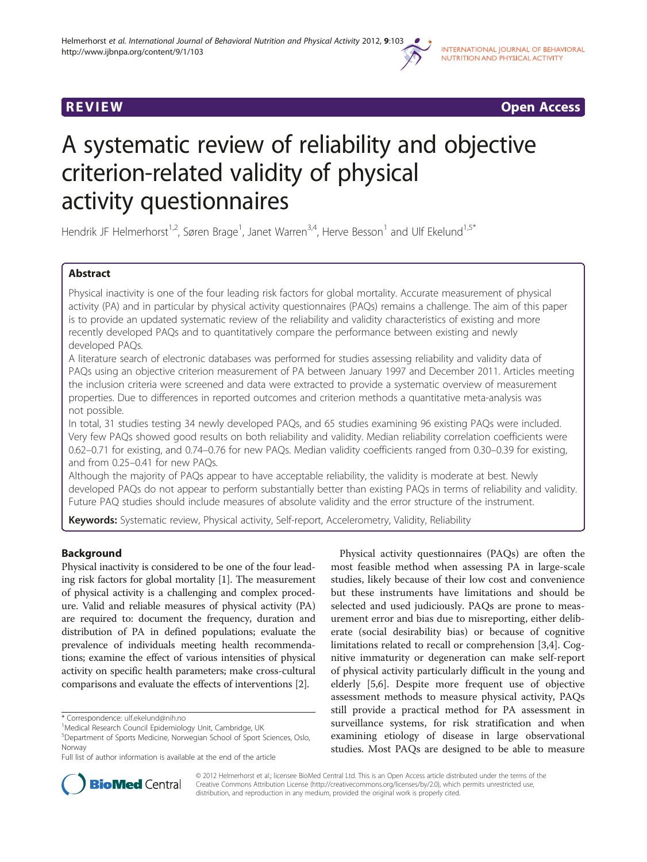

**REVIEW CONSULTANT CONSULTANT CONSULTANT CONSULTANT CONSULTANT CONSULTANT CONSULTANT CONSULTANT CONSULTANT CONSU** 

# A systematic review of reliability and objective criterion-related validity of physical activity questionnaires

Hendrik JF Helmerhorst<sup>1,2</sup>, Søren Brage<sup>1</sup>, Janet Warren<sup>3,4</sup>, Herve Besson<sup>1</sup> and Ulf Ekelund<sup>1,5\*</sup>

# Abstract

Physical inactivity is one of the four leading risk factors for global mortality. Accurate measurement of physical activity (PA) and in particular by physical activity questionnaires (PAQs) remains a challenge. The aim of this paper is to provide an updated systematic review of the reliability and validity characteristics of existing and more recently developed PAQs and to quantitatively compare the performance between existing and newly developed PAQs.

A literature search of electronic databases was performed for studies assessing reliability and validity data of PAQs using an objective criterion measurement of PA between January 1997 and December 2011. Articles meeting the inclusion criteria were screened and data were extracted to provide a systematic overview of measurement properties. Due to differences in reported outcomes and criterion methods a quantitative meta-analysis was not possible.

In total, 31 studies testing 34 newly developed PAQs, and 65 studies examining 96 existing PAQs were included. Very few PAQs showed good results on both reliability and validity. Median reliability correlation coefficients were 0.62–0.71 for existing, and 0.74–0.76 for new PAQs. Median validity coefficients ranged from 0.30–0.39 for existing, and from 0.25–0.41 for new PAQs.

Although the majority of PAQs appear to have acceptable reliability, the validity is moderate at best. Newly developed PAQs do not appear to perform substantially better than existing PAQs in terms of reliability and validity. Future PAQ studies should include measures of absolute validity and the error structure of the instrument.

Keywords: Systematic review, Physical activity, Self-report, Accelerometry, Validity, Reliability

# Background

Physical inactivity is considered to be one of the four leading risk factors for global mortality [\[1\]](#page-51-0). The measurement of physical activity is a challenging and complex procedure. Valid and reliable measures of physical activity (PA) are required to: document the frequency, duration and distribution of PA in defined populations; evaluate the prevalence of individuals meeting health recommendations; examine the effect of various intensities of physical activity on specific health parameters; make cross-cultural comparisons and evaluate the effects of interventions [[2\]](#page-51-0).

Physical activity questionnaires (PAQs) are often the most feasible method when assessing PA in large-scale studies, likely because of their low cost and convenience but these instruments have limitations and should be selected and used judiciously. PAQs are prone to measurement error and bias due to misreporting, either deliberate (social desirability bias) or because of cognitive limitations related to recall or comprehension [\[3,4](#page-51-0)]. Cognitive immaturity or degeneration can make self-report of physical activity particularly difficult in the young and elderly [\[5,6](#page-51-0)]. Despite more frequent use of objective assessment methods to measure physical activity, PAQs still provide a practical method for PA assessment in surveillance systems, for risk stratification and when examining etiology of disease in large observational studies. Most PAQs are designed to be able to measure



© 2012 Helmerhorst et al.; licensee BioMed Central Ltd. This is an Open Access article distributed under the terms of the Creative Commons Attribution License (<http://creativecommons.org/licenses/by/2.0>), which permits unrestricted use, distribution, and reproduction in any medium, provided the original work is properly cited.

<sup>\*</sup> Correspondence: [ulf.ekelund@nih.no](mailto:ulf.ekelund@nih.no) <sup>1</sup>

<sup>&</sup>lt;sup>1</sup>Medical Research Council Epidemiology Unit, Cambridge, UK

<sup>5</sup> Department of Sports Medicine, Norwegian School of Sport Sciences, Oslo, Norway

Full list of author information is available at the end of the article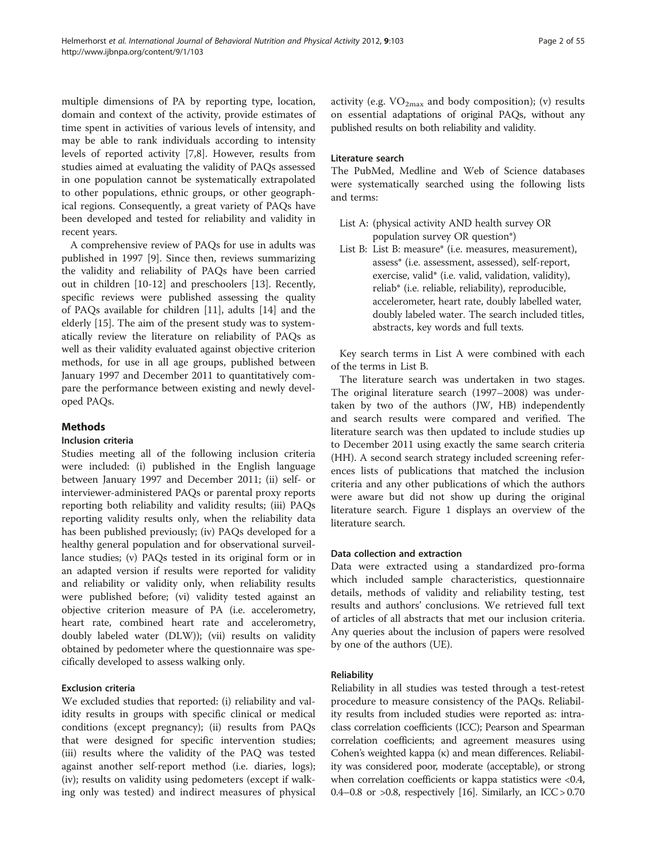multiple dimensions of PA by reporting type, location, domain and context of the activity, provide estimates of time spent in activities of various levels of intensity, and may be able to rank individuals according to intensity levels of reported activity [[7,8\]](#page-51-0). However, results from studies aimed at evaluating the validity of PAQs assessed in one population cannot be systematically extrapolated to other populations, ethnic groups, or other geographical regions. Consequently, a great variety of PAQs have been developed and tested for reliability and validity in recent years.

A comprehensive review of PAQs for use in adults was published in 1997 [[9\]](#page-52-0). Since then, reviews summarizing the validity and reliability of PAQs have been carried out in children [[10-12\]](#page-52-0) and preschoolers [\[13](#page-52-0)]. Recently, specific reviews were published assessing the quality of PAQs available for children [[11\]](#page-52-0), adults [[14\]](#page-52-0) and the elderly [\[15\]](#page-52-0). The aim of the present study was to systematically review the literature on reliability of PAQs as well as their validity evaluated against objective criterion methods, for use in all age groups, published between January 1997 and December 2011 to quantitatively compare the performance between existing and newly developed PAQs.

# Methods

## Inclusion criteria

Studies meeting all of the following inclusion criteria were included: (i) published in the English language between January 1997 and December 2011; (ii) self- or interviewer-administered PAQs or parental proxy reports reporting both reliability and validity results; (iii) PAQs reporting validity results only, when the reliability data has been published previously; (iv) PAQs developed for a healthy general population and for observational surveillance studies; (v) PAQs tested in its original form or in an adapted version if results were reported for validity and reliability or validity only, when reliability results were published before; (vi) validity tested against an objective criterion measure of PA (i.e. accelerometry, heart rate, combined heart rate and accelerometry, doubly labeled water (DLW)); (vii) results on validity obtained by pedometer where the questionnaire was specifically developed to assess walking only.

## Exclusion criteria

We excluded studies that reported: (i) reliability and validity results in groups with specific clinical or medical conditions (except pregnancy); (ii) results from PAQs that were designed for specific intervention studies; (iii) results where the validity of the PAQ was tested against another self-report method (i.e. diaries, logs); (iv); results on validity using pedometers (except if walking only was tested) and indirect measures of physical activity (e.g.  $VO_{2max}$  and body composition); (v) results on essential adaptations of original PAQs, without any published results on both reliability and validity.

# Literature search

The PubMed, Medline and Web of Science databases were systematically searched using the following lists and terms:

- List A: (physical activity AND health survey OR population survey OR question\*)
- List B: List B: measure\* (i.e. measures, measurement), assess\* (i.e. assessment, assessed), self-report, exercise, valid\* (i.e. valid, validation, validity), reliab\* (i.e. reliable, reliability), reproducible, accelerometer, heart rate, doubly labelled water, doubly labeled water. The search included titles, abstracts, key words and full texts.

Key search terms in List A were combined with each of the terms in List B.

The literature search was undertaken in two stages. The original literature search (1997–2008) was undertaken by two of the authors (JW, HB) independently and search results were compared and verified. The literature search was then updated to include studies up to December 2011 using exactly the same search criteria (HH). A second search strategy included screening references lists of publications that matched the inclusion criteria and any other publications of which the authors were aware but did not show up during the original literature search. Figure [1](#page-2-0) displays an overview of the literature search.

## Data collection and extraction

Data were extracted using a standardized pro-forma which included sample characteristics, questionnaire details, methods of validity and reliability testing, test results and authors' conclusions. We retrieved full text of articles of all abstracts that met our inclusion criteria. Any queries about the inclusion of papers were resolved by one of the authors (UE).

# Reliability

Reliability in all studies was tested through a test-retest procedure to measure consistency of the PAQs. Reliability results from included studies were reported as: intraclass correlation coefficients (ICC); Pearson and Spearman correlation coefficients; and agreement measures using Cohen's weighted kappa (κ) and mean differences. Reliability was considered poor, moderate (acceptable), or strong when correlation coefficients or kappa statistics were  $<0.4$ , 0.4–0.8 or  $>0.8$ , respectively [\[16\]](#page-52-0). Similarly, an ICC  $>0.70$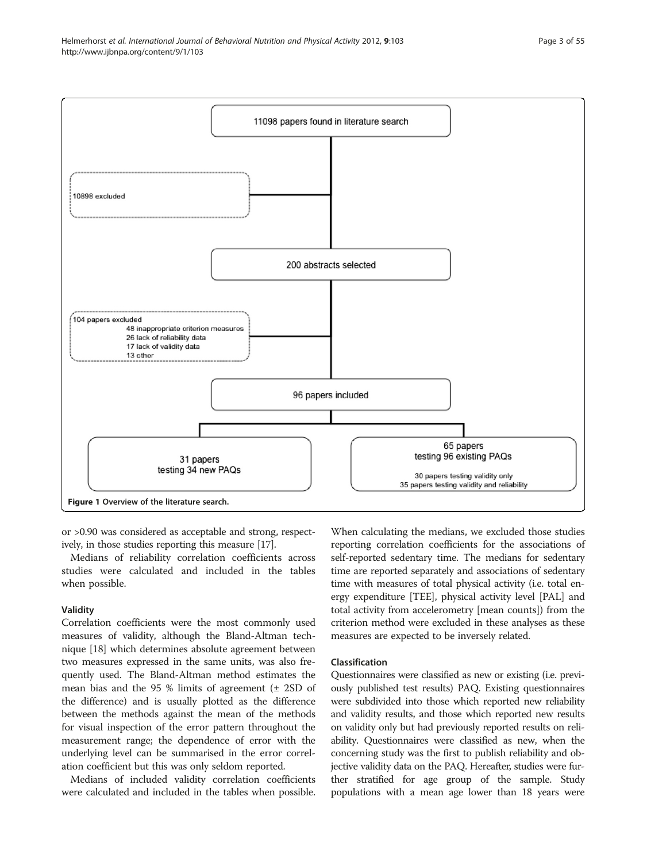<span id="page-2-0"></span>

or >0.90 was considered as acceptable and strong, respectively, in those studies reporting this measure [[17](#page-52-0)].

Medians of reliability correlation coefficients across studies were calculated and included in the tables when possible.

## Validity

Correlation coefficients were the most commonly used measures of validity, although the Bland-Altman technique [\[18](#page-52-0)] which determines absolute agreement between two measures expressed in the same units, was also frequently used. The Bland-Altman method estimates the mean bias and the 95 % limits of agreement (± 2SD of the difference) and is usually plotted as the difference between the methods against the mean of the methods for visual inspection of the error pattern throughout the measurement range; the dependence of error with the underlying level can be summarised in the error correlation coefficient but this was only seldom reported.

Medians of included validity correlation coefficients were calculated and included in the tables when possible. When calculating the medians, we excluded those studies reporting correlation coefficients for the associations of self-reported sedentary time. The medians for sedentary time are reported separately and associations of sedentary time with measures of total physical activity (i.e. total energy expenditure [TEE], physical activity level [PAL] and total activity from accelerometry [mean counts]) from the criterion method were excluded in these analyses as these measures are expected to be inversely related.

#### Classification

Questionnaires were classified as new or existing (i.e. previously published test results) PAQ. Existing questionnaires were subdivided into those which reported new reliability and validity results, and those which reported new results on validity only but had previously reported results on reliability. Questionnaires were classified as new, when the concerning study was the first to publish reliability and objective validity data on the PAQ. Hereafter, studies were further stratified for age group of the sample. Study populations with a mean age lower than 18 years were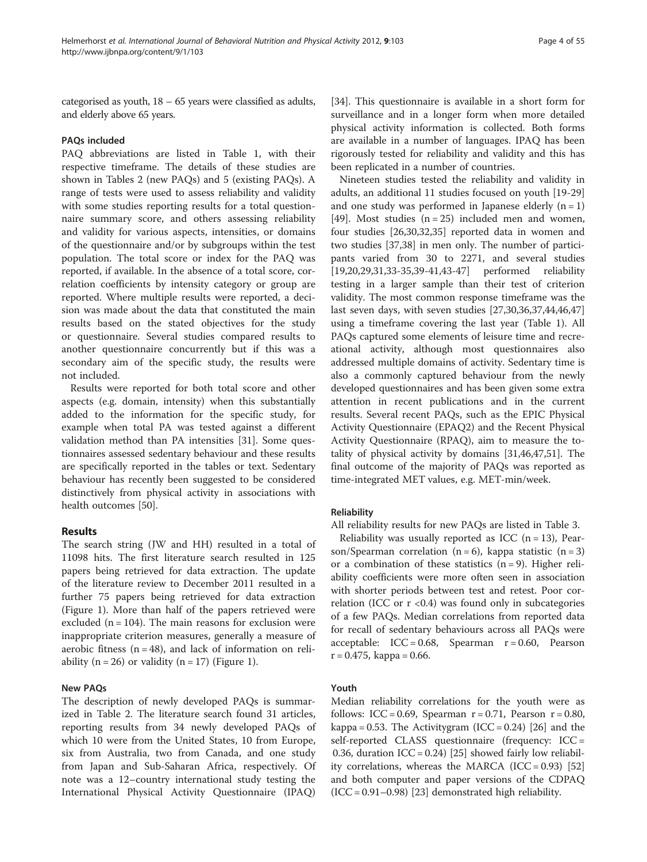categorised as youth,  $18 - 65$  years were classified as adults, and elderly above 65 years.

#### PAQs included

PAQ abbreviations are listed in Table [1](#page-4-0), with their respective timeframe. The details of these studies are shown in Tables [2](#page-7-0) (new PAQs) and 5 (existing PAQs). A range of tests were used to assess reliability and validity with some studies reporting results for a total questionnaire summary score, and others assessing reliability and validity for various aspects, intensities, or domains of the questionnaire and/or by subgroups within the test population. The total score or index for the PAQ was reported, if available. In the absence of a total score, correlation coefficients by intensity category or group are reported. Where multiple results were reported, a decision was made about the data that constituted the main results based on the stated objectives for the study or questionnaire. Several studies compared results to another questionnaire concurrently but if this was a secondary aim of the specific study, the results were not included.

Results were reported for both total score and other aspects (e.g. domain, intensity) when this substantially added to the information for the specific study, for example when total PA was tested against a different validation method than PA intensities [\[31](#page-52-0)]. Some questionnaires assessed sedentary behaviour and these results are specifically reported in the tables or text. Sedentary behaviour has recently been suggested to be considered distinctively from physical activity in associations with health outcomes [\[50](#page-52-0)].

## Results

The search string (JW and HH) resulted in a total of 11098 hits. The first literature search resulted in 125 papers being retrieved for data extraction. The update of the literature review to December 2011 resulted in a further 75 papers being retrieved for data extraction (Figure [1\)](#page-2-0). More than half of the papers retrieved were excluded  $(n = 104)$ . The main reasons for exclusion were inappropriate criterion measures, generally a measure of aerobic fitness  $(n = 48)$ , and lack of information on reliability ( $n = 26$ ) or validity ( $n = 17$ ) (Figure [1\)](#page-2-0).

## New PAQs

The description of newly developed PAQs is summarized in Table [2](#page-7-0). The literature search found 31 articles, reporting results from 34 newly developed PAQs of which 10 were from the United States, 10 from Europe, six from Australia, two from Canada, and one study from Japan and Sub-Saharan Africa, respectively. Of note was a 12–country international study testing the International Physical Activity Questionnaire (IPAQ) [[34\]](#page-52-0). This questionnaire is available in a short form for surveillance and in a longer form when more detailed physical activity information is collected. Both forms are available in a number of languages. IPAQ has been rigorously tested for reliability and validity and this has been replicated in a number of countries.

Nineteen studies tested the reliability and validity in adults, an additional 11 studies focused on youth [\[19](#page-52-0)-[29](#page-52-0)] and one study was performed in Japanese elderly  $(n = 1)$ [[49\]](#page-52-0). Most studies  $(n = 25)$  included men and women, four studies [\[26,30,32,35\]](#page-52-0) reported data in women and two studies [\[37,38\]](#page-52-0) in men only. The number of participants varied from 30 to 2271, and several studies [[19,20,29,31,33-35,39-41,43](#page-52-0)-[47\]](#page-52-0) performed reliability testing in a larger sample than their test of criterion validity. The most common response timeframe was the last seven days, with seven studies [[27,30,36,37,44](#page-52-0),[46](#page-52-0),[47](#page-52-0)] using a timeframe covering the last year (Table [1\)](#page-4-0). All PAQs captured some elements of leisure time and recreational activity, although most questionnaires also addressed multiple domains of activity. Sedentary time is also a commonly captured behaviour from the newly developed questionnaires and has been given some extra attention in recent publications and in the current results. Several recent PAQs, such as the EPIC Physical Activity Questionnaire (EPAQ2) and the Recent Physical Activity Questionnaire (RPAQ), aim to measure the totality of physical activity by domains [\[31,46,47,51\]](#page-52-0). The final outcome of the majority of PAQs was reported as time-integrated MET values, e.g. MET-min/week.

## Reliability

All reliability results for new PAQs are listed in Table [3.](#page-10-0)

Reliability was usually reported as ICC  $(n = 13)$ , Pearson/Spearman correlation  $(n = 6)$ , kappa statistic  $(n = 3)$ or a combination of these statistics  $(n = 9)$ . Higher reliability coefficients were more often seen in association with shorter periods between test and retest. Poor correlation (ICC or  $r < 0.4$ ) was found only in subcategories of a few PAQs. Median correlations from reported data for recall of sedentary behaviours across all PAQs were acceptable:  $ICC = 0.68$ , Spearman  $r = 0.60$ , Pearson  $r = 0.475$ , kappa = 0.66.

## Youth

Median reliability correlations for the youth were as follows: ICC = 0.69, Spearman  $r = 0.71$ , Pearson  $r = 0.80$ , kappa = 0.53. The Activitygram (ICC = 0.24) [[26](#page-52-0)] and the self-reported CLASS questionnaire (frequency: ICC = 0.36, duration  $ICC = 0.24)$  [\[25](#page-52-0)] showed fairly low reliability correlations, whereas the MARCA  $(ICC = 0.93)$  [[52](#page-52-0)] and both computer and paper versions of the CDPAQ (ICC = 0.91–0.98) [[23\]](#page-52-0) demonstrated high reliability.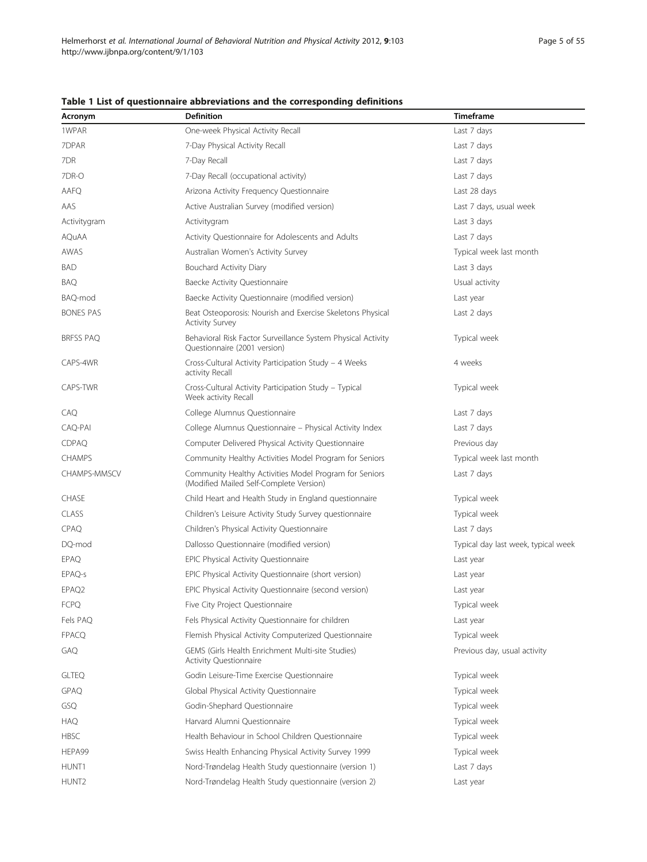| Acronym             | <b>Definition</b>                                                                                 | Timeframe                           |
|---------------------|---------------------------------------------------------------------------------------------------|-------------------------------------|
| 1WPAR               | One-week Physical Activity Recall                                                                 | Last 7 days                         |
| 7DPAR               | 7-Day Physical Activity Recall                                                                    | Last 7 days                         |
| 7DR                 | 7-Day Recall                                                                                      | Last 7 days                         |
| 7DR-O               | 7-Day Recall (occupational activity)                                                              | Last 7 days                         |
| AAFQ                | Arizona Activity Frequency Questionnaire                                                          | Last 28 days                        |
| AAS                 | Active Australian Survey (modified version)                                                       | Last 7 days, usual week             |
| Activitygram        | Activitygram                                                                                      | Last 3 days                         |
| <b>AQuAA</b>        | Activity Questionnaire for Adolescents and Adults                                                 | Last 7 days                         |
| AWAS                | Australian Women's Activity Survey                                                                | Typical week last month             |
| <b>BAD</b>          | Bouchard Activity Diary                                                                           | Last 3 days                         |
| <b>BAQ</b>          | Baecke Activity Questionnaire                                                                     | Usual activity                      |
| BAQ-mod             | Baecke Activity Questionnaire (modified version)                                                  | Last year                           |
| <b>BONES PAS</b>    | Beat Osteoporosis: Nourish and Exercise Skeletons Physical<br>Activity Survey                     | Last 2 days                         |
| <b>BRFSS PAQ</b>    | Behavioral Risk Factor Surveillance System Physical Activity<br>Questionnaire (2001 version)      | Typical week                        |
| CAPS-4WR            | Cross-Cultural Activity Participation Study - 4 Weeks<br>activity Recall                          | 4 weeks                             |
| CAPS-TWR            | Cross-Cultural Activity Participation Study - Typical<br>Week activity Recall                     | Typical week                        |
| CAQ                 | College Alumnus Questionnaire                                                                     | Last 7 days                         |
| CAQ-PAI             | College Alumnus Questionnaire - Physical Activity Index                                           | Last 7 days                         |
| <b>CDPAQ</b>        | Computer Delivered Physical Activity Questionnaire                                                | Previous day                        |
| <b>CHAMPS</b>       | Community Healthy Activities Model Program for Seniors                                            | Typical week last month             |
| <b>CHAMPS-MMSCV</b> | Community Healthy Activities Model Program for Seniors<br>(Modified Mailed Self-Complete Version) | Last 7 days                         |
| <b>CHASE</b>        | Child Heart and Health Study in England questionnaire                                             | Typical week                        |
| <b>CLASS</b>        | Children's Leisure Activity Study Survey questionnaire                                            | Typical week                        |
| <b>CPAQ</b>         | Children's Physical Activity Questionnaire                                                        | Last 7 days                         |
| DQ-mod              | Dallosso Questionnaire (modified version)                                                         | Typical day last week, typical week |
| EPAQ                | EPIC Physical Activity Questionnaire                                                              | Last year                           |
| EPAQ-s              | EPIC Physical Activity Questionnaire (short version)                                              | Last year                           |
| EPAQ2               | EPIC Physical Activity Questionnaire (second version)                                             | Last year                           |
| <b>FCPQ</b>         | Five City Project Questionnaire                                                                   | Typical week                        |
| Fels PAQ            | Fels Physical Activity Questionnaire for children                                                 | Last year                           |
| <b>FPACQ</b>        | Flemish Physical Activity Computerized Questionnaire                                              | Typical week                        |
| GAQ                 | GEMS (Girls Health Enrichment Multi-site Studies)<br><b>Activity Questionnaire</b>                | Previous day, usual activity        |
| <b>GLTEQ</b>        | Godin Leisure-Time Exercise Questionnaire                                                         | Typical week                        |
| <b>GPAQ</b>         | Global Physical Activity Questionnaire                                                            | Typical week                        |
| GSQ                 | Godin-Shephard Questionnaire                                                                      | Typical week                        |
| <b>HAQ</b>          | Harvard Alumni Questionnaire                                                                      | Typical week                        |
| <b>HBSC</b>         | Health Behaviour in School Children Questionnaire                                                 | Typical week                        |
| HEPA99              | Swiss Health Enhancing Physical Activity Survey 1999                                              | Typical week                        |
| HUNT <sub>1</sub>   | Nord-Trøndelag Health Study questionnaire (version 1)                                             | Last 7 days                         |
| HUNT2               | Nord-Trøndelag Health Study questionnaire (version 2)                                             | Last year                           |

<span id="page-4-0"></span>Table 1 List of questionnaire abbreviations and the corresponding definitions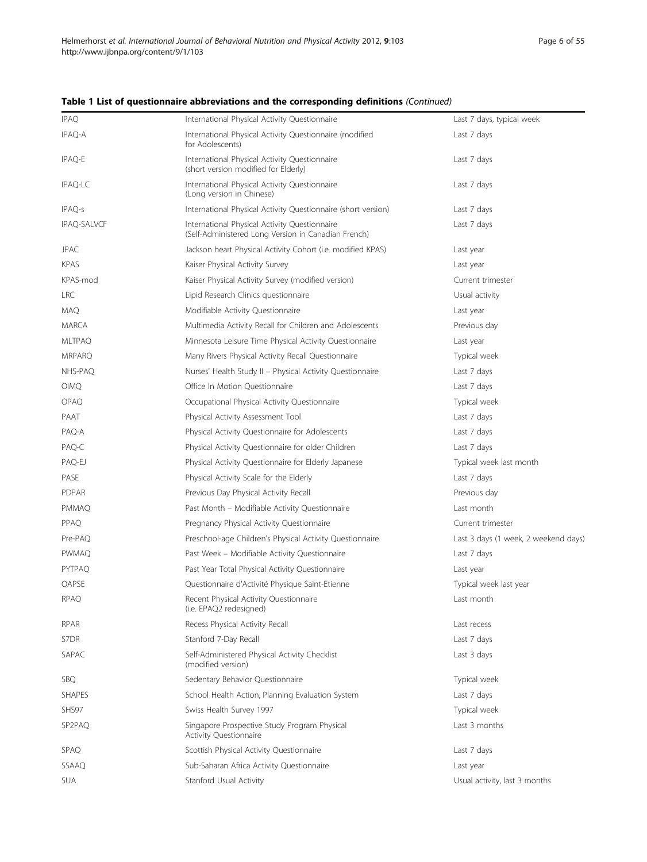| Table 1 List of questionnaire abbreviations and the corresponding definitions (Continued) |  |  |
|-------------------------------------------------------------------------------------------|--|--|
|-------------------------------------------------------------------------------------------|--|--|

| <b>IPAQ</b>    | International Physical Activity Questionnaire                                                        | Last 7 days, typical week            |
|----------------|------------------------------------------------------------------------------------------------------|--------------------------------------|
| IPAQ-A         | International Physical Activity Questionnaire (modified<br>for Adolescents)                          | Last 7 days                          |
| IPAQ-E         | International Physical Activity Questionnaire<br>(short version modified for Elderly)                | Last 7 days                          |
| <b>IPAQ-LC</b> | International Physical Activity Questionnaire<br>(Long version in Chinese)                           | Last 7 days                          |
| IPAQ-s         | International Physical Activity Questionnaire (short version)                                        | Last 7 days                          |
| IPAQ-SALVCF    | International Physical Activity Questionnaire<br>(Self-Administered Long Version in Canadian French) | Last 7 days                          |
| <b>JPAC</b>    | Jackson heart Physical Activity Cohort (i.e. modified KPAS)                                          | Last year                            |
| <b>KPAS</b>    | Kaiser Physical Activity Survey                                                                      | Last year                            |
| KPAS-mod       | Kaiser Physical Activity Survey (modified version)                                                   | Current trimester                    |
| <b>LRC</b>     | Lipid Research Clinics questionnaire                                                                 | Usual activity                       |
| <b>MAQ</b>     | Modifiable Activity Questionnaire                                                                    | Last year                            |
| MARCA          | Multimedia Activity Recall for Children and Adolescents                                              | Previous day                         |
| <b>MLTPAQ</b>  | Minnesota Leisure Time Physical Activity Questionnaire                                               | Last year                            |
| <b>MRPARQ</b>  | Many Rivers Physical Activity Recall Questionnaire                                                   | Typical week                         |
| NHS-PAO        | Nurses' Health Study II - Physical Activity Questionnaire                                            | Last 7 days                          |
| <b>OIMQ</b>    | Office In Motion Ouestionnaire                                                                       | Last 7 days                          |
| OPAQ           | Occupational Physical Activity Questionnaire                                                         | Typical week                         |
| PAAT           | Physical Activity Assessment Tool                                                                    | Last 7 days                          |
| PAQ-A          | Physical Activity Questionnaire for Adolescents                                                      | Last 7 days                          |
| PAQ-C          | Physical Activity Questionnaire for older Children                                                   | Last 7 days                          |
| PAQ-EJ         | Physical Activity Questionnaire for Elderly Japanese                                                 | Typical week last month              |
| PASE           | Physical Activity Scale for the Elderly                                                              | Last 7 days                          |
| PDPAR          | Previous Day Physical Activity Recall                                                                | Previous day                         |
| <b>PMMAQ</b>   | Past Month - Modifiable Activity Questionnaire                                                       | Last month                           |
| PPAQ           | Pregnancy Physical Activity Questionnaire                                                            | Current trimester                    |
| Pre-PAQ        | Preschool-age Children's Physical Activity Questionnaire                                             | Last 3 days (1 week, 2 weekend days) |
| <b>PWMAQ</b>   | Past Week - Modifiable Activity Questionnaire                                                        | Last 7 days                          |
| <b>PYTPAQ</b>  | Past Year Total Physical Activity Questionnaire                                                      | Last year                            |
| OAPSE          | Questionnaire d'Activité Physique Saint-Etienne                                                      | Typical week last year               |
| RPAQ           | Recent Physical Activity Questionnaire<br>(i.e. EPAQ2 redesigned)                                    | Last month                           |
| <b>RPAR</b>    | Recess Physical Activity Recall                                                                      | Last recess                          |
| S7DR           | Stanford 7-Day Recall                                                                                | Last 7 days                          |
| SAPAC          | Self-Administered Physical Activity Checklist<br>(modified version)                                  | Last 3 days                          |
| SBQ            | Sedentary Behavior Questionnaire                                                                     | Typical week                         |
| <b>SHAPES</b>  | School Health Action, Planning Evaluation System                                                     | Last 7 days                          |
| SHS97          | Swiss Health Survey 1997                                                                             | Typical week                         |
| SP2PAQ         | Singapore Prospective Study Program Physical<br><b>Activity Questionnaire</b>                        | Last 3 months                        |
| <b>SPAQ</b>    | Scottish Physical Activity Questionnaire                                                             | Last 7 days                          |
| SSAAQ          | Sub-Saharan Africa Activity Questionnaire                                                            | Last year                            |
| <b>SUA</b>     | Stanford Usual Activity                                                                              | Usual activity, last 3 months        |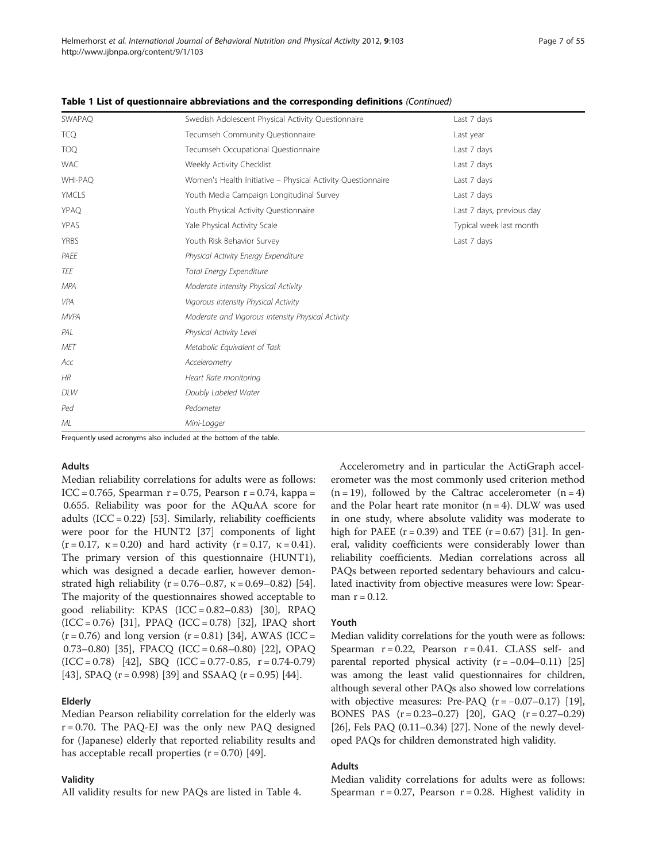| SWAPAQ      | Swedish Adolescent Physical Activity Questionnaire                | Last 7 days               |
|-------------|-------------------------------------------------------------------|---------------------------|
| <b>TCQ</b>  | Tecumseh Community Questionnaire                                  | Last year                 |
| <b>TOQ</b>  | Tecumseh Occupational Questionnaire                               | Last 7 days               |
| <b>WAC</b>  | Weekly Activity Checklist                                         | Last 7 days               |
| WHI-PAQ     | Women's Health Initiative - Physical Activity Questionnaire       | Last 7 days               |
| YMCLS       | Youth Media Campaign Longitudinal Survey                          | Last 7 days               |
| YPAQ        | Youth Physical Activity Questionnaire                             | Last 7 days, previous day |
| YPAS        | Yale Physical Activity Scale                                      | Typical week last month   |
| <b>YRBS</b> | Youth Risk Behavior Survey                                        | Last 7 days               |
| PAEE        | Physical Activity Energy Expenditure                              |                           |
| TEE         | Total Energy Expenditure                                          |                           |
| <b>MPA</b>  | Moderate intensity Physical Activity                              |                           |
| <b>VPA</b>  | Vigorous intensity Physical Activity                              |                           |
| <b>MVPA</b> | Moderate and Vigorous intensity Physical Activity                 |                           |
| PAL         | Physical Activity Level                                           |                           |
| <b>MET</b>  | Metabolic Equivalent of Task                                      |                           |
| Acc         | Accelerometry                                                     |                           |
| HR          | Heart Rate monitoring                                             |                           |
| DLW         | Doubly Labeled Water                                              |                           |
| Ped         | Pedometer                                                         |                           |
| ML          | Mini-Logger                                                       |                           |
|             | Erequently used acronyms also included at the bottom of the table |                           |

Table 1 List of questionnaire abbreviations and the corresponding definitions (Continued)

Frequently used acronyms also included at the bottom of the table.

#### Adults

Median reliability correlations for adults were as follows: ICC = 0.765, Spearman  $r = 0.75$ , Pearson  $r = 0.74$ , kappa = 0.655. Reliability was poor for the AQuAA score for adults  $(ICC = 0.22)$  [\[53](#page-52-0)]. Similarly, reliability coefficients were poor for the HUNT2 [\[37](#page-52-0)] components of light  $(r = 0.17, \kappa = 0.20)$  and hard activity  $(r = 0.17, \kappa = 0.41)$ . The primary version of this questionnaire (HUNT1), which was designed a decade earlier, however demonstrated high reliability ( $r = 0.76 - 0.87$ ,  $\kappa = 0.69 - 0.82$ ) [\[54](#page-52-0)]. The majority of the questionnaires showed acceptable to good reliability: KPAS  $(ICC = 0.82 - 0.83)$  [[30\]](#page-52-0), RPAQ  $(ICC = 0.76)$  [[31\]](#page-52-0), PPAQ  $(ICC = 0.78)$  [\[32](#page-52-0)], IPAQ short  $(r = 0.76)$  and long version  $(r = 0.81)$  [\[34\]](#page-52-0), AWAS (ICC = 0.73–0.80) [[35\]](#page-52-0), FPACQ (ICC = 0.68–0.80) [[22](#page-52-0)], OPAQ  $(ICC = 0.78) [42]$  $(ICC = 0.78) [42]$  $(ICC = 0.78) [42]$ , SBQ  $(ICC = 0.77-0.85, r = 0.74-0.79)$ [[43\]](#page-52-0), SPAQ ( $r = 0.998$ ) [\[39](#page-52-0)] and SSAAQ ( $r = 0.95$ ) [[44\]](#page-52-0).

#### Elderly

Median Pearson reliability correlation for the elderly was  $r = 0.70$ . The PAQ-EJ was the only new PAQ designed for (Japanese) elderly that reported reliability results and has acceptable recall properties  $(r = 0.70)$  [[49\]](#page-52-0).

#### Validity

All validity results for new PAQs are listed in Table [4](#page-15-0).

Accelerometry and in particular the ActiGraph accelerometer was the most commonly used criterion method  $(n = 19)$ , followed by the Caltrac accelerometer  $(n = 4)$ and the Polar heart rate monitor  $(n = 4)$ . DLW was used in one study, where absolute validity was moderate to high for PAEE  $(r = 0.39)$  and TEE  $(r = 0.67)$  [[31](#page-52-0)]. In general, validity coefficients were considerably lower than reliability coefficients. Median correlations across all PAQs between reported sedentary behaviours and calculated inactivity from objective measures were low: Spearman  $r = 0.12$ .

#### Youth

Median validity correlations for the youth were as follows: Spearman  $r = 0.22$ , Pearson  $r = 0.41$ . CLASS self- and parental reported physical activity  $(r = -0.04 - 0.11)$  [[25](#page-52-0)] was among the least valid questionnaires for children, although several other PAQs also showed low correlations with objective measures: Pre-PAQ  $(r = -0.07 - 0.17)$  [[19](#page-52-0)], BONES PAS  $(r = 0.23 - 0.27)$  [\[20\]](#page-52-0), GAQ  $(r = 0.27 - 0.29)$ [[26](#page-52-0)], Fels PAQ (0.11–0.34) [\[27\]](#page-52-0). None of the newly developed PAQs for children demonstrated high validity.

## Adults

Median validity correlations for adults were as follows: Spearman  $r = 0.27$ , Pearson  $r = 0.28$ . Highest validity in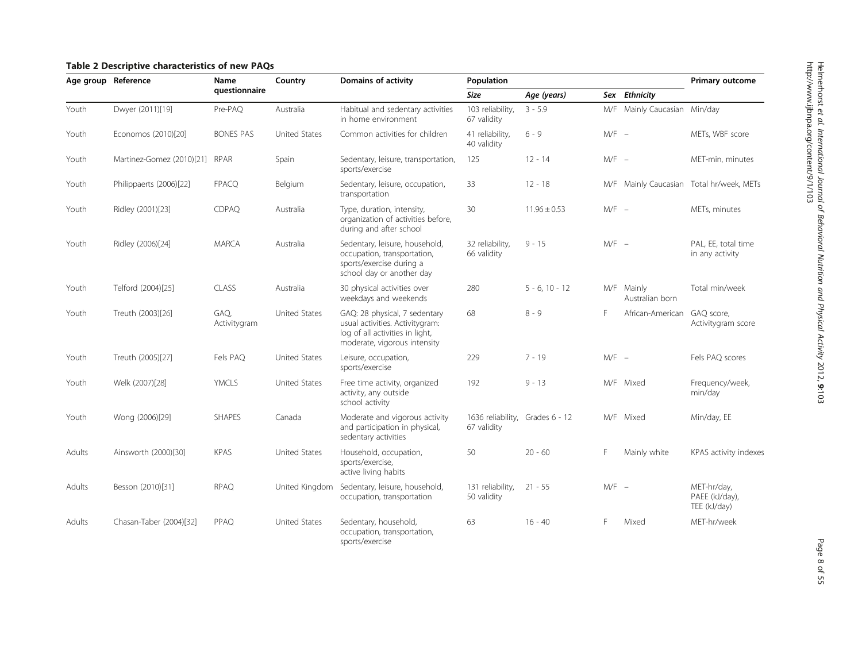<span id="page-7-0"></span>

| Table 2 Descriptive characteristics of new PAQs |  |  |
|-------------------------------------------------|--|--|
|-------------------------------------------------|--|--|

|        | Age group Reference            | Name                 | Country        | <b>Domains of activity</b>                                                                                                          | Population                       |                   |         | Primary outcome               |                                               |
|--------|--------------------------------|----------------------|----------------|-------------------------------------------------------------------------------------------------------------------------------------|----------------------------------|-------------------|---------|-------------------------------|-----------------------------------------------|
|        |                                | questionnaire        |                |                                                                                                                                     | Size                             | Age (years)       |         | Sex Ethnicity                 |                                               |
| Youth  | Dwyer (2011)[19]               | Pre-PAO              | Australia      | Habitual and sedentary activities<br>in home environment                                                                            | 103 reliability,<br>67 validity  | $3 - 5.9$         |         | M/F Mainly Caucasian Min/day  |                                               |
| Youth  | Economos (2010)[20]            | <b>BONES PAS</b>     | United States  | Common activities for children                                                                                                      | 41 reliability,<br>40 validity   | $6 - 9$           | $M/F$ – |                               | METs, WBF score                               |
| Youth  | Martinez-Gomez (2010)[21] RPAR |                      | Spain          | Sedentary, leisure, transportation,<br>sports/exercise                                                                              | 125                              | $12 - 14$         | $M/F$ – |                               | MET-min, minutes                              |
| Youth  | Philippaerts (2006)[22]        | <b>FPACQ</b>         | Belgium        | Sedentary, leisure, occupation,<br>transportation                                                                                   | 33                               | $12 - 18$         |         |                               | M/F Mainly Caucasian Total hr/week, METs      |
| Youth  | Ridley (2001)[23]              | CDPAO                | Australia      | Type, duration, intensity,<br>organization of activities before,<br>during and after school                                         | 30                               | $11.96 \pm 0.53$  | $M/F -$ |                               | METs, minutes                                 |
| Youth  | Ridley (2006)[24]              | <b>MARCA</b>         | Australia      | Sedentary, leisure, household,<br>occupation, transportation,<br>sports/exercise during a<br>school day or another day              | 32 reliability,<br>66 validity   | $9 - 15$          | $M/F$ – |                               | PAL. EE. total time<br>in any activity        |
| Youth  | Telford (2004)[25]             | CLASS                | Australia      | 30 physical activities over<br>weekdays and weekends                                                                                | 280                              | $5 - 6$ , 10 - 12 |         | M/F Mainly<br>Australian born | Total min/week                                |
| Youth  | Treuth (2003)[26]              | GAQ,<br>Activitygram | United States  | GAQ: 28 physical, 7 sedentary<br>usual activities. Activitygram:<br>log of all activities in light,<br>moderate, vigorous intensity | 68                               | $8 - 9$           | F       | African-American              | GAQ score,<br>Activitygram score              |
| Youth  | Treuth (2005)[27]              | Fels PAQ             | United States  | Leisure, occupation,<br>sports/exercise                                                                                             | 229                              | $7 - 19$          | $M/F$ – |                               | Fels PAQ scores                               |
| Youth  | Welk (2007)[28]                | YMCLS                | United States  | Free time activity, organized<br>activity, any outside<br>school activity                                                           | 192                              | $9 - 13$          | M/F     | Mixed                         | Frequency/week,<br>min/day                    |
| Youth  | Wong (2006)[29]                | SHAPES               | Canada         | Moderate and vigorous activity<br>and participation in physical,<br>sedentary activities                                            | 1636 reliability,<br>67 validity | Grades 6 - 12     |         | M/F Mixed                     | Min/day, EE                                   |
| Adults | Ainsworth (2000)[30]           | <b>KPAS</b>          | United States  | Household, occupation,<br>sports/exercise,<br>active living habits                                                                  | 50                               | $20 - 60$         |         | Mainly white                  | KPAS activity indexes                         |
| Adults | Besson (2010)[31]              | RPAO                 | United Kingdom | Sedentary, leisure, household,<br>occupation, transportation                                                                        | 131 reliability,<br>50 validity  | $21 - 55$         | $M/F$ – |                               | MET-hr/day,<br>PAEE (kJ/day),<br>TEE (kJ/day) |
| Adults | Chasan-Taber (2004)[32]        | PPAO                 | United States  | Sedentary, household,<br>occupation, transportation,<br>sports/exercise                                                             | 63                               | $16 - 40$         | F       | Mixed                         | MET-hr/week                                   |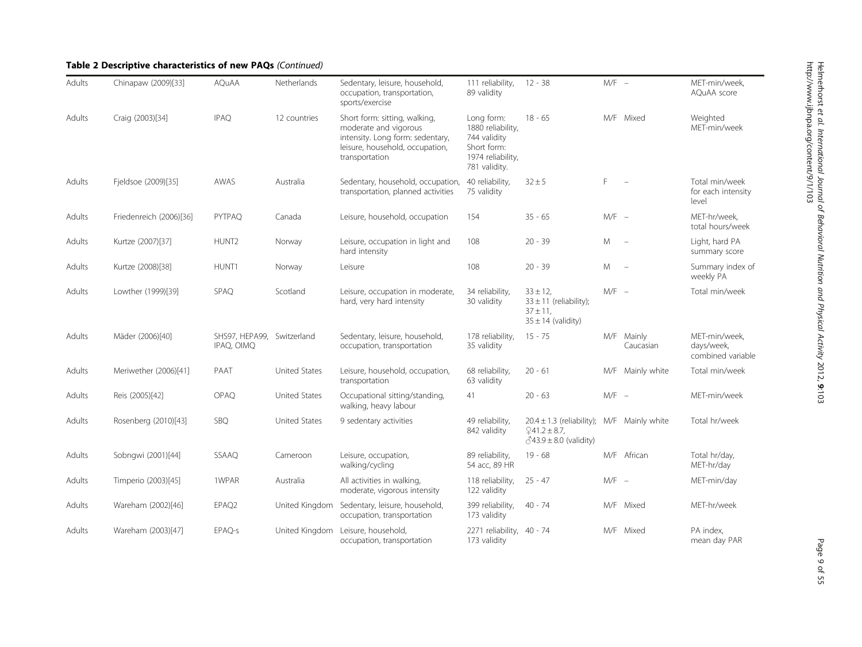| Adults | Chinapaw (2009)[33]     | <b>AQuAA</b>                             | Netherlands          | Sedentary, leisure, household,<br>occupation, transportation,<br>sports/exercise                                                                | 111 reliability,<br>89 validity                                                                      | $12 - 38$                                                                                                | $M/F =$ |                          | MET-min/week,<br>AQuAA score                     |
|--------|-------------------------|------------------------------------------|----------------------|-------------------------------------------------------------------------------------------------------------------------------------------------|------------------------------------------------------------------------------------------------------|----------------------------------------------------------------------------------------------------------|---------|--------------------------|--------------------------------------------------|
| Adults | Craig (2003)[34]        | <b>IPAQ</b>                              | 12 countries         | Short form: sitting, walking,<br>moderate and vigorous<br>intensity. Long form: sedentary,<br>leisure, household, occupation,<br>transportation | Long form:<br>1880 reliability,<br>744 validity<br>Short form:<br>1974 reliability,<br>781 validity. | $18 - 65$                                                                                                |         | M/F Mixed                | Weighted<br>MET-min/week                         |
| Adults | Fjeldsoe (2009)[35]     | AWAS                                     | Australia            | Sedentary, household, occupation,<br>transportation, planned activities                                                                         | 40 reliability,<br>75 validity                                                                       | $32 \pm 5$                                                                                               | F       | $\overline{\phantom{a}}$ | Total min/week<br>for each intensity<br>level    |
| Adults | Friedenreich (2006)[36] | <b>PYTPAO</b>                            | Canada               | Leisure, household, occupation                                                                                                                  | 154                                                                                                  | $35 - 65$                                                                                                | $M/F$ - |                          | MET-hr/week,<br>total hours/week                 |
| Adults | Kurtze (2007)[37]       | HUNT <sub>2</sub>                        | Norway               | Leisure, occupation in light and<br>hard intensity                                                                                              | 108                                                                                                  | $20 - 39$                                                                                                | M       | $\sim$                   | Light, hard PA<br>summary score                  |
| Adults | Kurtze (2008)[38]       | HUNT1                                    | Norway               | Leisure                                                                                                                                         | 108                                                                                                  | $20 - 39$                                                                                                | M       | $\equiv$                 | Summary index of<br>weekly PA                    |
| Adults | Lowther (1999)[39]      | SPAQ                                     | Scotland             | Leisure, occupation in moderate,<br>hard, very hard intensity                                                                                   | 34 reliability,<br>30 validity                                                                       | $33 \pm 12$ ,<br>$33 \pm 11$ (reliability);<br>$37 \pm 11$ ,<br>$35 \pm 14$ (validity)                   | $M/F$ – |                          | Total min/week                                   |
| Adults | Mäder (2006)[40]        | SHS97, HEPA99, Switzerland<br>IPAQ, OIMQ |                      | Sedentary, leisure, household,<br>occupation, transportation                                                                                    | 178 reliability,<br>35 validity                                                                      | $15 - 75$                                                                                                |         | M/F Mainly<br>Caucasian  | MET-min/week,<br>days/week,<br>combined variable |
| Adults | Meriwether (2006)[41]   | PAAT                                     | United States        | Leisure, household, occupation,<br>transportation                                                                                               | 68 reliability,<br>63 validity                                                                       | $20 - 61$                                                                                                |         | M/F Mainly white         | Total min/week                                   |
| Adults | Reis (2005)[42]         | <b>OPAO</b>                              | <b>United States</b> | Occupational sitting/standing,<br>walking, heavy labour                                                                                         | 41                                                                                                   | $20 - 63$                                                                                                | $M/F -$ |                          | MET-min/week                                     |
| Adults | Rosenberg (2010)[43]    | SBQ                                      | United States        | 9 sedentary activities                                                                                                                          | 49 reliability,<br>842 validity                                                                      | $20.4 \pm 1.3$ (reliability); M/F Mainly white<br>$241.2 \pm 8.7$ ,<br>$\sqrt{343.9} \pm 8.0$ (validity) |         |                          | Total hr/week                                    |
| Adults | Sobngwi (2001)[44]      | SSAAQ                                    | Cameroon             | Leisure, occupation,<br>walking/cycling                                                                                                         | 89 reliability,<br>54 acc, 89 HR                                                                     | $19 - 68$                                                                                                |         | M/F African              | Total hr/day,<br>MET-hr/day                      |
| Adults | Timperio (2003)[45]     | 1WPAR                                    | Australia            | All activities in walking,<br>moderate, vigorous intensity                                                                                      | 118 reliability,<br>122 validity                                                                     | $25 - 47$                                                                                                | $M/F -$ |                          | MET-min/day                                      |
| Adults | Wareham (2002)[46]      | EPAQ2                                    | United Kingdom       | Sedentary, leisure, household,<br>occupation, transportation                                                                                    | 399 reliability,<br>173 validity                                                                     | $40 - 74$                                                                                                |         | M/F Mixed                | MET-hr/week                                      |
| Adults | Wareham (2003)[47]      | EPAQ-s                                   | United Kingdom       | Leisure, household,<br>occupation, transportation                                                                                               | 2271 reliability, 40 - 74<br>173 validity                                                            |                                                                                                          |         | M/F Mixed                | PA index.<br>mean day PAR                        |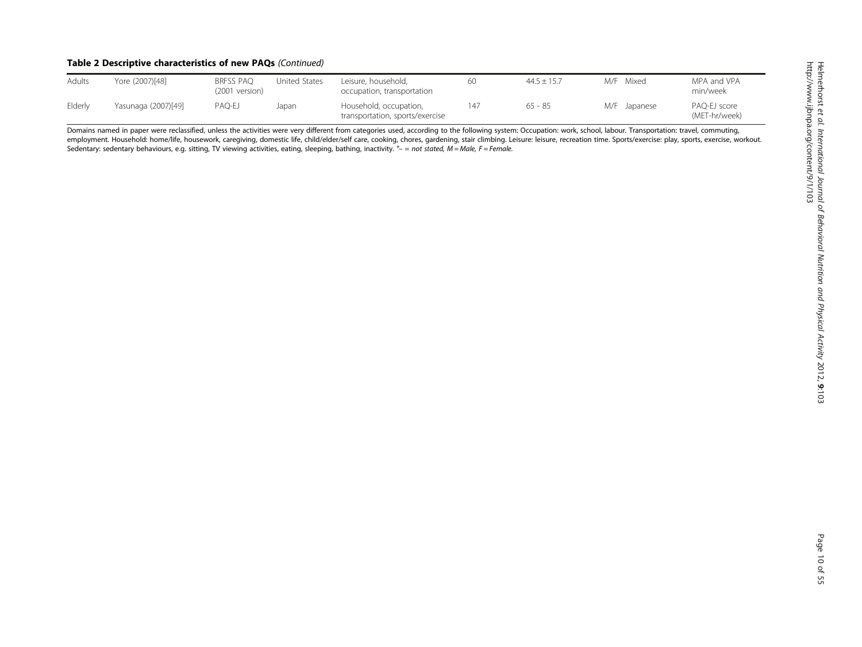| Adults  | Yore (2007)[48]     | <b>BRESS PAO</b><br>(2001 version) | United States | Leisure, household,<br>occupation, transportation         | 60  | $44.5 \pm 15.7$ | M/F Mixed    | MPA and VPA<br>min/week       |
|---------|---------------------|------------------------------------|---------------|-----------------------------------------------------------|-----|-----------------|--------------|-------------------------------|
| Elderly | Yasunaga (2007)[49] | PAQ-EJ                             | Japan         | Household, occupation,<br>transportation, sports/exercise | 147 | $65 - 85$       | M/F Japanese | PAO-EJ score<br>(MET-hr/week) |

Domains named in paper were reclassified, unless the activities were very different from categories used, according to the following system: Occupation: work, school, labour. Transportation: travel, commuting, employment. Household: home/life, housework, caregiving, domestic life, child/elder/self care, cooking, chores, gardening, stair climbing. Leisure: leisure: leisure, recreation time. Sports/exercise: play, sports, exercise Sedentary: sedentary behaviours, e.g. sitting, TV viewing activities, eating, sleeping, bathing, inactivity. " $=$  not stated,  $M = Male$ ,  $F = Female$ .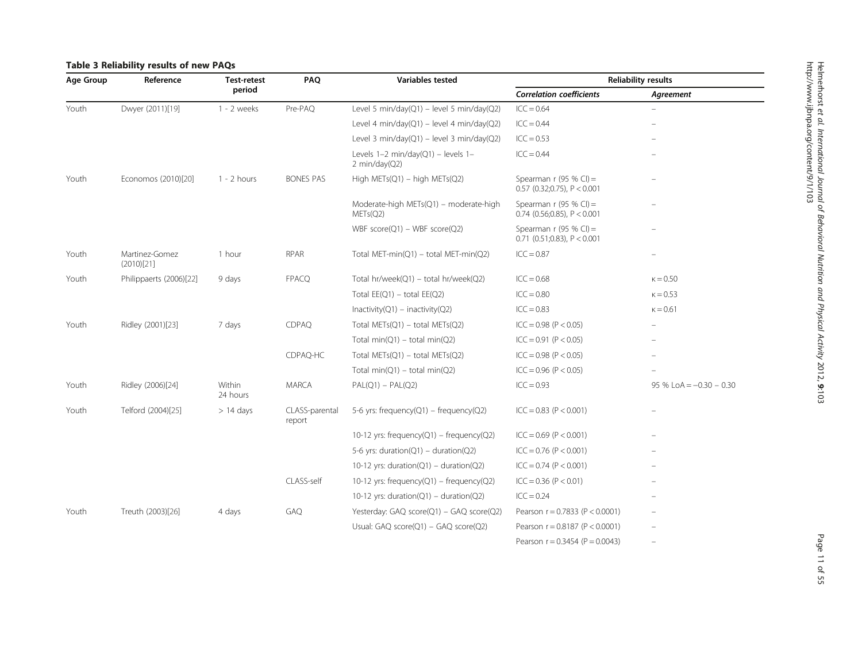# <span id="page-10-0"></span>Table 3 Reliability results of new PAQs

| Age Group | Reference                    | <b>Test-retest</b> | PAQ                      | Variables tested                                            |                                                         | <b>Reliability results</b>  |
|-----------|------------------------------|--------------------|--------------------------|-------------------------------------------------------------|---------------------------------------------------------|-----------------------------|
|           |                              | period             |                          |                                                             | <b>Correlation coefficients</b>                         | Agreement                   |
| Youth     | Dwyer (2011)[19]             | $1 - 2$ weeks      | Pre-PAQ                  | Level 5 min/day(Q1) - level 5 min/day(Q2)                   | $ICC = 0.64$                                            |                             |
|           |                              |                    |                          | Level 4 min/day(Q1) - level 4 min/day(Q2)                   | $ICC = 0.44$                                            |                             |
|           |                              |                    |                          | Level 3 min/day( $Q1$ ) - level 3 min/day( $Q2$ )           | $ICC = 0.53$                                            |                             |
|           |                              |                    |                          | Levels $1-2$ min/day(Q1) - levels $1-$<br>2 min/day( $Q2$ ) | $ICC = 0.44$                                            |                             |
| Youth     | Economos (2010)[20]          | $1 - 2$ hours      | <b>BONES PAS</b>         | High $METs(Q1) - high METs(Q2)$                             | Spearman r (95 % CI) =<br>$0.57$ (0.32;0.75), P < 0.001 |                             |
|           |                              |                    |                          | Moderate-high METs(Q1) – moderate-high<br>METs(Q2)          | Spearman r (95 % Cl) =<br>$0.74$ (0.56;0.85), P < 0.001 |                             |
|           |                              |                    |                          | WBF score( $Q1$ ) – WBF score( $Q2$ )                       | Spearman r (95 % CI) =<br>$0.71$ (0.51;0.83), P < 0.001 |                             |
| Youth     | Martinez-Gomez<br>(2010)[21] | 1 hour             | RPAR                     | Total MET-min( $Q1$ ) – total MET-min( $Q2$ )               | $ICC = 0.87$                                            |                             |
| Youth     | Philippaerts (2006)[22]      | 9 days             | <b>FPACQ</b>             | Total hr/week(Q1) - total hr/week(Q2)                       | $ICC = 0.68$                                            | $\kappa = 0.50$             |
|           |                              |                    |                          | Total $EE(Q1)$ – total $EE(Q2)$                             | $ICC = 0.80$                                            | $K = 0.53$                  |
|           |                              |                    |                          | $Inactivity(Q1) - inactivity(Q2)$                           | $ICC = 0.83$                                            | $K = 0.61$                  |
| Youth     | Ridley (2001)[23]            | 7 days             | CDPAQ                    | Total METs( $Q1$ ) – total METs( $Q2$ )                     | $ICC = 0.98 (P < 0.05)$                                 |                             |
|           |                              |                    |                          | Total $min(Q1) - total min(Q2)$                             | $ICC = 0.91 (P < 0.05)$                                 |                             |
|           |                              |                    | CDPAQ-HC                 | Total METs( $Q1$ ) – total METs( $Q2$ )                     | $ICC = 0.98 (P < 0.05)$                                 |                             |
|           |                              |                    |                          | Total $min(Q1) - total min(Q2)$                             | $ICC = 0.96 (P < 0.05)$                                 |                             |
| Youth     | Ridley (2006)[24]            | Within<br>24 hours | <b>MARCA</b>             | $PAL(Q1) - PAL(Q2)$                                         | $ICC = 0.93$                                            | $95\%$ LoA = $-0.30 - 0.30$ |
| Youth     | Telford (2004)[25]           | $> 14$ days        | CLASS-parental<br>report | 5-6 yrs: frequency( $Q1$ ) – frequency( $Q2$ )              | $ICC = 0.83 (P < 0.001)$                                |                             |
|           |                              |                    |                          | 10-12 yrs: frequency( $Q1$ ) – frequency( $Q2$ )            | $ICC = 0.69 (P < 0.001)$                                |                             |
|           |                              |                    |                          | 5-6 yrs: duration( $Q1$ ) – duration( $Q2$ )                | $ICC = 0.76$ (P < 0.001)                                |                             |
|           |                              |                    |                          | 10-12 yrs: duration( $Q1$ ) – duration( $Q2$ )              | $ICC = 0.74 (P < 0.001)$                                |                             |
|           |                              |                    | CLASS-self               | 10-12 yrs: frequency( $Q1$ ) – frequency( $Q2$ )            | $ICC = 0.36 (P < 0.01)$                                 |                             |
|           |                              |                    |                          | 10-12 yrs: duration( $Q1$ ) – duration( $Q2$ )              | $ICC = 0.24$                                            |                             |
| Youth     | Treuth (2003)[26]            | 4 days             | GAQ                      | Yesterday: GAQ score( $Q1$ ) - GAQ score( $Q2$ )            | Pearson $r = 0.7833$ (P < 0.0001)                       |                             |
|           |                              |                    |                          | Usual: $GAQ score(Q1) - GAQ score(Q2)$                      | Pearson $r = 0.8187$ (P < 0.0001)                       |                             |
|           |                              |                    |                          |                                                             | Pearson $r = 0.3454$ (P = 0.0043)                       |                             |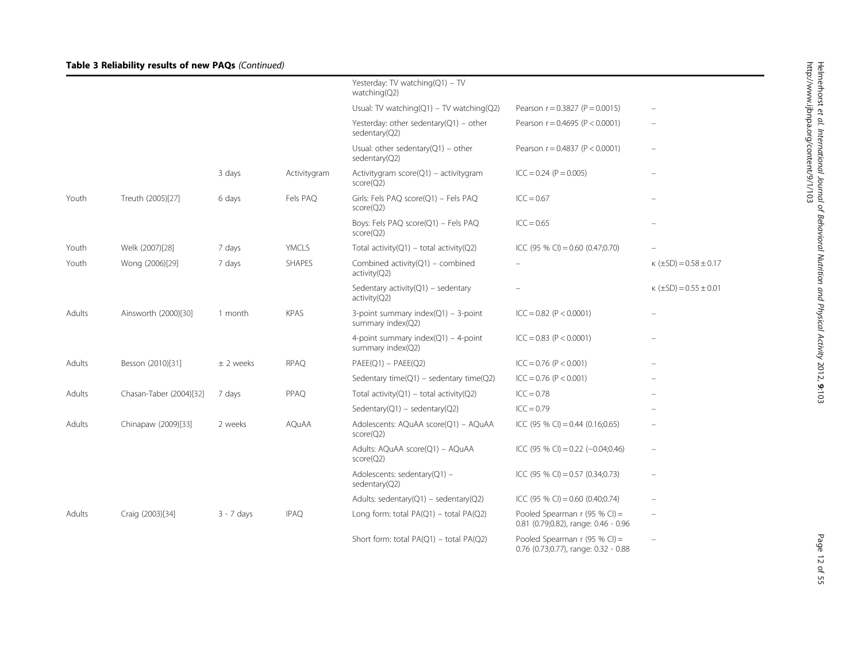# Table 3 Reliability results of new PAQs (Continued)

|        |                         |              |               | Yesterday: TV watching(Q1) - TV<br>watching $(Q2)$           |                                                                       |                             |
|--------|-------------------------|--------------|---------------|--------------------------------------------------------------|-----------------------------------------------------------------------|-----------------------------|
|        |                         |              |               | Usual: TV watching( $Q1$ ) – TV watching( $Q2$ )             | Pearson $r = 0.3827$ (P = 0.0015)                                     |                             |
|        |                         |              |               | Yesterday: other sedentary( $Q1$ ) – other<br>sedentary(Q2)  | Pearson $r = 0.4695$ (P < 0.0001)                                     |                             |
|        |                         |              |               | Usual: other sedentary( $Q1$ ) - other<br>sedentary(Q2)      | Pearson $r = 0.4837$ (P < 0.0001)                                     |                             |
|        |                         | 3 days       | Activitygram  | Activitygram $score(Q1) - activitygram$<br>score(Q2)         | $ICC = 0.24 (P = 0.005)$                                              |                             |
| Youth  | Treuth (2005)[27]       | 6 days       | Fels PAO      | Girls: Fels PAQ score(Q1) - Fels PAQ<br>score(Q2)            | $ICC = 0.67$                                                          |                             |
|        |                         |              |               | Boys: Fels PAQ score(Q1) - Fels PAQ<br>score(Q2)             | $ICC = 0.65$                                                          | $\overline{\phantom{0}}$    |
| Youth  | Welk (2007)[28]         | 7 days       | <b>YMCLS</b>  | Total activity( $Q1$ ) – total activity( $Q2$ )              | ICC (95 % CI) = 0.60 (0.47;0.70)                                      |                             |
| Youth  | Wong (2006)[29]         | 7 days       | <b>SHAPES</b> | Combined activity( $Q1$ ) – combined<br>activity(Q2)         |                                                                       | $K(\pm SD) = 0.58 \pm 0.17$ |
|        |                         |              |               | Sedentary activity( $Q1$ ) - sedentary<br>activity(Q2)       |                                                                       | $K(\pm SD) = 0.55 \pm 0.01$ |
| Adults | Ainsworth (2000)[30]    | 1 month      | <b>KPAS</b>   | 3-point summary index( $Q1$ ) – 3-point<br>summary index(Q2) | $ICC = 0.82 (P < 0.0001)$                                             |                             |
|        |                         |              |               | 4-point summary index( $Q1$ ) – 4-point<br>summary index(Q2) | $ICC = 0.83 (P < 0.0001)$                                             |                             |
| Adults | Besson (2010)[31]       | $±$ 2 weeks  | <b>RPAO</b>   | $PAEE(Q1) - PAEE(Q2)$                                        | $ICC = 0.76 (P < 0.001)$                                              |                             |
|        |                         |              |               | Sedentary time( $Q1$ ) – sedentary time( $Q2$ )              | $ICC = 0.76 (P < 0.001)$                                              |                             |
| Adults | Chasan-Taber (2004)[32] | 7 days       | PPAQ          | Total activity( $Q1$ ) – total activity( $Q2$ )              | $ICC = 0.78$                                                          |                             |
|        |                         |              |               | Sedentary( $Q1$ ) – sedentary( $Q2$ )                        | $ICC = 0.79$                                                          |                             |
| Adults | Chinapaw (2009)[33]     | 2 weeks      | <b>AQuAA</b>  | Adolescents: AQuAA score(Q1) - AQuAA<br>score(Q2)            | ICC (95 % CI) = 0.44 (0.16;0.65)                                      |                             |
|        |                         |              |               | Adults: AQuAA score(Q1) - AQuAA<br>score(Q2)                 | ICC (95 % CI) = $0.22$ (-0.04;0.46)                                   |                             |
|        |                         |              |               | Adolescents: sedentary( $Q1$ ) -<br>sedentary(Q2)            | ICC (95 % CI) = $0.57$ (0.34;0.73)                                    |                             |
|        |                         |              |               | Adults: sedentary( $Q1$ ) – sedentary( $Q2$ )                | ICC (95 % CI) = $0.60$ (0.40;0.74)                                    |                             |
| Adults | Craig (2003)[34]        | $3 - 7$ days | <b>IPAQ</b>   | Long form: total $PA(Q1) - total PA(Q2)$                     | Pooled Spearman r (95 % CI) =<br>0.81 (0.79;0.82), range: 0.46 - 0.96 | L.                          |
|        |                         |              |               | Short form: total $PA(Q1)$ – total $PA(Q2)$                  | Pooled Spearman r (95 % CI) =<br>0.76 (0.73;0.77), range: 0.32 - 0.88 | $\overline{\phantom{0}}$    |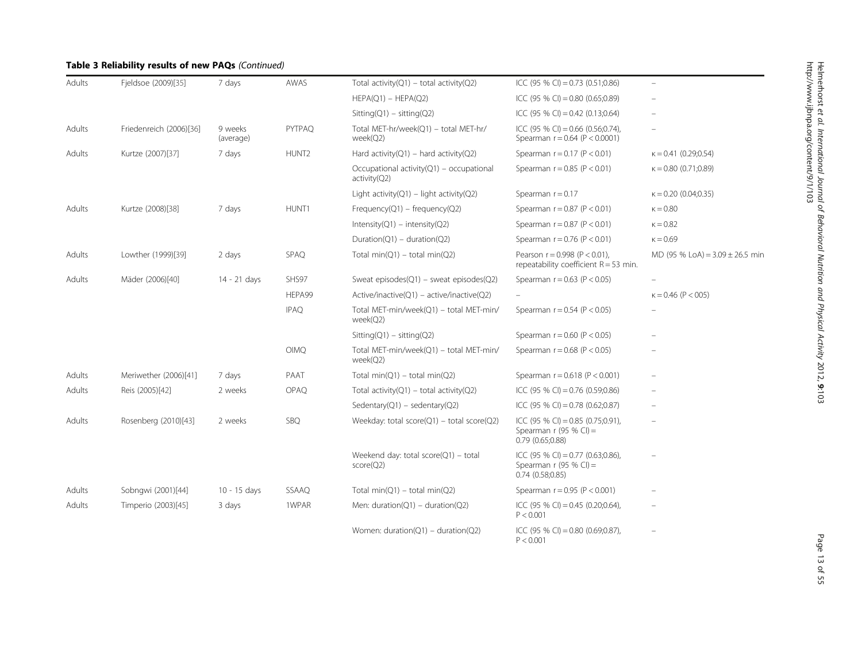# Table 3 Reliability results of new PAQs (Continued)

| Adults | Fieldsoe (2009)[35]     | 7 days               | AWAS              | Total activity( $Q1$ ) – total activity( $Q2$ )              | ICC (95 % CI) = 0.73 (0.51;0.86)                                                | $\equiv$                            |
|--------|-------------------------|----------------------|-------------------|--------------------------------------------------------------|---------------------------------------------------------------------------------|-------------------------------------|
|        |                         |                      |                   | $HEPA(Q1) - HEPA(Q2)$                                        |                                                                                 |                                     |
|        |                         |                      |                   |                                                              | ICC (95 % CI) = 0.80 (0.65;0.89)                                                |                                     |
|        |                         |                      |                   | $Stting(Q1) - sitting(Q2)$                                   | ICC (95 % CI) = 0.42 (0.13;0.64)                                                |                                     |
| Adults | Friedenreich (2006)[36] | 9 weeks<br>(average) | PYTPAQ            | Total MET-hr/week(Q1) - total MET-hr/<br>week(Q2)            | ICC (95 % CI) = 0.66 (0.56;0.74),<br>Spearman $r = 0.64$ (P < 0.0001)           |                                     |
| Adults | Kurtze (2007)[37]       | 7 days               | HUNT <sub>2</sub> | Hard activity( $Q1$ ) – hard activity( $Q2$ )                | Spearman $r = 0.17$ (P < 0.01)                                                  | $K = 0.41(0.29; 0.54)$              |
|        |                         |                      |                   | Occupational activity( $Q1$ ) – occupational<br>activity(Q2) | Spearman $r = 0.85$ (P < 0.01)                                                  | $K = 0.80$ (0.71;0.89)              |
|        |                         |                      |                   | Light activity( $Q1$ ) – light activity( $Q2$ )              | Spearman $r = 0.17$                                                             | $K = 0.20$ (0.04;0.35)              |
| Adults | Kurtze (2008)[38]       | 7 days               | HUNT1             | Frequency( $Q1$ ) – frequency( $Q2$ )                        | Spearman $r = 0.87$ (P < 0.01)                                                  | $K = 0.80$                          |
|        |                         |                      |                   | Intensity( $Q1$ ) – intensity( $Q2$ )                        | Spearman $r = 0.87$ (P < 0.01)                                                  | $K = 0.82$                          |
|        |                         |                      |                   | Duration( $Q1$ ) – duration( $Q2$ )                          | Spearman $r = 0.76$ (P < 0.01)                                                  | $K = 0.69$                          |
| Adults | Lowther (1999)[39]      | 2 days               | SPAQ              | Total min( $Q1$ ) – total min( $Q2$ )                        | Pearson $r = 0.998$ (P < 0.01),<br>repeatability coefficient $R = 53$ min.      | MD (95 % LoA) = $3.09 \pm 26.5$ min |
| Adults | Mäder (2006)[40]        | 14 - 21 days         | SHS97             | Sweat episodes( $Q1$ ) – sweat episodes( $Q2$ )              | Spearman $r = 0.63$ (P < 0.05)                                                  |                                     |
|        |                         |                      | HEPA99            | $Active/inactive(Q1) - active/inactive(Q2)$                  |                                                                                 | $K = 0.46$ (P < 005)                |
|        |                         |                      | <b>IPAQ</b>       | Total MET-min/week(Q1) - total MET-min/<br>week(Q2)          | Spearman $r = 0.54$ (P < 0.05)                                                  |                                     |
|        |                         |                      |                   | $Stting(Q1) - sitting(Q2)$                                   | Spearman $r = 0.60$ (P < 0.05)                                                  |                                     |
|        |                         |                      | <b>OIMQ</b>       | Total MET-min/week(Q1) - total MET-min/<br>week(Q2)          | Spearman $r = 0.68$ (P < 0.05)                                                  |                                     |
| Adults | Meriwether (2006)[41]   | 7 days               | PAAT              | Total min( $Q1$ ) – total min( $Q2$ )                        | Spearman $r = 0.618$ (P < 0.001)                                                |                                     |
| Adults | Reis (2005)[42]         | 2 weeks              | OPAQ              | Total activity( $Q1$ ) – total activity( $Q2$ )              | ICC (95 % CI) = 0.76 (0.59;0.86)                                                |                                     |
|        |                         |                      |                   | Sedentary( $Q1$ ) – sedentary( $Q2$ )                        | ICC (95 % CI) = 0.78 (0.62;0.87)                                                |                                     |
| Adults | Rosenberg (2010)[43]    | 2 weeks              | SBQ               | Weekday: total score( $Q1$ ) - total score( $Q2$ )           | ICC (95 % CI) = 0.85 (0.75;0.91),<br>Spearman r (95 % CI) =<br>0.79 (0.65;0.88) |                                     |
|        |                         |                      |                   | Weekend day: total $score(Q1) - total$<br>score(Q2)          | ICC (95 % CI) = 0.77 (0.63;0.86),<br>Spearman r (95 % Cl) =<br>0.74(0.58;0.85)  |                                     |
| Adults | Sobngwi (2001)[44]      | 10 - 15 days         | SSAAQ             | Total min( $Q1$ ) – total min( $Q2$ )                        | Spearman $r = 0.95$ (P < 0.001)                                                 |                                     |
| Adults | Timperio (2003)[45]     | 3 days               | 1WPAR             | Men: duration( $Q1$ ) – duration( $Q2$ )                     | ICC (95 % CI) = 0.45 (0.20;0.64),<br>P < 0.001                                  |                                     |
|        |                         |                      |                   | Women: duration( $Q1$ ) – duration( $Q2$ )                   | ICC (95 % CI) = 0.80 (0.69;0.87),<br>P < 0.001                                  |                                     |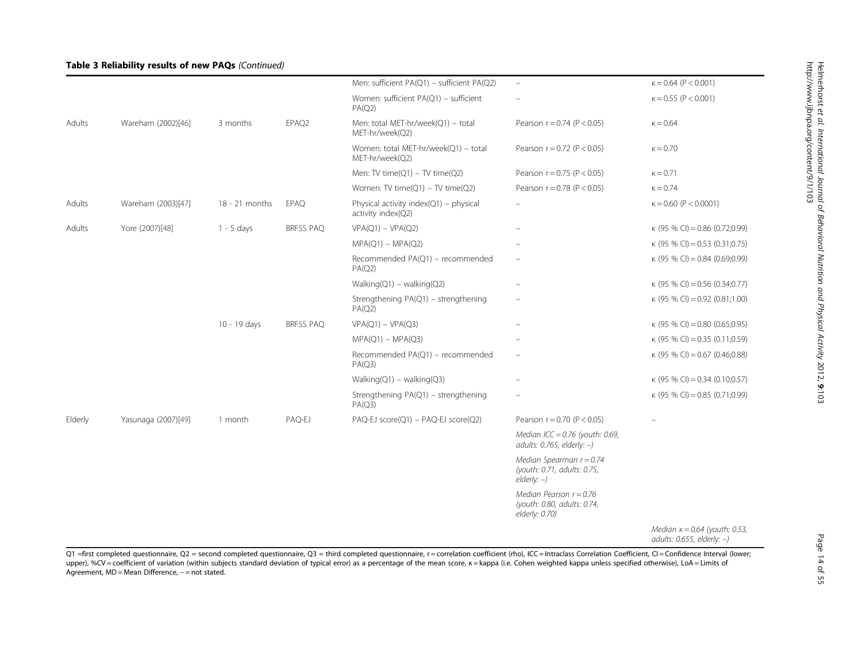#### Table 3 Reliability results of new PAQs (Continued)

|         |                     |                |                  | Men: sufficient PA(Q1) - sufficient PA(Q2)                       | $\overline{\phantom{m}}$                                                   | $K = 0.64$ (P < 0.001)                                             |
|---------|---------------------|----------------|------------------|------------------------------------------------------------------|----------------------------------------------------------------------------|--------------------------------------------------------------------|
|         |                     |                |                  | Women: sufficient PA(Q1) - sufficient<br>PA(Q2)                  |                                                                            | $K = 0.55$ (P < 0.001)                                             |
| Adults  | Wareham (2002)[46]  | 3 months       | EPAQ2            | Men: total MET-hr/week(Q1) - total<br>MET-hr/week(Q2)            | Pearson $r = 0.74$ (P < 0.05)                                              | $K = 0.64$                                                         |
|         |                     |                |                  | Women: total MET-hr/week(Q1) - total<br>MET-hr/week(Q2)          | Pearson $r = 0.72$ (P < 0.05)                                              | $K = 0.70$                                                         |
|         |                     |                |                  | Men: TV time( $Q1$ ) – TV time( $Q2$ )                           | Pearson $r = 0.75$ (P < 0.05)                                              | $K = 0.71$                                                         |
|         |                     |                |                  | Women: TV time( $Q1$ ) – TV time( $Q2$ )                         | Pearson $r = 0.78$ (P < 0.05)                                              | $K = 0.74$                                                         |
| Adults  | Wareham (2003)[47]  | 18 - 21 months | EPAO             | Physical activity index( $Q1$ ) – physical<br>activity index(Q2) |                                                                            | $K = 0.60$ (P < 0.0001)                                            |
| Adults  | Yore (2007)[48]     | $1 - 5$ days   | <b>BRFSS PAQ</b> | $VPA(Q1) - VPA(Q2)$                                              |                                                                            | $K$ (95 % CI) = 0.86 (0.72;0.99)                                   |
|         |                     |                |                  | $MPA(Q1) - MPA(Q2)$                                              |                                                                            | $K$ (95 % CI) = 0.53 (0.31;0.75)                                   |
|         |                     |                |                  | Recommended PA(Q1) - recommended<br>PA(Q2)                       |                                                                            | $K$ (95 % CI) = 0.84 (0.69;0.99)                                   |
|         |                     |                |                  | $Walking(Q1) - walking(Q2)$                                      |                                                                            | $K$ (95 % CI) = 0.56 (0.34;0.77)                                   |
|         |                     |                |                  | Strengthening PA(Q1) - strengthening<br>PA(Q2)                   |                                                                            | $K$ (95 % CI) = 0.92 (0.81;1.00)                                   |
|         |                     | 10 - 19 days   | <b>BRFSS PAQ</b> | $VPA(Q1) - VPA(Q3)$                                              |                                                                            | $K$ (95 % CI) = 0.80 (0.65;0.95)                                   |
|         |                     |                |                  | $MPA(Q1) - MPA(Q3)$                                              |                                                                            | $K$ (95 % CI) = 0.35 (0.11;0.59)                                   |
|         |                     |                |                  | Recommended PA(Q1) - recommended<br>PA(Q3)                       | $\overline{\phantom{a}}$                                                   | $K$ (95 % CI) = 0.67 (0.46;0.88)                                   |
|         |                     |                |                  | $Walking(Q1) - walking(Q3)$                                      | $\sim$                                                                     | $K$ (95 % CI) = 0.34 (0.10;0.57)                                   |
|         |                     |                |                  | Strengthening PA(Q1) - strengthening<br>PA(Q3)                   |                                                                            | $K$ (95 % CI) = 0.85 (0.71;0.99)                                   |
| Elderly | Yasunaga (2007)[49] | 1 month        | PAQ-EJ           | PAQ-EJ score(Q1) - PAQ-EJ score(Q2)                              | Pearson $r = 0.70$ (P < 0.05)                                              |                                                                    |
|         |                     |                |                  |                                                                  | Median ICC = 0.76 (youth: 0.69,<br>adults: 0.765, elderly: $-$ )           |                                                                    |
|         |                     |                |                  |                                                                  | Median Spearman $r = 0.74$<br>(youth: 0.71, adults: 0.75,<br>$elderly: -)$ |                                                                    |
|         |                     |                |                  |                                                                  | Median Pearson $r = 0.76$<br>(youth: 0.80, adults: 0.74,<br>elderly: 0.70) |                                                                    |
|         |                     |                |                  |                                                                  |                                                                            | Median $\kappa = 0.64$ (youth: 0.53,<br>adults: 0.655, elderly: -) |

 $Q1$  =first completed questionnaire,  $Q2$  = second completed questionnaire,  $Q3$  = third completed questionnaire, r = correlation coefficient (rho), ICC = Intraclass Correlation Coefficient, CI = Confidence Interval (lowe upper), %CV = coefficient of variation (within subjects standard deviation of typical error) as a percentage of the mean score, κ = kappa (i.e. Cohen weighted kappa unless specified otherwise), LoA = Limits of Agreement, MD = Mean Difference, – = not stated.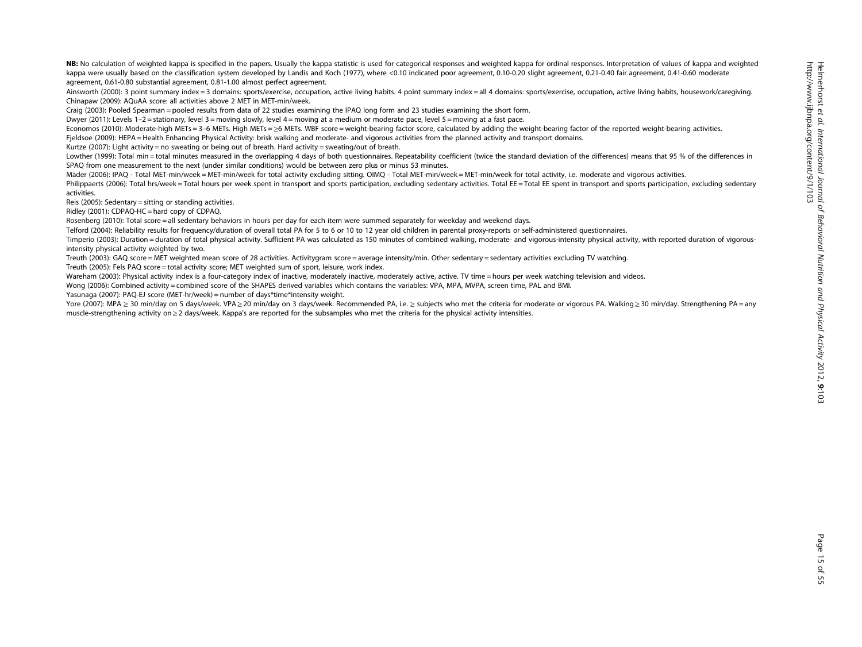NB: No calculation of weighted kappa is specified in the papers. Usually the kappa statistic is used for categorical responses and weighted kappa for ordinal responses. Interpretation of values of kappa and weighted kappa were usually based on the classification system developed by Landis and Koch (1977), where <0.10 indicated poor agreement, 0.10-0.20 slight agreement, 0.21-0.40 fair agreement, 0.41-0.60 moderate agreement, 0.61-0.80 substantial agreement, 0.81-1.00 almost perfect agreement.

Ainsworth (2000): 3 point summary index = 3 domains: sports/exercise, occupation, active living habits. 4 point summary index = all 4 domains: sports/exercise, occupation, active living habits, housework/caregiving. Chinapaw (2009): AQuAA score: all activities above 2 MET in MET-min/week.

Craig (2003): Pooled Spearman = pooled results from data of 22 studies examining the IPAQ long form and 23 studies examining the short form.

Dwyer (2011): Levels 1–2 = stationary, level 3 = moving slowly, level 4 = moving at a medium or moderate pace, level 5 = moving at a fast pace.

Economos (2010): Moderate-high METs = 3–6 METs. High METs =  $\geq 6$  METs. WBF score = weight-bearing factor score, calculated by adding the weight-bearing factor of the reported weight-bearing activities.

Fieldsoe (2009): HEPA = Health Enhancing Physical Activity: brisk walking and moderate- and vigorous activities from the planned activity and transport domains.

Kurtze (2007): Light activity = no sweating or being out of breath. Hard activity = sweating/out of breath.

Lowther (1999): Total min = total minutes measured in the overlapping 4 days of both questionnaires. Repeatability coefficient (twice the standard deviation of the differences) means that 95 % of the differences in SPAQ from one measurement to the next (under similar conditions) would be between zero plus or minus 53 minutes.

Mäder (2006): IPAQ - Total MET-min/week = MET-min/week for total activity excluding sitting. OIMQ - Total MET-min/week = MET-min/week for total activity, i.e. moderate and vigorous activities.

Philippaerts (2006): Total hrs/week = Total hours per week spent in transport and sports participation, excluding sedentary activities. Total EE = Total EE spent in transport and sports participation, excluding sedentary activities.

Reis (2005): Sedentary = sitting or standing activities.

Ridley (2001): CDPAQ-HC = hard copy of CDPAQ.

Rosenberg (2010): Total score = all sedentary behaviors in hours per day for each item were summed separately for weekday and weekend days.

Telford (2004): Reliability results for frequency/duration of overall total PA for 5 to 6 or 10 to 12 year old children in parental proxy-reports or self-administered questionnaires.

Timperio (2003): Duration = duration of total physical activity. Sufficient PA was calculated as 150 minutes of combined walking, moderate- and vigorous-intensity physical activity, with reported duration of vigorousintensity physical activity weighted by two.

Treuth (2003): GAQ score = MET weighted mean score of 28 activities. Activitygram score = average intensity/min. Other sedentary = sedentary activities excluding TV watching.

Treuth (2005): Fels PAQ score = total activity score; MET weighted sum of sport, leisure, work index.

Wareham (2003): Physical activity index is a four-category index of inactive, moderately inactive, moderately active, active. TV time = hours per week watching television and videos.

Wong (2006): Combined activity = combined score of the SHAPES derived variables which contains the variables: VPA, MPA, MVPA, screen time, PAL and BMI.

Yasunaga (2007): PAQ-EJ score (MET-hr/week) = number of days\*time\*intensity weight.

Yore (2007): MPA ≥ 30 min/day on 5 days/week. VPA ≥ 20 min/day on 3 days/week. Recommended PA, i.e. ≥ subjects who met the criteria for moderate or vigorous PA. Walking ≥ 30 min/day. Strengthening PA = any muscle-strengthening activity on ≥ 2 days/week. Kappa's are reported for the subsamples who met the criteria for the physical activity intensities.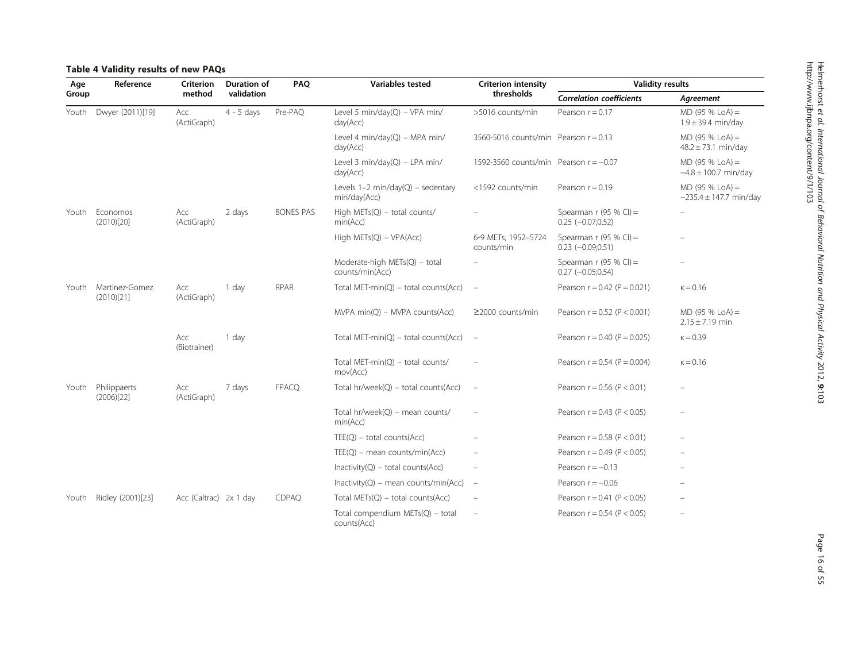# <span id="page-15-0"></span>Table 4 Validity results of new PAQs

| Age   | Reference                    | PAQ<br><b>Variables tested</b><br><b>Validity results</b><br>Criterion<br><b>Duration of</b><br><b>Criterion intensity</b> |              |                  |                                                     |                                          |                                                |                                                 |
|-------|------------------------------|----------------------------------------------------------------------------------------------------------------------------|--------------|------------------|-----------------------------------------------------|------------------------------------------|------------------------------------------------|-------------------------------------------------|
| Group |                              | method                                                                                                                     | validation   |                  |                                                     | thresholds                               | <b>Correlation coefficients</b>                | Agreement                                       |
| Youth | Dwyer (2011)[19]             | Acc<br>(ActiGraph)                                                                                                         | $4 - 5$ days | Pre-PAQ          | Level 5 min/day( $Q$ ) – VPA min/<br>day(Acc)       | >5016 counts/min                         | Pearson $r = 0.17$                             | $MD (95 % LoA) =$<br>$1.9 \pm 39.4$ min/day     |
|       |                              |                                                                                                                            |              |                  | Level 4 min/day( $Q$ ) – MPA min/<br>day(Acc)       | 3560-5016 counts/min Pearson $r = 0.13$  |                                                | $MD (95 % LoA) =$<br>$48.2 \pm 73.1$ min/day    |
|       |                              |                                                                                                                            |              |                  | Level 3 min/day( $Q$ ) - LPA min/<br>day(Acc)       | 1592-3560 counts/min Pearson $r = -0.07$ |                                                | $MD (95 % LoA) =$<br>$-4.8 \pm 100.7$ min/day   |
|       |                              |                                                                                                                            |              |                  | Levels $1-2$ min/day(Q) - sedentary<br>min/day(Acc) | <1592 counts/min                         | Pearson $r = 0.19$                             | $MD (95 % LoA) =$<br>$-235.4 \pm 147.7$ min/day |
| Youth | Economos<br>(2010)[20]       | Acc<br>(ActiGraph)                                                                                                         | 2 days       | <b>BONES PAS</b> | High $METs(Q)$ – total counts/<br>min(Acc)          |                                          | Spearman r (95 % CI) =<br>$0.25 (-0.07; 0.52)$ |                                                 |
|       |                              |                                                                                                                            |              |                  | High $METs(Q) - VPA(Acc)$                           | 6-9 METs, 1952-5724<br>counts/min        | Spearman r (95 % CI) =<br>$0.23 (-0.09; 0.51)$ |                                                 |
|       |                              |                                                                                                                            |              |                  | Moderate-high $METs(Q)$ – total<br>counts/min(Acc)  |                                          | Spearman r (95 % CI) =<br>$0.27 (-0.05; 0.54)$ |                                                 |
| Youth | Martinez-Gomez<br>(2010)[21] | Acc<br>(ActiGraph)                                                                                                         | 1 day        | <b>RPAR</b>      | Total MET-min( $Q$ ) – total counts(Acc)            | $\overline{\phantom{a}}$                 | Pearson $r = 0.42$ (P = 0.021)                 | $K = 0.16$                                      |
|       |                              |                                                                                                                            |              |                  | $MVPA min(Q) - MVPA counts(Acc)$                    | $\geq$ 2000 counts/min                   | Pearson $r = 0.52$ (P < 0.001)                 | $MD (95 % LoA) =$<br>$2.15 \pm 7.19$ min        |
|       |                              | Acc<br>(Biotrainer)                                                                                                        | 1 day        |                  | Total MET-min( $Q$ ) – total counts(Acc)            | $\equiv$                                 | Pearson $r = 0.40$ (P = 0.025)                 | $K = 0.39$                                      |
|       |                              |                                                                                                                            |              |                  | Total MET-min(Q) - total counts/<br>mov(Acc)        |                                          | Pearson $r = 0.54$ (P = 0.004)                 | $K = 0.16$                                      |
| Youth | Philippaerts<br>(2006)[22]   | Acc<br>(ActiGraph)                                                                                                         | 7 days       | <b>FPACQ</b>     | Total hr/week( $Q$ ) – total counts(Acc)            | $\sim$                                   | Pearson $r = 0.56$ (P < 0.01)                  | $\equiv$                                        |
|       |                              |                                                                                                                            |              |                  | Total hr/week( $Q$ ) – mean counts/<br>min(Acc)     |                                          | Pearson $r = 0.43$ (P < 0.05)                  |                                                 |
|       |                              |                                                                                                                            |              |                  | $\mathsf{TEE}(\mathsf{Q})$ – total counts(Acc)      |                                          | Pearson $r = 0.58$ (P < 0.01)                  |                                                 |
|       |                              |                                                                                                                            |              |                  | $\mathsf{TEE}(Q)$ – mean counts/min(Acc)            |                                          | Pearson $r = 0.49$ (P < 0.05)                  |                                                 |
|       |                              |                                                                                                                            |              |                  | $Inactivity(Q) - total counts(Acc)$                 |                                          | Pearson $r = -0.13$                            |                                                 |
|       |                              |                                                                                                                            |              |                  | $Inactivity(Q)$ – mean counts/min(Acc)              | $\overline{\phantom{m}}$                 | Pearson $r = -0.06$                            |                                                 |
| Youth | Ridley (2001)[23]            | Acc (Caltrac) 2x 1 day                                                                                                     |              | CDPAQ            | Total $METs(Q)$ – total counts(Acc)                 | $\sim$                                   | Pearson $r = 0.41$ (P < 0.05)                  |                                                 |
|       |                              |                                                                                                                            |              |                  | Total compendium METs(Q) - total<br>counts(Acc)     | $\overline{\phantom{m}}$                 | Pearson $r = 0.54$ (P < 0.05)                  | $\qquad \qquad =$                               |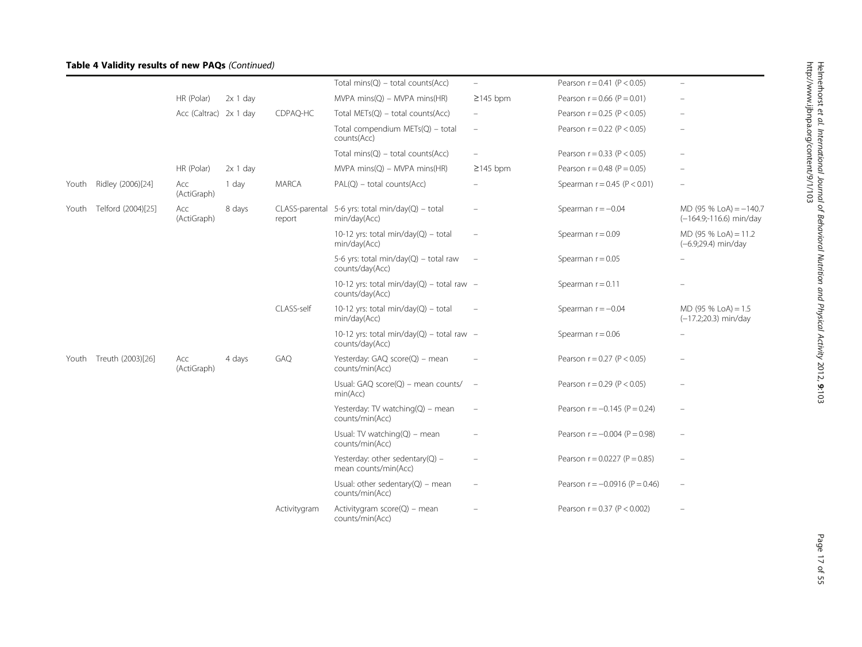|       |                         |                        |            |                          | Total mins( $Q$ ) – total counts(Acc)                            |                          | Pearson $r = 0.41$ (P < 0.05)    |                                                     |
|-------|-------------------------|------------------------|------------|--------------------------|------------------------------------------------------------------|--------------------------|----------------------------------|-----------------------------------------------------|
|       |                         | HR (Polar)             | $2x$ 1 day |                          | $MVPA$ mins( $Q$ ) – MVPA mins(HR)                               | $\geq$ 145 bpm           | Pearson $r = 0.66$ (P = 0.01)    |                                                     |
|       |                         | Acc (Caltrac) 2x 1 day |            | CDPAQ-HC                 | Total METs( $Q$ ) – total counts(Acc)                            | $\overline{\phantom{0}}$ | Pearson $r = 0.25$ (P < 0.05)    |                                                     |
|       |                         |                        |            |                          | Total compendium METs(Q) - total<br>counts(Acc)                  | $\overline{\phantom{0}}$ | Pearson $r = 0.22$ (P < 0.05)    |                                                     |
|       |                         |                        |            |                          | Total $min(SQ) - total counts(Acc)$                              | $\overline{\phantom{0}}$ | Pearson $r = 0.33$ (P < 0.05)    | ÷                                                   |
|       |                         | HR (Polar)             | $2x$ 1 day |                          | $MVPA \text{ mins}(Q) - MVPA \text{ mins}(HR)$                   | $\geq$ 145 bpm           | Pearson $r = 0.48$ (P = 0.05)    |                                                     |
|       | Youth Ridley (2006)[24] | Acc<br>(ActiGraph)     | 1 day      | <b>MARCA</b>             | $PAL(Q) - total counts(Acc)$                                     |                          | Spearman $r = 0.45$ (P < 0.01)   | $\overline{\phantom{m}}$                            |
| Youth | Telford (2004)[25]      | Acc<br>(ActiGraph)     | 8 days     | CLASS-parental<br>report | 5-6 yrs: total min/day(Q) - total<br>min/day(Acc)                |                          | Spearman $r = -0.04$             | MD (95 % LoA) $= -140.7$<br>(-164.9;-116.6) min/day |
|       |                         |                        |            |                          | 10-12 yrs: total min/day( $Q$ ) – total<br>min/day(Acc)          |                          | Spearman $r = 0.09$              | MD (95 % LoA) = 11.2<br>$(-6.9;29.4)$ min/day       |
|       |                         |                        |            |                          | 5-6 yrs: total min/day( $Q$ ) – total raw<br>counts/day(Acc)     | $\overline{\phantom{a}}$ | Spearman $r = 0.05$              | $\overline{\phantom{0}}$                            |
|       |                         |                        |            |                          | 10-12 yrs: total min/day( $Q$ ) – total raw –<br>counts/day(Acc) |                          | Spearman $r = 0.11$              |                                                     |
|       |                         |                        |            | CLASS-self               | 10-12 yrs: total min/day(Q) - total<br>min/day(Acc)              |                          | Spearman $r = -0.04$             | $MD (95 % LoA) = 1.5$<br>(-17.2;20.3) min/day       |
|       |                         |                        |            |                          | 10-12 yrs: total min/day( $Q$ ) – total raw –<br>counts/day(Acc) |                          | Spearman $r = 0.06$              |                                                     |
| Youth | Treuth (2003)[26]       | Acc<br>(ActiGraph)     | 4 days     | GAQ                      | Yesterday: GAQ score(Q) - mean<br>counts/min(Acc)                |                          | Pearson $r = 0.27$ (P < 0.05)    |                                                     |
|       |                         |                        |            |                          | Usual: GAQ score( $Q$ ) – mean counts/ –<br>min(Acc)             |                          | Pearson $r = 0.29$ (P < 0.05)    | ÷                                                   |
|       |                         |                        |            |                          | Yesterday: TV watching( $Q$ ) – mean<br>counts/min(Acc)          | $\overline{\phantom{0}}$ | Pearson $r = -0.145$ (P = 0.24)  | $\overline{\phantom{a}}$                            |
|       |                         |                        |            |                          | Usual: TV watching( $Q$ ) – mean<br>counts/min(Acc)              |                          | Pearson $r = -0.004$ (P = 0.98)  | $\overline{\phantom{a}}$                            |
|       |                         |                        |            |                          | Yesterday: other sedentary( $Q$ ) -<br>mean counts/min(Acc)      |                          | Pearson $r = 0.0227$ (P = 0.85)  | $\sim$                                              |
|       |                         |                        |            |                          | Usual: other sedentary( $Q$ ) – mean<br>counts/min(Acc)          |                          | Pearson $r = -0.0916$ (P = 0.46) | $\overline{\phantom{a}}$                            |
|       |                         |                        |            | Activitygram             | Activitygram score $(Q)$ – mean<br>counts/min(Acc)               |                          | Pearson $r = 0.37$ (P < 0.002)   |                                                     |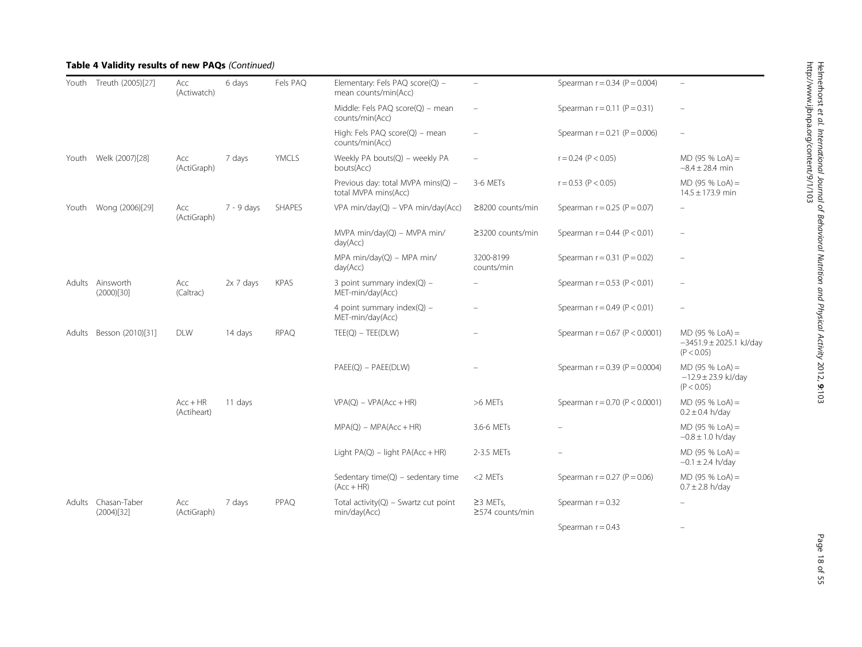| Youth  | Treuth (2005)[27]                 | Acc<br>(Actiwatch)        | 6 days       | Fels PAQ      | Elementary: Fels PAQ score(Q) -<br>mean counts/min(Acc)    | $\equiv$                                | Spearman $r = 0.34$ (P = 0.004)    | $=$                                                            |
|--------|-----------------------------------|---------------------------|--------------|---------------|------------------------------------------------------------|-----------------------------------------|------------------------------------|----------------------------------------------------------------|
|        |                                   |                           |              |               | Middle: Fels PAQ score(Q) - mean<br>counts/min(Acc)        | $\overline{\phantom{a}}$                | Spearman $r = 0.11$ ( $P = 0.31$ ) | $\equiv$                                                       |
|        |                                   |                           |              |               | High: Fels PAQ score(Q) - mean<br>counts/min(Acc)          | $\overline{\phantom{a}}$                | Spearman $r = 0.21$ (P = 0.006)    | $\overline{\phantom{m}}$                                       |
| Youth  | Welk (2007)[28]                   | Acc<br>(ActiGraph)        | 7 days       | YMCLS         | Weekly PA bouts( $Q$ ) – weekly PA<br>bouts(Acc)           | $\overline{\phantom{a}}$                | $r = 0.24$ (P < 0.05)              | $MD (95 % LOA) =$<br>$-8.4 \pm 28.4$ min                       |
|        |                                   |                           |              |               | Previous day: total MVPA mins(Q) -<br>total MVPA mins(Acc) | 3-6 METs                                | $r = 0.53$ (P < 0.05)              | $MD (95 % LoA) =$<br>$14.5 \pm 173.9$ min                      |
| Youth  | Wong (2006)[29]                   | Acc<br>(ActiGraph)        | $7 - 9$ days | <b>SHAPES</b> | VPA min/day(Q) - VPA min/day(Acc)                          | ≥8200 counts/min                        | Spearman $r = 0.25$ (P = 0.07)     | $\equiv$                                                       |
|        |                                   |                           |              |               | MVPA min/day( $Q$ ) – MVPA min/<br>day(Acc)                | ≥3200 counts/min                        | Spearman $r = 0.44$ (P < 0.01)     | $\equiv$                                                       |
|        |                                   |                           |              |               | MPA min/day( $Q$ ) – MPA min/<br>day(Acc)                  | 3200-8199<br>counts/min                 | Spearman $r = 0.31$ (P = 0.02)     | $\equiv$                                                       |
|        | Adults Ainsworth<br>(2000)[30]    | Acc<br>(Caltrac)          | $2x$ 7 days  | <b>KPAS</b>   | 3 point summary index( $Q$ ) -<br>MET-min/day(Acc)         |                                         | Spearman $r = 0.53$ (P < 0.01)     | $\equiv$                                                       |
|        |                                   |                           |              |               | 4 point summary index( $Q$ ) -<br>MET-min/day(Acc)         |                                         | Spearman $r = 0.49$ (P < 0.01)     | $\equiv$                                                       |
| Adults | Besson (2010)[31]                 | <b>DLW</b>                | 14 days      | <b>RPAQ</b>   | $\mathsf{TEE}(Q) - \mathsf{TEE}(DLW)$                      |                                         | Spearman $r = 0.67$ (P < 0.0001)   | $MD (95 % LoA) =$<br>$-3451.9 \pm 2025.1$ kJ/day<br>(P < 0.05) |
|        |                                   |                           |              |               | $PAEE(Q) - PAEE(DLW)$                                      |                                         | Spearman $r = 0.39$ (P = 0.0004)   | $MD (95 % LoA) =$<br>$-12.9 \pm 23.9$ kJ/day<br>(P < 0.05)     |
|        |                                   | $Acc + HR$<br>(Actiheart) | 11 days      |               | $VPA(Q) - VPA(Acc + HR)$                                   | >6 METs                                 | Spearman $r = 0.70$ (P < 0.0001)   | $MD (95 % LoA) =$<br>$0.2 \pm 0.4$ h/day                       |
|        |                                   |                           |              |               | $MPA(Q) - MPA(Acc + HR)$                                   | 3.6-6 METs                              |                                    | $MD (95 % LoA) =$<br>$-0.8 \pm 1.0$ h/day                      |
|        |                                   |                           |              |               | Light $PA(Q) - light PA(Acc + HR)$                         | 2-3.5 METs                              |                                    | $MD (95 % LoA) =$<br>$-0.1 \pm 2.4$ h/day                      |
|        |                                   |                           |              |               | Sedentary time( $Q$ ) – sedentary time<br>$(Acc + HR)$     | <2 METs                                 | Spearman $r = 0.27$ (P = 0.06)     | $MD (95 % LoA) =$<br>$0.7 \pm 2.8$ h/day                       |
|        | Adults Chasan-Taber<br>(2004)[32] | Acc<br>(ActiGraph)        | 7 days       | PPAQ          | Total activity( $Q$ ) – Swartz cut point<br>min/day(Acc)   | $\geq$ 3 METs,<br>$\geq$ 574 counts/min | Spearman $r = 0.32$                |                                                                |
|        |                                   |                           |              |               |                                                            |                                         | Spearman $r = 0.43$                |                                                                |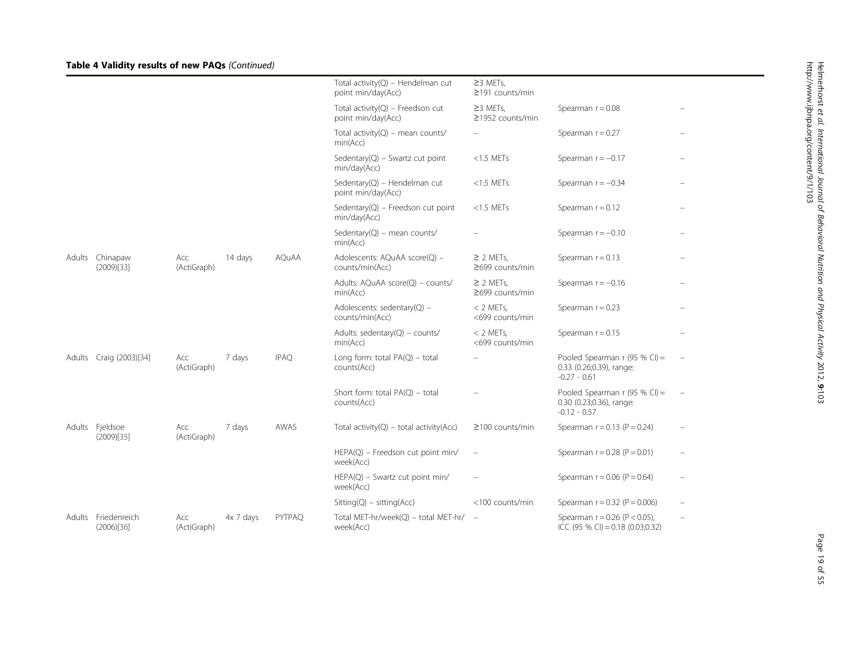|                                   |                    |           |             | Total activity( $Q$ ) – Hendelman cut<br>point min/day(Acc) | $\geq$ 3 METs,<br>$\geq$ 191 counts/min |                                                                             |  |
|-----------------------------------|--------------------|-----------|-------------|-------------------------------------------------------------|-----------------------------------------|-----------------------------------------------------------------------------|--|
|                                   |                    |           |             | Total activity( $Q$ ) – Freedson cut<br>point min/day(Acc)  | $\geq$ 3 METs,<br>≥1952 counts/min      | Spearman $r = 0.08$                                                         |  |
|                                   |                    |           |             | Total activity( $Q$ ) – mean counts/<br>min(Acc)            |                                         | Spearman $r = 0.27$                                                         |  |
|                                   |                    |           |             | Sedentary( $Q$ ) – Swartz cut point<br>min/day(Acc)         | $<1.5$ METs                             | Spearman $r = -0.17$                                                        |  |
|                                   |                    |           |             | Sedentary( $Q$ ) – Hendelman cut<br>point min/day(Acc)      | $<$ 1.5 METs                            | Spearman $r = -0.34$                                                        |  |
|                                   |                    |           |             | Sedentary( $Q$ ) – Freedson cut point<br>min/day(Acc)       | $<1.5$ METs                             | Spearman $r = 0.12$                                                         |  |
|                                   |                    |           |             | Sedentary(Q) - mean counts/<br>min(Acc)                     |                                         | Spearman $r = -0.10$                                                        |  |
| Adults Chinapaw<br>(2009)[33]     | Acc<br>(ActiGraph) | 14 days   | AQuAA       | Adolescents: AQuAA score(Q) -<br>counts/min(Acc)            | $\geq$ 2 METs,<br>≥699 counts/min       | Spearman $r = 0.13$                                                         |  |
|                                   |                    |           |             | Adults: AQuAA score(Q) - counts/<br>min(Acc)                | $\geq$ 2 METs,<br>≥699 counts/min       | Spearman $r = -0.16$                                                        |  |
|                                   |                    |           |             | Adolescents: sedentary( $Q$ ) –<br>counts/min(Acc)          | $<$ 2 METs,<br><699 counts/min          | Spearman $r = 0.23$                                                         |  |
|                                   |                    |           |             | Adults: sedentary(Q) - counts/<br>min(Acc)                  | $<$ 2 METs,<br><699 counts/min          | Spearman $r = 0.15$                                                         |  |
| Adults Craig (2003)[34]           | Acc<br>(ActiGraph) | 7 days    | <b>IPAQ</b> | Long form: total $PA(Q)$ – total<br>counts(Acc)             |                                         | Pooled Spearman r (95 % CI) =<br>0.33 (0.26;0.39), range:<br>$-0.27 - 0.61$ |  |
|                                   |                    |           |             | Short form: total $PA(Q)$ – total<br>counts(Acc)            |                                         | Pooled Spearman r (95 % CI) =<br>0.30 (0.23;0.36), range:<br>$-0.12 - 0.57$ |  |
| Adults Fjeldsoe<br>(2009)[35]     | Acc<br>(ActiGraph) | 7 days    | AWAS        | Total activity( $Q$ ) – total activity(Acc)                 | $\geq$ 100 counts/min                   | Spearman $r = 0.13$ (P = 0.24)                                              |  |
|                                   |                    |           |             | HEPA(Q) - Freedson cut point min/<br>week(Acc)              |                                         | Spearman $r = 0.28$ (P = 0.01)                                              |  |
|                                   |                    |           |             | HEPA(Q) - Swartz cut point min/<br>week(Acc)                |                                         | Spearman $r = 0.06$ (P = 0.64)                                              |  |
|                                   |                    |           |             | $Sitting(Q) - sitting(Acc)$                                 | <100 counts/min                         | Spearman $r = 0.32$ (P = 0.006)                                             |  |
| Adults Friedenreich<br>(2006)[36] | Acc<br>(ActiGraph) | 4x 7 days | PYTPAQ      | Total MET-hr/week(Q) - total MET-hr/ -<br>week(Acc)         |                                         | Spearman $r = 0.26$ (P < 0.05),<br>ICC (95 % CI) = 0.18 (0.03;0.32)         |  |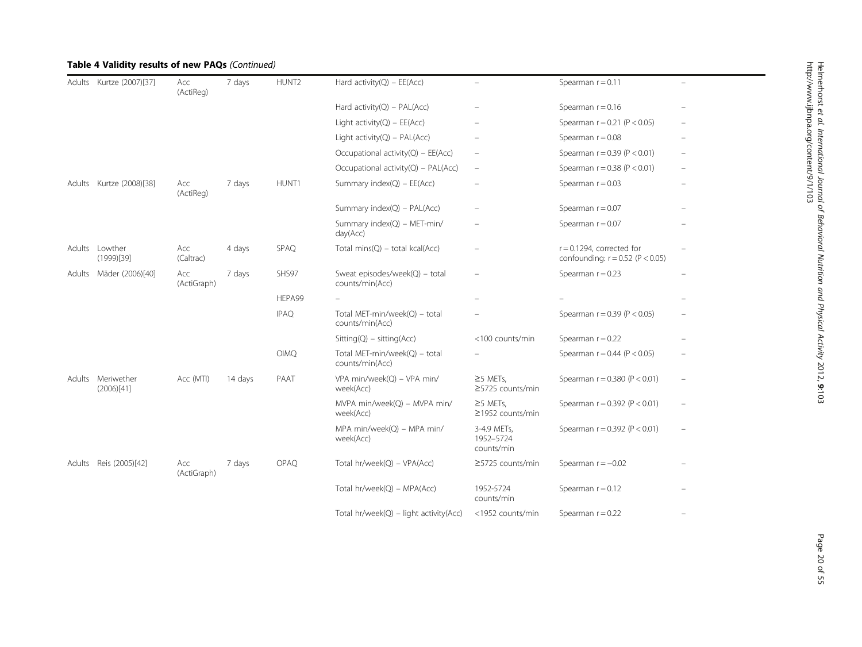|        | Adults Kurtze (2007)[37]        | Acc<br>(ActiReg)   | 7 days  | HUNT <sub>2</sub> | Hard activity( $Q$ ) - EE(Acc)                        | $\overline{\phantom{0}}$               | Spearman $r = 0.11$                                                    | $\overline{\phantom{a}}$ |
|--------|---------------------------------|--------------------|---------|-------------------|-------------------------------------------------------|----------------------------------------|------------------------------------------------------------------------|--------------------------|
|        |                                 |                    |         |                   | Hard $activity(Q) - PAL(Acc)$                         |                                        | Spearman $r = 0.16$                                                    |                          |
|        |                                 |                    |         |                   | Light activity( $Q$ ) – EE(Acc)                       |                                        | Spearman $r = 0.21$ (P < 0.05)                                         |                          |
|        |                                 |                    |         |                   | Light $activity(Q) - PAL(Acc)$                        | $\overline{a}$                         | Spearman $r = 0.08$                                                    | ÷                        |
|        |                                 |                    |         |                   | Occupational activity( $Q$ ) – EE(Acc)                |                                        | Spearman $r = 0.39$ (P < 0.01)                                         |                          |
|        |                                 |                    |         |                   | Occupational activity(Q) - PAL(Acc)                   | $\qquad \qquad -$                      | Spearman $r = 0.38$ (P < 0.01)                                         | $\equiv$                 |
|        | Adults Kurtze (2008)[38]        | Acc<br>(ActiReg)   | 7 days  | HUNT1             | Summary index( $Q$ ) – EE(Acc)                        | $\overline{\phantom{0}}$               | Spearman $r = 0.03$                                                    | $\overline{\phantom{a}}$ |
|        |                                 |                    |         |                   | Summary $index(Q) - PAL(Acc)$                         | $\overline{\phantom{0}}$               | Spearman $r = 0.07$                                                    |                          |
|        |                                 |                    |         |                   | Summary index(Q) - MET-min/<br>day(Acc)               |                                        | Spearman $r = 0.07$                                                    |                          |
|        | Adults Lowther<br>(1999)[39]    | Acc<br>(Caltrac)   | 4 days  | SPAQ              | Total mins( $Q$ ) – total kcal(Acc)                   |                                        | $r = 0.1294$ , corrected for<br>confounding: $r = 0.52$ ( $P < 0.05$ ) |                          |
| Adults | Mäder (2006)[40]                | Acc<br>(ActiGraph) | 7 days  | SHS97             | Sweat episodes/week( $Q$ ) – total<br>counts/min(Acc) |                                        | Spearman $r = 0.23$                                                    |                          |
|        |                                 |                    |         | HEPA99            |                                                       |                                        |                                                                        |                          |
|        |                                 |                    |         | <b>IPAQ</b>       | Total MET-min/week(Q) - total<br>counts/min(Acc)      |                                        | Spearman $r = 0.39$ (P < 0.05)                                         |                          |
|        |                                 |                    |         |                   | $Sitting(Q) - sitting(Acc)$                           | <100 counts/min                        | Spearman $r = 0.22$                                                    |                          |
|        |                                 |                    |         | OIMQ              | Total MET-min/week(Q) - total<br>counts/min(Acc)      |                                        | Spearman $r = 0.44$ (P < 0.05)                                         |                          |
|        | Adults Meriwether<br>(2006)[41] | Acc (MTI)          | 14 days | PAAT              | VPA min/week(Q) - VPA min/<br>week(Acc)               | $\geq$ 5 METs,<br>≥5725 counts/min     | Spearman $r = 0.380$ (P < 0.01)                                        | $\qquad \qquad -$        |
|        |                                 |                    |         |                   | MVPA min/week(Q) - MVPA min/<br>week(Acc)             | $\geq$ 5 METs,<br>≥1952 counts/min     | Spearman $r = 0.392$ (P < 0.01)                                        | $\qquad \qquad -$        |
|        |                                 |                    |         |                   | MPA min/week(Q) - MPA min/<br>week(Acc)               | 3-4.9 METs,<br>1952-5724<br>counts/min | Spearman $r = 0.392$ (P < 0.01)                                        | $\qquad \qquad -$        |
| Adults | Reis (2005)[42]                 | Acc<br>(ActiGraph) | 7 days  | OPAQ              | Total hr/week(Q) - VPA(Acc)                           | ≥5725 counts/min                       | Spearman $r = -0.02$                                                   |                          |
|        |                                 |                    |         |                   | Total hr/week(Q) - MPA(Acc)                           | 1952-5724<br>counts/min                | Spearman $r = 0.12$                                                    |                          |
|        |                                 |                    |         |                   | Total hr/week(Q) - light activity(Acc)                | <1952 counts/min                       | Spearman $r = 0.22$                                                    |                          |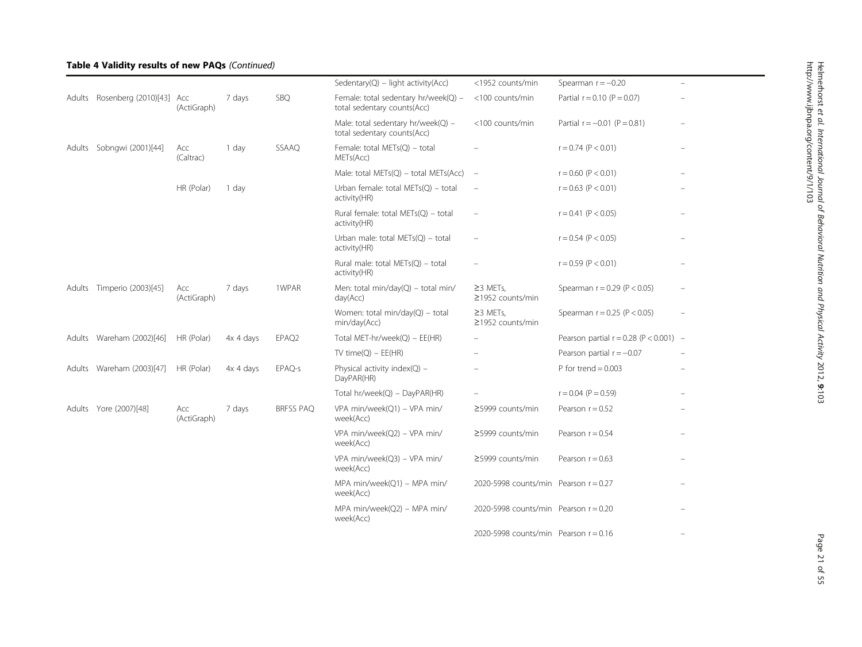|        |                                 |                    |           |                  | Sedentary( $Q$ ) – light activity(Acc)                                | <1952 counts/min                        | Spearman $r = -0.20$                     |                          |
|--------|---------------------------------|--------------------|-----------|------------------|-----------------------------------------------------------------------|-----------------------------------------|------------------------------------------|--------------------------|
|        | Adults Rosenberg (2010)[43] Acc | (ActiGraph)        | 7 days    | SBQ              | Female: total sedentary $hr/week(Q)$ -<br>total sedentary counts(Acc) | <100 counts/min                         | Partial $r = 0.10$ (P = 0.07)            |                          |
|        |                                 |                    |           |                  | Male: total sedentary hr/week(Q) -<br>total sedentary counts(Acc)     | <100 counts/min                         | Partial $r = -0.01$ (P = 0.81)           | $\overline{\phantom{0}}$ |
|        | Adults Sobngwi (2001)[44]       | Acc<br>(Caltrac)   | 1 day     | SSAAQ            | Female: total $METs(Q) - total$<br>METs(Acc)                          |                                         | $r = 0.74$ (P < 0.01)                    | $\overline{\phantom{0}}$ |
|        |                                 |                    |           |                  | Male: total $METs(Q) - total METs(Acc)$                               | $\sim$                                  | $r = 0.60$ (P < 0.01)                    | $\overline{\phantom{m}}$ |
|        |                                 | HR (Polar)         | 1 day     |                  | Urban female: total METs( $Q$ ) - total<br>activity(HR)               | $\overline{\phantom{m}}$                | $r = 0.63$ (P < 0.01)                    |                          |
|        |                                 |                    |           |                  | Rural female: total METs(Q) - total<br>activity(HR)                   | $\overline{\phantom{a}}$                | $r = 0.41$ (P < 0.05)                    | $\overline{\phantom{0}}$ |
|        |                                 |                    |           |                  | Urban male: total METs(Q) - total<br>activity(HR)                     |                                         | $r = 0.54$ (P < 0.05)                    |                          |
|        |                                 |                    |           |                  | Rural male: total METs(Q) - total<br>activity(HR)                     |                                         | $r = 0.59$ (P < 0.01)                    |                          |
| Adults | Timperio (2003)[45]             | Acc<br>(ActiGraph) | 7 days    | 1WPAR            | Men: total min/day( $Q$ ) – total min/<br>day(Acc)                    | $\geq$ 3 METs,<br>≥1952 counts/min      | Spearman $r = 0.29$ (P < 0.05)           |                          |
|        |                                 |                    |           |                  | Women: total min/day( $Q$ ) - total<br>min/day(Acc)                   | $\geq$ 3 METs,<br>≥1952 counts/min      | Spearman $r = 0.25$ (P < 0.05)           | $\sim$                   |
|        | Adults Wareham (2002)[46]       | HR (Polar)         | 4x 4 days | EPAQ2            | Total MET-hr/week(Q) - EE(HR)                                         |                                         | Pearson partial $r = 0.28$ (P < 0.001) - |                          |
|        |                                 |                    |           |                  | TV time( $Q$ ) – EE(HR)                                               |                                         | Pearson partial $r = -0.07$              |                          |
|        | Adults Wareham (2003)[47]       | HR (Polar)         | 4x 4 days | EPAQ-s           | Physical activity index( $Q$ ) -<br>DayPAR(HR)                        |                                         | P for trend $= 0.003$                    |                          |
|        |                                 |                    |           |                  | Total hr/week(Q) - DayPAR(HR)                                         | $\overline{\phantom{a}}$                | $r = 0.04$ (P = 0.59)                    |                          |
|        | Adults Yore (2007)[48]          | Acc<br>(ActiGraph) | 7 days    | <b>BRFSS PAO</b> | VPA min/week(Q1) - VPA min/<br>week(Acc)                              | ≥5999 counts/min                        | Pearson $r = 0.52$                       |                          |
|        |                                 |                    |           |                  | VPA min/week(Q2) - VPA min/<br>week(Acc)                              | ≥5999 counts/min                        | Pearson $r = 0.54$                       |                          |
|        |                                 |                    |           |                  | VPA min/week(Q3) - VPA min/<br>week(Acc)                              | ≥5999 counts/min                        | Pearson $r = 0.63$                       |                          |
|        |                                 |                    |           |                  | MPA min/week(Q1) - MPA min/<br>week(Acc)                              | 2020-5998 counts/min Pearson $r = 0.27$ |                                          |                          |
|        |                                 |                    |           |                  | MPA min/week(Q2) - MPA min/<br>week(Acc)                              | 2020-5998 counts/min Pearson $r = 0.20$ |                                          |                          |
|        |                                 |                    |           |                  |                                                                       | 2020-5998 counts/min Pearson $r = 0.16$ |                                          |                          |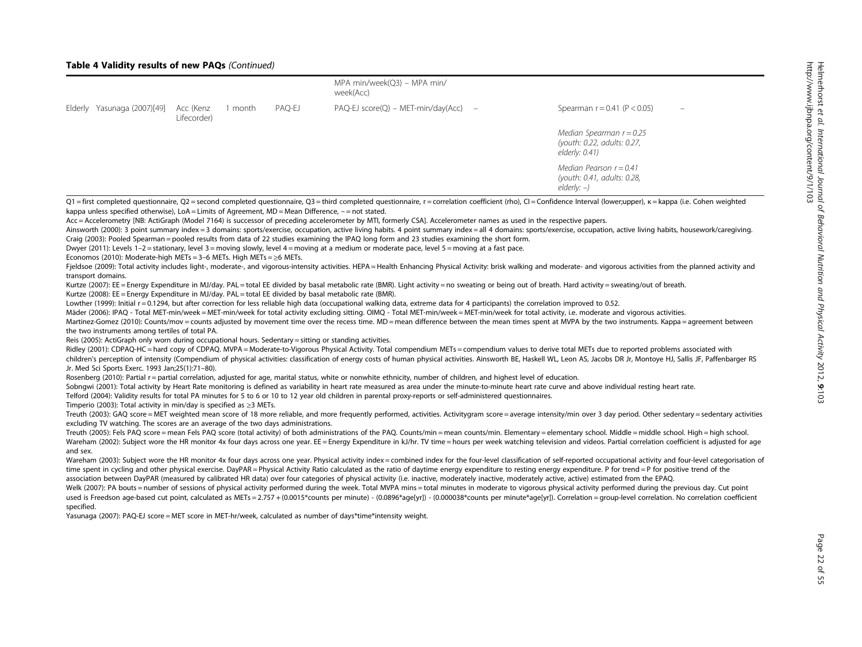|                                                                                                                                                                                                                                                                                                                                                                                                 |                          |         |        | MPA min/week( $Q3$ ) – MPA min/<br>week(Acc)                                                                                                                                                                                                                                                                                                                                                                                                                                                                                                                                                                                                                                                                                                                                                |                                                                                                                                                                                                                                                                                                                                                                                                                                                                                                                                                                                                                                                                                                                                                                                                                                                                                                                                                                                                                                                                                                                                                                                                                                                                                                                                                                                                                                                                                                   |
|-------------------------------------------------------------------------------------------------------------------------------------------------------------------------------------------------------------------------------------------------------------------------------------------------------------------------------------------------------------------------------------------------|--------------------------|---------|--------|---------------------------------------------------------------------------------------------------------------------------------------------------------------------------------------------------------------------------------------------------------------------------------------------------------------------------------------------------------------------------------------------------------------------------------------------------------------------------------------------------------------------------------------------------------------------------------------------------------------------------------------------------------------------------------------------------------------------------------------------------------------------------------------------|---------------------------------------------------------------------------------------------------------------------------------------------------------------------------------------------------------------------------------------------------------------------------------------------------------------------------------------------------------------------------------------------------------------------------------------------------------------------------------------------------------------------------------------------------------------------------------------------------------------------------------------------------------------------------------------------------------------------------------------------------------------------------------------------------------------------------------------------------------------------------------------------------------------------------------------------------------------------------------------------------------------------------------------------------------------------------------------------------------------------------------------------------------------------------------------------------------------------------------------------------------------------------------------------------------------------------------------------------------------------------------------------------------------------------------------------------------------------------------------------------|
| Elderly Yasunaga (2007)[49]                                                                                                                                                                                                                                                                                                                                                                     | Acc (Kenz<br>Lifecorder) | 1 month | PAQ-EJ | PAQ-EJ score(Q) – MET-min/day(Acc)<br>$\overline{\phantom{a}}$                                                                                                                                                                                                                                                                                                                                                                                                                                                                                                                                                                                                                                                                                                                              | Spearman $r = 0.41$ (P < 0.05)                                                                                                                                                                                                                                                                                                                                                                                                                                                                                                                                                                                                                                                                                                                                                                                                                                                                                                                                                                                                                                                                                                                                                                                                                                                                                                                                                                                                                                                                    |
|                                                                                                                                                                                                                                                                                                                                                                                                 |                          |         |        |                                                                                                                                                                                                                                                                                                                                                                                                                                                                                                                                                                                                                                                                                                                                                                                             | Median Spearman $r = 0.25$<br>(youth: 0.22, adults: 0.27,<br>elderly: 0.41)                                                                                                                                                                                                                                                                                                                                                                                                                                                                                                                                                                                                                                                                                                                                                                                                                                                                                                                                                                                                                                                                                                                                                                                                                                                                                                                                                                                                                       |
|                                                                                                                                                                                                                                                                                                                                                                                                 |                          |         |        |                                                                                                                                                                                                                                                                                                                                                                                                                                                                                                                                                                                                                                                                                                                                                                                             | Median Pearson $r = 0.41$<br>(youth: 0.41, adults: 0.28,<br>$elderly: -)$                                                                                                                                                                                                                                                                                                                                                                                                                                                                                                                                                                                                                                                                                                                                                                                                                                                                                                                                                                                                                                                                                                                                                                                                                                                                                                                                                                                                                         |
| Economos (2010): Moderate-high METs = 3-6 METs. High METs = $\geq$ 6 METs.<br>transport domains.<br>the two instruments among tertiles of total PA.<br>Reis (2005): ActiGraph only worn during occupational hours. Sedentary = sitting or standing activities.<br>Jr. Med Sci Sports Exerc. 1993 Jan;25(1):71-80).<br>Timperio (2003): Total activity in min/day is specified as $\geq$ 3 METs. |                          |         |        | Dwyer (2011): Levels 1-2 = stationary, level 3 = moving slowly, level 4 = moving at a medium or moderate pace, level 5 = moving at a fast pace.<br>Kurtze (2008): EE = Energy Expenditure in MJ/day. PAL = total EE divided by basal metabolic rate (BMR).<br>Lowther (1999): Initial r = 0.1294, but after correction for less reliable high data (occupational walking data, extreme data for 4 participants) the correlation improved to 0.52.<br>Rosenberg (2010): Partial r = partial correlation, adjusted for age, marital status, white or nonwhite ethnicity, number of children, and highest level of education.<br>Telford (2004): Validity results for total PA minutes for 5 to 6 or 10 to 12 year old children in parental proxy-reports or self-administered questionnaires. | Fjeldsoe (2009): Total activity includes light-, moderate-, and vigorous-intensity activities. HEPA = Health Enhancing Physical Activity: brisk walking and moderate- and vigorous activities from the planned activity and<br>Kurtze (2007): EE = Energy Expenditure in MJ/day. PAL = total EE divided by basal metabolic rate (BMR). Light activity = no sweating or being out of breath. Hard activity = sweating/out of breath.<br>Mäder (2006): IPAQ - Total MET-min/week = MET-min/week for total activity excluding sitting. OIMQ - Total MET-min/week = MET-min/week for total activity, i.e. moderate and vigorous activities.<br>Martinez-Gomez (2010): Counts/mov = counts adjusted by movement time over the recess time. MD = mean difference between the mean times spent at MVPA by the two instruments. Kappa = agreement between<br>Ridley (2001): CDPAQ-HC = hard copy of CDPAQ. MVPA = Moderate-to-Vigorous Physical Activity. Total compendium METs = compendium values to derive total METs due to reported problems associated with<br>children's perception of intensity (Compendium of physical activities: classification of energy costs of human physical activities. Ainsworth BE, Haskell WL, Leon AS, Jacobs DR Jr, Montoye HJ, Sallis JF, Paffenbarger RS<br>Sobngwi (2001): Total activity by Heart Rate monitoring is defined as variability in heart rate measured as area under the minute-to-minute heart rate curve and above individual resting heart rate. |
| excluding TV watching. The scores are an average of the two days administrations.                                                                                                                                                                                                                                                                                                               |                          |         |        |                                                                                                                                                                                                                                                                                                                                                                                                                                                                                                                                                                                                                                                                                                                                                                                             | Treuth (2003): GAQ score = MET weighted mean score of 18 more reliable, and more frequently performed, activities. Activitygram score = average intensity/min over 3 day period. Other sedentary = sedentary activities                                                                                                                                                                                                                                                                                                                                                                                                                                                                                                                                                                                                                                                                                                                                                                                                                                                                                                                                                                                                                                                                                                                                                                                                                                                                           |

Treuth (2005): Fels PAQ score = mean Fels PAQ score (total activity) of both administrations of the PAQ. Counts/min = mean counts/min. Elementary = elementary school. Middle = middle school. High = high school. Wareham (2002): Subject wore the HR monitor 4x four days across one year. EE = Energy Expenditure in kJ/hr. TV time = hours per week watching television and videos. Partial correlation coefficient is adjusted for age and sex.

Wareham (2003): Subject wore the HR monitor 4x four days across one year. Physical activity index = combined index for the four-level classification of self-reported occupational activity and four-level categorisation of time spent in cycling and other physical exercise. DayPAR = Physical Activity Ratio calculated as the ratio of daytime energy expenditure to resting energy expenditure. P for trend = P for positive trend of the association between DayPAR (measured by calibrated HR data) over four categories of physical activity (i.e. inactive, moderately inactive, moderately active, active) estimated from the EPAQ.

Welk (2007): PA bouts = number of sessions of physical activity performed during the week. Total MVPA mins = total minutes in moderate to vigorous physical activity performed during the previous day. Cut point used is Freedson age-based cut point, calculated as METs = 2.757 + (0.0015\*counts per minute) - (0.0896\*age[yr]) - (0.000038\*counts per minute\*age[yr]). Correlation = group-level correlation. No correlation coefficient specified.

Yasunaga (2007): PAQ-EJ score = MET score in MET-hr/week, calculated as number of days\*time\*intensity weight.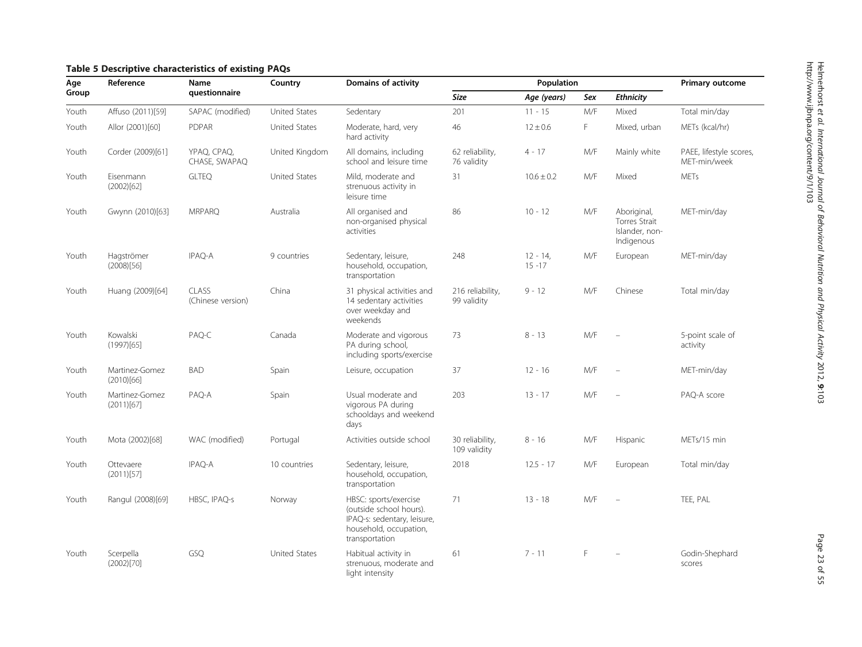<span id="page-22-0"></span>

|  |  |  | Table 5 Descriptive characteristics of existing PAQs |  |  |  |
|--|--|--|------------------------------------------------------|--|--|--|
|--|--|--|------------------------------------------------------|--|--|--|

| Age   | Reference                    | Name                         | Country              | <b>Domains of activity</b>                                                                                                  |                                 | Population             |     |                                                              | <b>Primary outcome</b>                  |
|-------|------------------------------|------------------------------|----------------------|-----------------------------------------------------------------------------------------------------------------------------|---------------------------------|------------------------|-----|--------------------------------------------------------------|-----------------------------------------|
| Group |                              | questionnaire                |                      |                                                                                                                             | Size                            | Age (years)            | Sex | <b>Ethnicity</b>                                             |                                         |
| Youth | Affuso (2011)[59]            | SAPAC (modified)             | United States        | Sedentary                                                                                                                   | 201                             | $11 - 15$              | M/F | Mixed                                                        | Total min/day                           |
| Youth | Allor (2001)[60]             | PDPAR                        | United States        | Moderate, hard, very<br>hard activity                                                                                       | 46                              | $12 \pm 0.6$           | F.  | Mixed, urban                                                 | METs (kcal/hr)                          |
| Youth | Corder (2009)[61]            | YPAO, CPAO,<br>CHASE, SWAPAQ | United Kingdom       | All domains, including<br>school and leisure time                                                                           | 62 reliability,<br>76 validity  | $4 - 17$               | M/F | Mainly white                                                 | PAEE, lifestyle scores,<br>MET-min/week |
| Youth | Eisenmann<br>(2002)[62]      | <b>GLTEQ</b>                 | United States        | Mild, moderate and<br>strenuous activity in<br>leisure time                                                                 | 31                              | $10.6 \pm 0.2$         | M/F | Mixed                                                        | <b>METs</b>                             |
| Youth | Gwynn (2010)[63]             | <b>MRPARQ</b>                | Australia            | All organised and<br>non-organised physical<br>activities                                                                   | 86                              | $10 - 12$              | M/F | Aboriginal,<br>Torres Strait<br>Islander, non-<br>Indigenous | MET-min/day                             |
| Youth | Hagströmer<br>(2008)[56]     | IPAQ-A                       | 9 countries          | Sedentary, leisure,<br>household, occupation,<br>transportation                                                             | 248                             | $12 - 14$<br>$15 - 17$ | M/F | European                                                     | MET-min/day                             |
| Youth | Huang (2009)[64]             | CLASS<br>(Chinese version)   | China                | 31 physical activities and<br>14 sedentary activities<br>over weekday and<br>weekends                                       | 216 reliability,<br>99 validity | $9 - 12$               | M/F | Chinese                                                      | Total min/day                           |
| Youth | Kowalski<br>(1997)[65]       | PAQ-C                        | Canada               | Moderate and vigorous<br>PA during school,<br>including sports/exercise                                                     | 73                              | $8 - 13$               | M/F | $\overline{\phantom{a}}$                                     | 5-point scale of<br>activity            |
| Youth | Martinez-Gomez<br>(2010)[66] | <b>BAD</b>                   | Spain                | Leisure, occupation                                                                                                         | 37                              | $12 - 16$              | M/F | $\overline{a}$                                               | MET-min/day                             |
| Youth | Martinez-Gomez<br>(2011)[67] | PAQ-A                        | Spain                | Usual moderate and<br>vigorous PA during<br>schooldays and weekend<br>days                                                  | 203                             | $13 - 17$              | M/F | $\overline{\phantom{0}}$                                     | PAO-A score                             |
| Youth | Mota (2002)[68]              | WAC (modified)               | Portugal             | Activities outside school                                                                                                   | 30 reliability,<br>109 validity | $8 - 16$               | M/F | Hispanic                                                     | METs/15 min                             |
| Youth | Ottevaere<br>(2011)[57]      | IPAQ-A                       | 10 countries         | Sedentary, leisure,<br>household, occupation,<br>transportation                                                             | 2018                            | $12.5 - 17$            | M/F | European                                                     | Total min/day                           |
| Youth | Rangul (2008)[69]            | HBSC, IPAQ-s                 | Norway               | HBSC: sports/exercise<br>(outside school hours).<br>IPAQ-s: sedentary, leisure,<br>household, occupation,<br>transportation | 71                              | $13 - 18$              | M/F | $\overline{a}$                                               | TEE, PAL                                |
| Youth | Scerpella<br>(2002)[70]      | GSQ                          | <b>United States</b> | Habitual activity in<br>strenuous, moderate and<br>light intensity                                                          | 61                              | $7 - 11$               | F   |                                                              | Godin-Shephard<br>scores                |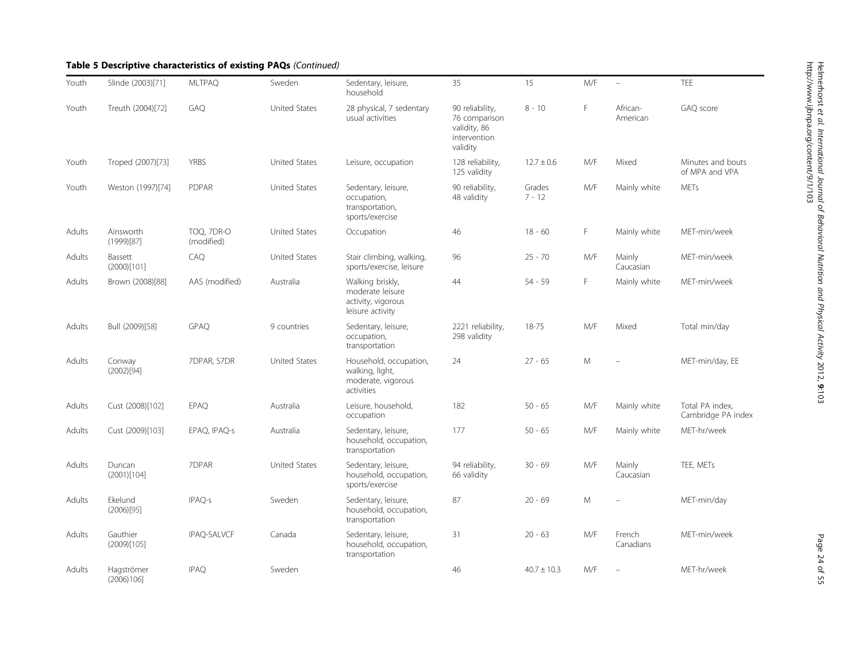| Youth  | Slinde (2003)[71]        | <b>MLTPAQ</b>            | Sweden               | Sedentary, leisure,<br>household                                               | 35                                                                           | 15                 | M/F | $\overline{a}$           | TEE                                   |
|--------|--------------------------|--------------------------|----------------------|--------------------------------------------------------------------------------|------------------------------------------------------------------------------|--------------------|-----|--------------------------|---------------------------------------|
| Youth  | Treuth (2004)[72]        | GAQ                      | <b>United States</b> | 28 physical, 7 sedentary<br>usual activities                                   | 90 reliability,<br>76 comparison<br>validity, 86<br>intervention<br>validity | $8 - 10$           | F   | African-<br>American     | GAO score                             |
| Youth  | Troped (2007)[73]        | <b>YRBS</b>              | <b>United States</b> | Leisure, occupation                                                            | 128 reliability,<br>125 validity                                             | $12.7 \pm 0.6$     | M/F | Mixed                    | Minutes and bouts<br>of MPA and VPA   |
| Youth  | Weston (1997)[74]        | PDPAR                    | <b>United States</b> | Sedentary, leisure,<br>occupation,<br>transportation,<br>sports/exercise       | 90 reliability,<br>48 validity                                               | Grades<br>$7 - 12$ | M/F | Mainly white             | <b>METs</b>                           |
| Adults | Ainsworth<br>(1999)[87]  | TOQ, 7DR-O<br>(modified) | United States        | Occupation                                                                     | 46                                                                           | $18 - 60$          | F   | Mainly white             | MET-min/week                          |
| Adults | Bassett<br>(2000)[101]   | CAQ                      | <b>United States</b> | Stair climbing, walking,<br>sports/exercise, leisure                           | 96                                                                           | $25 - 70$          | M/F | Mainly<br>Caucasian      | MET-min/week                          |
| Adults | Brown (2008)[88]         | AAS (modified)           | Australia            | Walking briskly,<br>moderate leisure<br>activity, vigorous<br>leisure activity | 44                                                                           | $54 - 59$          | F   | Mainly white             | MET-min/week                          |
| Adults | Bull (2009)[58]          | <b>GPAQ</b>              | 9 countries          | Sedentary, leisure,<br>occupation,<br>transportation                           | 2221 reliability,<br>298 validity                                            | 18-75              | M/F | Mixed                    | Total min/day                         |
| Adults | Conway<br>(2002)[94]     | 7DPAR, S7DR              | United States        | Household, occupation,<br>walking, light,<br>moderate, vigorous<br>activities  | 24                                                                           | $27 - 65$          | M   |                          | MET-min/day, EE                       |
| Adults | Cust (2008)[102]         | EPAQ                     | Australia            | Leisure, household,<br>occupation                                              | 182                                                                          | $50 - 65$          | M/F | Mainly white             | Total PA index,<br>Cambridge PA index |
| Adults | Cust (2009)[103]         | EPAQ, IPAQ-s             | Australia            | Sedentary, leisure,<br>household, occupation,<br>transportation                | 177                                                                          | $50 - 65$          | M/F | Mainly white             | MET-hr/week                           |
| Adults | Duncan<br>(2001)[104]    | 7DPAR                    | United States        | Sedentary, leisure,<br>household, occupation,<br>sports/exercise               | 94 reliability,<br>66 validity                                               | $30 - 69$          | M/F | Mainly<br>Caucasian      | TEE, METs                             |
| Adults | Ekelund<br>(2006)[95]    | IPAQ-s                   | Sweden               | Sedentary, leisure,<br>household, occupation,<br>transportation                | 87                                                                           | $20 - 69$          | M   |                          | MET-min/day                           |
| Adults | Gauthier<br>(2009)[105]  | IPAQ-SALVCF              | Canada               | Sedentary, leisure,<br>household, occupation,<br>transportation                | 31                                                                           | $20 - 63$          | M/F | French<br>Canadians      | MET-min/week                          |
| Adults | Hagströmer<br>(2006)106] | <b>IPAO</b>              | Sweden               |                                                                                | 46                                                                           | $40.7 \pm 10.3$    | M/F | $\overline{\phantom{a}}$ | MET-hr/week                           |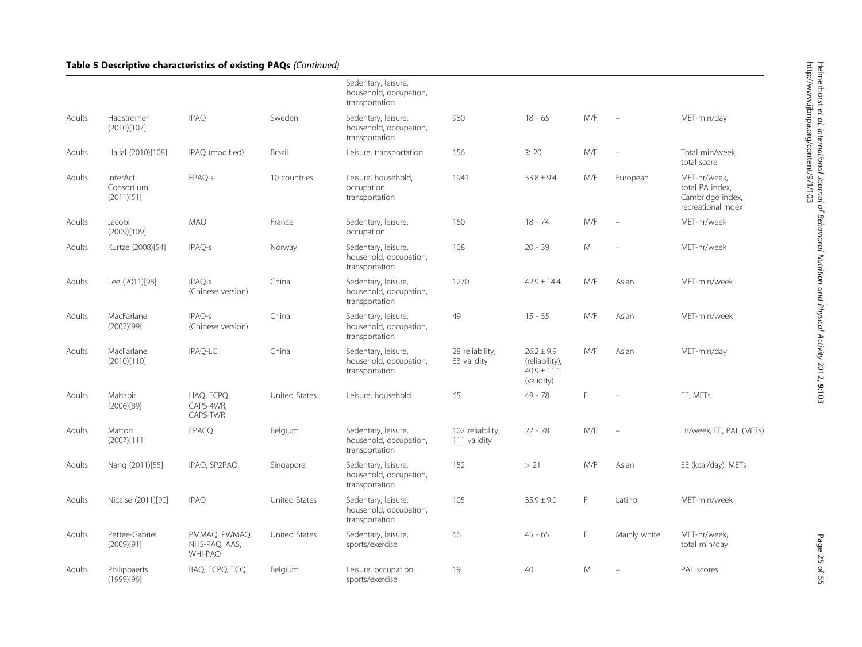|        |                                      |                                                  |                      | Sedentary, leisure,<br>household, occupation,<br>transportation |                                  |                                                                   |     |                |                                                                           |
|--------|--------------------------------------|--------------------------------------------------|----------------------|-----------------------------------------------------------------|----------------------------------|-------------------------------------------------------------------|-----|----------------|---------------------------------------------------------------------------|
| Adults | Hagströmer<br>(2010)[107]            | <b>IPAQ</b>                                      | Sweden               | Sedentary, leisure,<br>household, occupation,<br>transportation | 980                              | $18 - 65$                                                         | M/F | $\sim$         | MET-min/day                                                               |
| Adults | Hallal (2010)[108]                   | IPAQ (modified)                                  | Brazil               | Leisure, transportation                                         | 156                              | $\geq 20$                                                         | M/F | $\overline{a}$ | Total min/week,<br>total score                                            |
| Adults | InterAct<br>Consortium<br>(2011)[51] | EPAQ-s                                           | 10 countries         | Leisure, household,<br>occupation,<br>transportation            | 1941                             | $53.8 \pm 9.4$                                                    | M/F | European       | MET-hr/week.<br>total PA index,<br>Cambridge index,<br>recreational index |
| Adults | Jacobi<br>(2009)[109]                | <b>MAQ</b>                                       | France               | Sedentary, leisure,<br>occupation                               | 160                              | $18 - 74$                                                         | M/F | $\overline{a}$ | MET-hr/week                                                               |
| Adults | Kurtze (2008)[54]                    | IPAQ-s                                           | Norway               | Sedentary, leisure,<br>household, occupation,<br>transportation | 108                              | $20 - 39$                                                         | M   |                | MET-hr/week                                                               |
| Adults | Lee (2011)[98]                       | IPAQ-s<br>(Chinese version)                      | China                | Sedentary, leisure,<br>household, occupation,<br>transportation | 1270                             | $42.9 \pm 14.4$                                                   | M/F | Asian          | MET-min/week                                                              |
| Adults | MacFarlane<br>(2007)[99]             | IPAO-s<br>(Chinese version)                      | China                | Sedentary, leisure,<br>household, occupation,<br>transportation | 49                               | $15 - 55$                                                         | M/F | Asian          | MET-min/week                                                              |
| Adults | MacFarlane<br>(2010)[110]            | IPAQ-LC                                          | China                | Sedentary, leisure,<br>household, occupation,<br>transportation | 28 reliability,<br>83 validity   | $26.2 \pm 9.9$<br>(reliability),<br>$40.9 \pm 11.1$<br>(validity) | M/F | Asian          | MET-min/day                                                               |
| Adults | Mahabir<br>(2006)[89]                | HAQ, FCPQ,<br>CAPS-4WR,<br>CAPS-TWR              | <b>United States</b> | Leisure, household                                              | 65                               | 49 - 78                                                           | F   |                | EE, METs                                                                  |
| Adults | Matton<br>(2007)[111]                | <b>FPACQ</b>                                     | Belgium              | Sedentary, leisure,<br>household, occupation,<br>transportation | 102 reliability,<br>111 validity | $22 - 78$                                                         | M/F |                | Hr/week, EE, PAL (METs)                                                   |
| Adults | Nang (2011)[55]                      | IPAQ, SP2PAQ                                     | Singapore            | Sedentary, leisure,<br>household, occupation,<br>transportation | 152                              | > 21                                                              | M/F | Asian          | EE (kcal/day), METs                                                       |
| Adults | Nicaise (2011)[90]                   | <b>IPAQ</b>                                      | <b>United States</b> | Sedentary, leisure,<br>household, occupation,<br>transportation | 105                              | $35.9 \pm 9.0$                                                    | F   | Latino         | MET-min/week                                                              |
| Adults | Pettee-Gabriel<br>(2009)[91]         | PMMAQ, PWMAQ,<br>NHS-PAQ, AAS,<br><b>WHI-PAQ</b> | United States        | Sedentary, leisure,<br>sports/exercise                          | 66                               | $45 - 65$                                                         | F   | Mainly white   | MET-hr/week,<br>total min/day                                             |
| Adults | Philippaerts<br>(1999)[96]           | BAQ, FCPQ, TCQ                                   | Belgium              | Leisure, occupation,<br>sports/exercise                         | 19                               | 40                                                                | M   |                | PAL scores                                                                |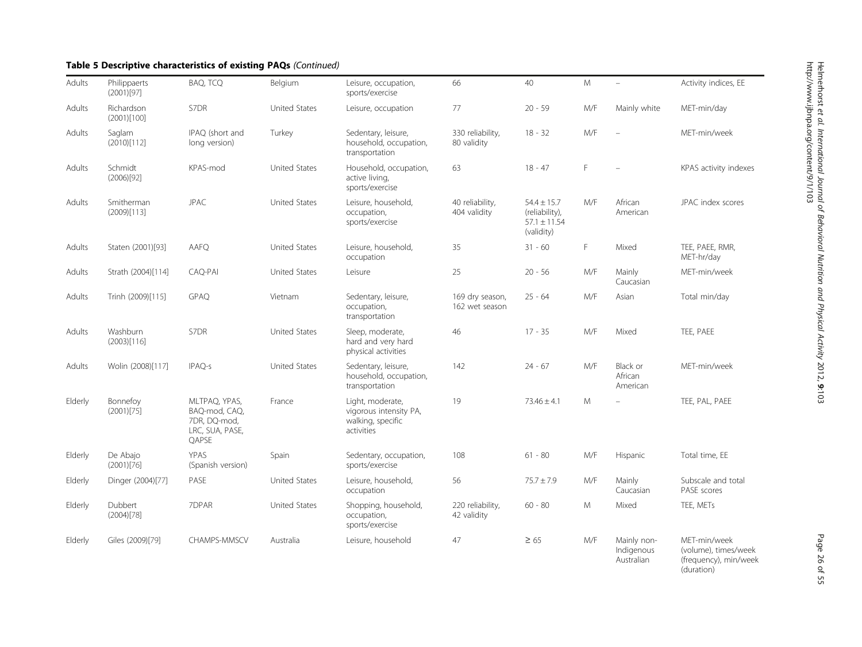| Adults  | Philippaerts<br>(2001)[97] | <b>BAQ, TCQ</b>                                                            | Belgium              | Leisure, occupation,<br>sports/exercise                                       | 66                                | 40                                                                  | M   | $\equiv$                                | Activity indices, EE                                                        |
|---------|----------------------------|----------------------------------------------------------------------------|----------------------|-------------------------------------------------------------------------------|-----------------------------------|---------------------------------------------------------------------|-----|-----------------------------------------|-----------------------------------------------------------------------------|
| Adults  | Richardson<br>(2001)[100]  | S7DR                                                                       | United States        | Leisure, occupation                                                           | 77                                | $20 - 59$                                                           | M/F | Mainly white                            | MET-min/day                                                                 |
| Adults  | Saglam<br>(2010)[112]      | IPAQ (short and<br>long version)                                           | Turkey               | Sedentary, leisure,<br>household, occupation,<br>transportation               | 330 reliability,<br>80 validity   | $18 - 32$                                                           | M/F | $\overline{a}$                          | MET-min/week                                                                |
| Adults  | Schmidt<br>(2006)[92]      | KPAS-mod                                                                   | <b>United States</b> | Household, occupation,<br>active living,<br>sports/exercise                   | 63                                | $18 - 47$                                                           | F   | L.                                      | KPAS activity indexes                                                       |
| Adults  | Smitherman<br>(2009)[113]  | <b>JPAC</b>                                                                | United States        | Leisure, household,<br>occupation,<br>sports/exercise                         | 40 reliability,<br>404 validity   | $54.4 \pm 15.7$<br>(reliability),<br>$57.1 \pm 11.54$<br>(validity) | M/F | African<br>American                     | JPAC index scores                                                           |
| Adults  | Staten (2001)[93]          | AAFO                                                                       | United States        | Leisure, household,<br>occupation                                             | 35                                | $31 - 60$                                                           | F.  | Mixed                                   | TEE, PAEE, RMR,<br>MET-hr/day                                               |
| Adults  | Strath (2004)[114]         | CAO-PAI                                                                    | <b>United States</b> | Leisure                                                                       | 25                                | $20 - 56$                                                           | M/F | Mainly<br>Caucasian                     | MET-min/week                                                                |
| Adults  | Trinh (2009)[115]          | <b>GPAQ</b>                                                                | Vietnam              | Sedentary, leisure,<br>occupation,<br>transportation                          | 169 dry season,<br>162 wet season | $25 - 64$                                                           | M/F | Asian                                   | Total min/day                                                               |
| Adults  | Washburn<br>(2003)[116]    | S7DR                                                                       | <b>United States</b> | Sleep, moderate,<br>hard and very hard<br>physical activities                 | 46                                | $17 - 35$                                                           | M/F | Mixed                                   | TEE, PAEE                                                                   |
| Adults  | Wolin (2008)[117]          | IPAO-s                                                                     | <b>United States</b> | Sedentary, leisure,<br>household, occupation,<br>transportation               | 142                               | $24 - 67$                                                           | M/F | Black or<br>African<br>American         | MET-min/week                                                                |
| Elderly | Bonnefov<br>(2001)[75]     | MLTPAQ, YPAS,<br>BAQ-mod, CAQ,<br>7DR, DQ-mod,<br>LRC, SUA, PASE,<br>QAPSE | France               | Light, moderate,<br>vigorous intensity PA,<br>walking, specific<br>activities | 19                                | $73.46 \pm 4.1$                                                     | M   |                                         | TEE, PAL, PAEE                                                              |
| Elderly | De Abajo<br>(2001)[76]     | <b>YPAS</b><br>(Spanish version)                                           | Spain                | Sedentary, occupation,<br>sports/exercise                                     | 108                               | $61 - 80$                                                           | M/F | Hispanic                                | Total time, EE                                                              |
| Elderly | Dinger (2004)[77]          | PASE                                                                       | <b>United States</b> | Leisure, household,<br>occupation                                             | 56                                | $75.7 \pm 7.9$                                                      | M/F | Mainly<br>Caucasian                     | Subscale and total<br>PASE scores                                           |
| Elderly | Dubbert<br>(2004)[78]      | 7DPAR                                                                      | <b>United States</b> | Shopping, household,<br>occupation,<br>sports/exercise                        | 220 reliability,<br>42 validity   | $60 - 80$                                                           | M   | Mixed                                   | TEE, METs                                                                   |
| Elderly | Giles (2009)[79]           | CHAMPS-MMSCV                                                               | Australia            | Leisure, household                                                            | 47                                | $\geq 65$                                                           | M/F | Mainly non-<br>Indigenous<br>Australian | MET-min/week<br>(volume), times/week<br>(frequency), min/week<br>(duration) |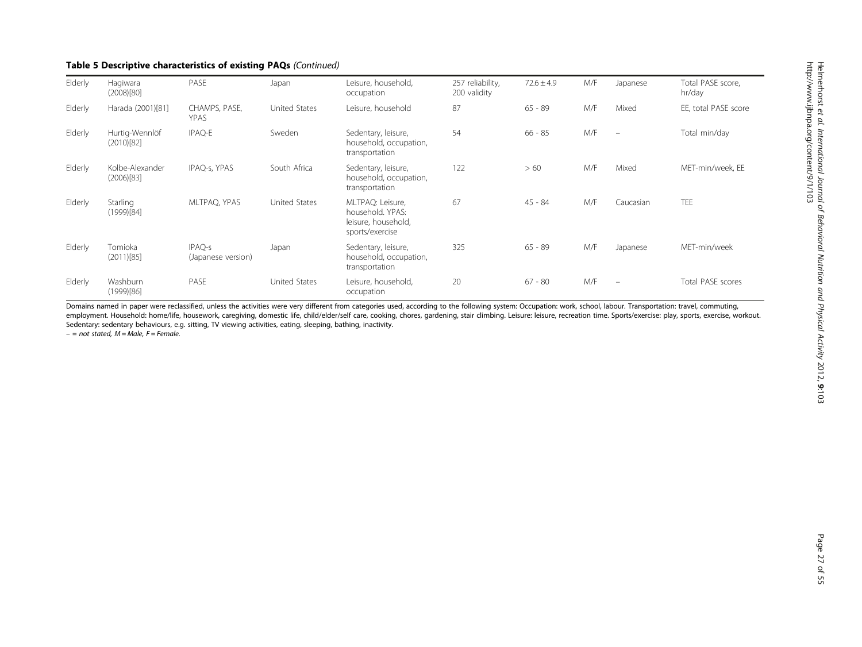| Elderly | Hagiwara<br>(2008)[80]        | PASE                         | Japan         | Leisure, household,<br>occupation                                              | 257 reliability,<br>200 validity | $72.6 \pm 4.9$ | M/F | Japanese                 | Total PASE score,<br>hr/day |
|---------|-------------------------------|------------------------------|---------------|--------------------------------------------------------------------------------|----------------------------------|----------------|-----|--------------------------|-----------------------------|
| Elderly | Harada (2001)[81]             | CHAMPS, PASE,<br>YPAS        | United States | Leisure, household                                                             | 87                               | $65 - 89$      | M/F | Mixed                    | EE, total PASE score        |
| Elderly | Hurtig-Wennlöf<br>(2010)[82]  | IPAQ-E                       | Sweden        | Sedentary, leisure,<br>household, occupation,<br>transportation                | 54                               | $66 - 85$      | M/F | $\overline{\phantom{m}}$ | Total min/day               |
| Elderly | Kolbe-Alexander<br>(2006)[83] | IPAQ-s, YPAS                 | South Africa  | Sedentary, leisure,<br>household, occupation,<br>transportation                | 122                              | >60            | M/F | Mixed                    | MET-min/week, EE            |
| Elderly | Starling<br>(1999)[84]        | MLTPAQ, YPAS                 | United States | MLTPAQ: Leisure,<br>household. YPAS:<br>leisure, household,<br>sports/exercise | 67                               | $45 - 84$      | M/F | Caucasian                | <b>TEE</b>                  |
| Elderly | Tomioka<br>(2011)[85]         | IPAQ-s<br>(Japanese version) | Japan         | Sedentary, leisure,<br>household, occupation,<br>transportation                | 325                              | $65 - 89$      | M/F | Japanese                 | MET-min/week                |
| Elderly | Washburn<br>(1999)[86]        | PASE                         | United States | Leisure, household,<br>occupation                                              | 20                               | $67 - 80$      | M/F | $\overline{\phantom{m}}$ | Total PASE scores           |

Domains named in paper were reclassified, unless the activities were very different from categories used, according to the following system: Occupation: work, school, labour. Transportation: travel, commuting, employment. Household: home/life, housework, caregiving, domestic life, child/elder/self care, cooking, chores, gardening, stair climbing. Leisure: leisure: leisure, recreation time. Sports/exercise: play, sports, exercise Sedentary: sedentary behaviours, e.g. sitting, TV viewing activities, eating, sleeping, bathing, inactivity.

 $-$  = not stated,  $M =$  Male,  $F =$  Female.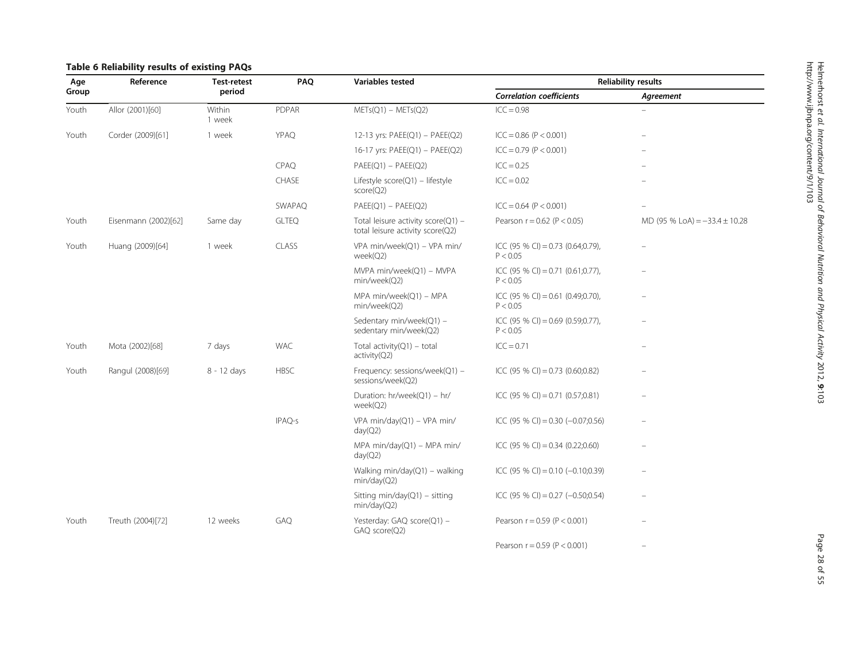# <span id="page-27-0"></span>Table 6 Reliability results of existing PAQs

| Age   | Reference            | <b>Test-retest</b> | PAQ          | Variables tested                                                           | <b>Reliability results</b>                      |                                   |
|-------|----------------------|--------------------|--------------|----------------------------------------------------------------------------|-------------------------------------------------|-----------------------------------|
| Group |                      | period             |              |                                                                            | <b>Correlation coefficients</b>                 | Agreement                         |
| Youth | Allor (2001)[60]     | Within<br>1 week   | PDPAR        | $METs(Q1) - METs(Q2)$                                                      | $ICC = 0.98$                                    |                                   |
| Youth | Corder (2009)[61]    | 1 week             | YPAO         | 12-13 yrs: $PAEE(Q1) - PAEE(Q2)$                                           | $ICC = 0.86 (P < 0.001)$                        |                                   |
|       |                      |                    |              | 16-17 yrs: $PAEE(Q1) - PAEE(Q2)$                                           | $ICC = 0.79 (P < 0.001)$                        |                                   |
|       |                      |                    | CPAQ         | $PAEE(Q1) - PAEE(Q2)$                                                      | $ICC = 0.25$                                    |                                   |
|       |                      |                    | CHASE        | Lifestyle score(Q1) - lifestyle<br>score(Q2)                               | $ICC = 0.02$                                    |                                   |
|       |                      |                    | SWAPAO       | $PAEE(Q1) - PAEE(Q2)$                                                      | $ICC = 0.64 (P < 0.001)$                        |                                   |
| Youth | Eisenmann (2002)[62] | Same day           | <b>GLTEQ</b> | Total leisure activity score( $Q1$ ) -<br>total leisure activity score(Q2) | Pearson $r = 0.62$ (P < 0.05)                   | MD (95 % LoA) = $-33.4 \pm 10.28$ |
| Youth | Huang (2009)[64]     | 1 week             | CLASS        | VPA min/week(Q1) - VPA min/<br>week(Q2)                                    | ICC (95 % CI) = 0.73 (0.64;0.79),<br>P < 0.05   |                                   |
|       |                      |                    |              | MVPA min/week(Q1) - MVPA<br>min/week(Q2)                                   | ICC (95 % CI) = 0.71 (0.61;0.77),<br>P < 0.05   |                                   |
|       |                      |                    |              | MPA min/week(Q1) - MPA<br>min/week(Q2)                                     | ICC (95 % CI) = 0.61 (0.49;0.70),<br>P < 0.05   |                                   |
|       |                      |                    |              | Sedentary min/week(Q1) -<br>sedentary min/week(Q2)                         | ICC (95 % CI) = $0.69$ (0.59;0.77),<br>P < 0.05 |                                   |
| Youth | Mota (2002)[68]      | 7 days             | <b>WAC</b>   | Total activity( $Q1$ ) – total<br>activity(Q2)                             | $ICC = 0.71$                                    |                                   |
| Youth | Rangul (2008)[69]    | 8 - 12 days        | <b>HBSC</b>  | Frequency: sessions/week(Q1) -<br>sessions/week(Q2)                        | ICC (95 % CI) = 0.73 (0.60;0.82)                |                                   |
|       |                      |                    |              | Duration: hr/week(Q1) - hr/<br>week(Q2)                                    | ICC (95 % CI) = 0.71 (0.57;0.81)                |                                   |
|       |                      |                    | IPAQ-s       | VPA min/day(Q1) - VPA min/<br>day(Q2)                                      | ICC (95 % CI) = $0.30$ ( $-0.07;0.56$ )         |                                   |
|       |                      |                    |              | MPA min/day( $Q1$ ) – MPA min/<br>day(Q2)                                  | ICC (95 % CI) = 0.34 (0.22;0.60)                |                                   |
|       |                      |                    |              | Walking min/day(Q1) - walking<br>min/day(Q2)                               | ICC (95 % CI) = $0.10$ (-0.10;0.39)             |                                   |
|       |                      |                    |              | Sitting min/day( $Q1$ ) – sitting<br>min/day(Q2)                           | ICC (95 % CI) = 0.27 $(-0.50;0.54)$             |                                   |
| Youth | Treuth (2004)[72]    | 12 weeks           | GAQ          | Yesterday: GAQ score(Q1) -<br>GAQ score(Q2)                                | Pearson $r = 0.59$ (P < 0.001)                  |                                   |
|       |                      |                    |              |                                                                            | Pearson $r = 0.59$ (P < 0.001)                  |                                   |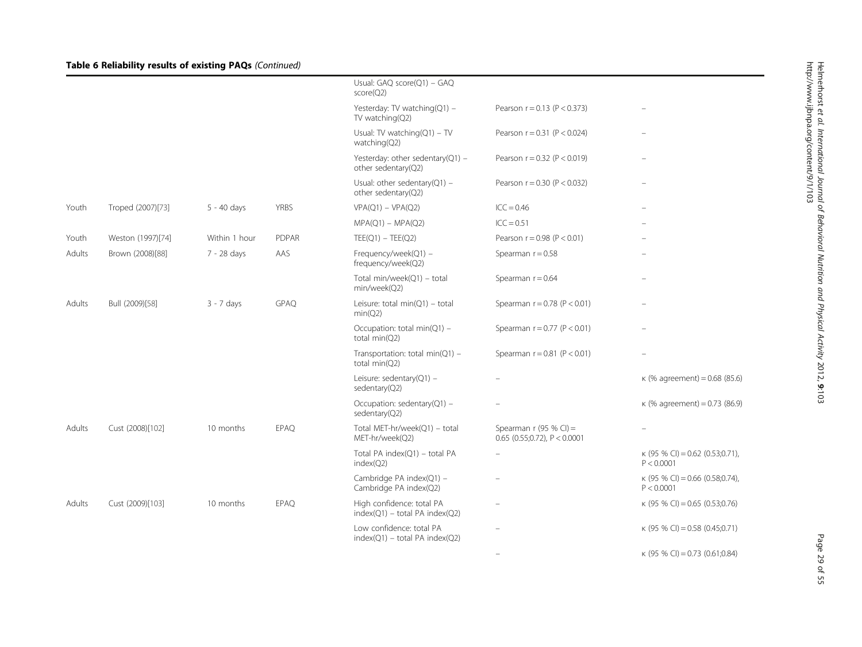|        |                   |               |             | Usual: GAQ score(Q1) - GAQ<br>score(Q2)                       |                                                          |                                                 |
|--------|-------------------|---------------|-------------|---------------------------------------------------------------|----------------------------------------------------------|-------------------------------------------------|
|        |                   |               |             | Yesterday: TV watching( $Q1$ ) -<br>TV watching(Q2)           | Pearson $r = 0.13$ (P < 0.373)                           |                                                 |
|        |                   |               |             | Usual: TV watching( $Q1$ ) – TV<br>watching(Q2)               | Pearson $r = 0.31$ (P < 0.024)                           |                                                 |
|        |                   |               |             | Yesterday: other sedentary( $Q1$ ) -<br>other sedentary(Q2)   | Pearson $r = 0.32$ (P < 0.019)                           |                                                 |
|        |                   |               |             | Usual: other sedentary( $Q1$ ) -<br>other sedentary(Q2)       | Pearson $r = 0.30$ (P < 0.032)                           |                                                 |
| Youth  | Troped (2007)[73] | $5 - 40$ days | <b>YRBS</b> | $VPA(Q1) - VPA(Q2)$                                           | $ICC = 0.46$                                             |                                                 |
|        |                   |               |             | $MPA(Q1) - MPA(Q2)$                                           | $ICC = 0.51$                                             |                                                 |
| Youth  | Weston (1997)[74] | Within 1 hour | PDPAR       | $\mathsf{TEE}(Q1) - \mathsf{TEE}(Q2)$                         | Pearson $r = 0.98$ (P < 0.01)                            |                                                 |
| Adults | Brown (2008)[88]  | 7 - 28 days   | AAS         | Frequency/week( $Q1$ ) -<br>frequency/week(Q2)                | Spearman $r = 0.58$                                      |                                                 |
|        |                   |               |             | Total min/week(Q1) - total<br>min/week(Q2)                    | Spearman $r = 0.64$                                      |                                                 |
| Adults | Bull (2009)[58]   | $3 - 7$ days  | <b>GPAO</b> | Leisure: total min( $Q1$ ) - total<br>min(Q2)                 | Spearman $r = 0.78$ (P < 0.01)                           |                                                 |
|        |                   |               |             | Occupation: total min(Q1) -<br>total min(O2)                  | Spearman $r = 0.77$ (P < 0.01)                           |                                                 |
|        |                   |               |             | Transportation: total $min(Q1)$ -<br>total min(O2)            | Spearman $r = 0.81$ (P < 0.01)                           |                                                 |
|        |                   |               |             | Leisure: sedentary(Q1) -<br>sedentary(Q2)                     |                                                          | $\kappa$ (% agreement) = 0.68 (85.6)            |
|        |                   |               |             | Occupation: sedentary(Q1) -<br>sedentary(Q2)                  |                                                          | $\kappa$ (% agreement) = 0.73 (86.9)            |
| Adults | Cust (2008)[102]  | 10 months     | EPAO        | Total MET-hr/week(Q1) - total<br>MET-hr/week(Q2)              | Spearman r (95 % CI) =<br>$0.65$ (0.55;0.72), P < 0.0001 |                                                 |
|        |                   |               |             | Total PA index(Q1) - total PA<br>index(Q2)                    | $\overline{\phantom{0}}$                                 | $K(95\% CI) = 0.62(0.53;0.71),$<br>P < 0.0001   |
|        |                   |               |             | Cambridge PA index(Q1) -<br>Cambridge PA index(Q2)            |                                                          | $K$ (95 % CI) = 0.66 (0.58;0.74),<br>P < 0.0001 |
| Adults | Cust (2009)[103]  | 10 months     | EPAQ        | High confidence: total PA<br>$index(Q1) - total PA index(Q2)$ |                                                          | $K$ (95 % CI) = 0.65 (0.53;0.76)                |
|        |                   |               |             | Low confidence: total PA<br>$index(Q1) - total PA index(Q2)$  |                                                          | $K$ (95 % CI) = 0.58 (0.45;0.71)                |
|        |                   |               |             |                                                               | $\overline{\phantom{m}}$                                 | $K$ (95 % CI) = 0.73 (0.61;0.84)                |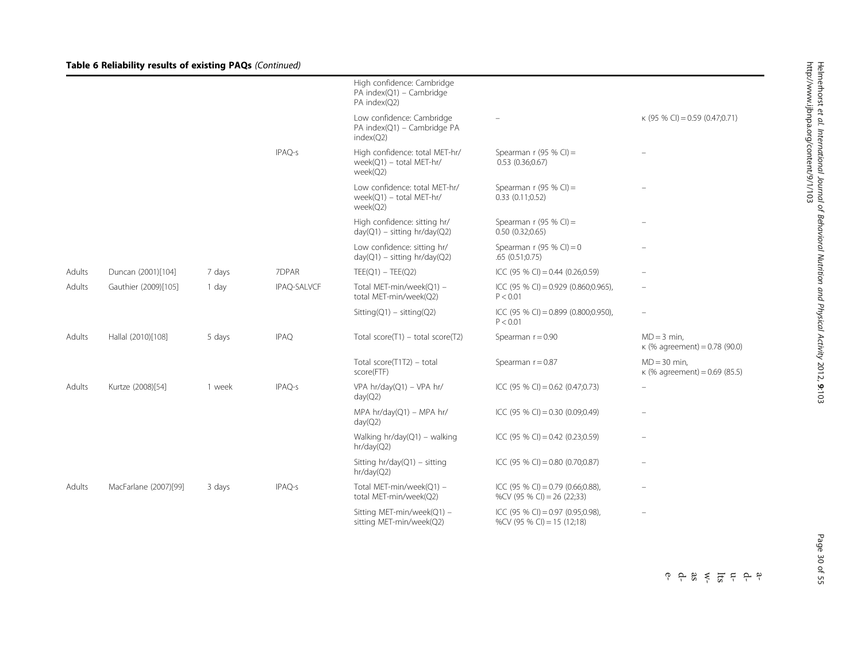|        |                       |        |             | High confidence: Cambridge<br>PA index(Q1) - Cambridge<br>PA index(Q2)     |                                                                 |                                                        |
|--------|-----------------------|--------|-------------|----------------------------------------------------------------------------|-----------------------------------------------------------------|--------------------------------------------------------|
|        |                       |        |             | Low confidence: Cambridge<br>PA index(Q1) - Cambridge PA<br>index(Q2)      |                                                                 | $K$ (95 % CI) = 0.59 (0.47;0.71)                       |
|        |                       |        | IPAQ-s      | High confidence: total MET-hr/<br>week( $Q1$ ) – total MET-hr/<br>week(Q2) | Spearman r (95 % CI) =<br>0.53(0.36;0.67)                       |                                                        |
|        |                       |        |             | Low confidence: total MET-hr/<br>week(Q1) - total MET-hr/<br>week(Q2)      | Spearman r (95 % CI) =<br>0.33(0.11;0.52)                       |                                                        |
|        |                       |        |             | High confidence: sitting hr/<br>$day(Q1) - sitting hr/day(Q2)$             | Spearman r (95 % CI) =<br>0.50(0.32;0.65)                       |                                                        |
|        |                       |        |             | Low confidence: sitting hr/<br>$day(Q1) - sitting hr/day(Q2)$              | Spearman r (95 % CI) = 0<br>.65(0.51;0.75)                      |                                                        |
| Adults | Duncan (2001)[104]    | 7 days | 7DPAR       | $TEE(Q1) - TEE(Q2)$                                                        | ICC (95 % CI) = 0.44 (0.26;0.59)                                |                                                        |
| Adults | Gauthier (2009)[105]  | 1 day  | IPAQ-SALVCF | Total MET-min/week(Q1) -<br>total MET-min/week(Q2)                         | ICC (95 % CI) = $0.929$ (0.860;0.965),<br>P < 0.01              |                                                        |
|        |                       |        |             | Sitting( $Q1$ ) – sitting( $Q2$ )                                          | ICC (95 % CI) = $0.899$ (0.800;0.950),<br>P < 0.01              |                                                        |
| Adults | Hallal (2010)[108]    | 5 days | <b>IPAQ</b> | Total score $(T1)$ – total score $(T2)$                                    | Spearman $r = 0.90$                                             | $MD = 3$ min,<br>$\kappa$ (% agreement) = 0.78 (90.0)  |
|        |                       |        |             | Total score(T1T2) - total<br>score(FTF)                                    | Spearman $r = 0.87$                                             | $MD = 30$ min,<br>$\kappa$ (% agreement) = 0.69 (85.5) |
| Adults | Kurtze (2008)[54]     | 1 week | IPAQ-s      | VPA hr/day(Q1) - VPA hr/<br>day(Q2)                                        | ICC (95 % CI) = $0.62$ (0.47;0.73)                              |                                                        |
|        |                       |        |             | MPA hr/day(Q1) - MPA hr/<br>day(Q2)                                        | ICC (95 % CI) = 0.30 (0.09;0.49)                                |                                                        |
|        |                       |        |             | Walking $hr/day(Q1) - walking$<br>hr/day(Q2)                               | ICC (95 % CI) = 0.42 (0.23;0.59)                                |                                                        |
|        |                       |        |             | Sitting $hr/day(Q1) - sitting$<br>hr/day(Q2)                               | ICC (95 % CI) = 0.80 (0.70;0.87)                                |                                                        |
| Adults | MacFarlane (2007)[99] | 3 days | IPAQ-s      | Total MET-min/week(Q1) -<br>total MET-min/week(Q2)                         | ICC (95 % CI) = 0.79 (0.66;0.88),<br>%CV (95 % CI) = 26 (22;33) |                                                        |
|        |                       |        |             | Sitting MET-min/week(Q1) -<br>sitting MET-min/week(Q2)                     | ICC (95 % CI) = 0.97 (0.95;0.98),<br>%CV (95 % CI) = 15 (12;18) |                                                        |

 $P$  ጉ ዴ ξ ፳ ና ጉ ቶ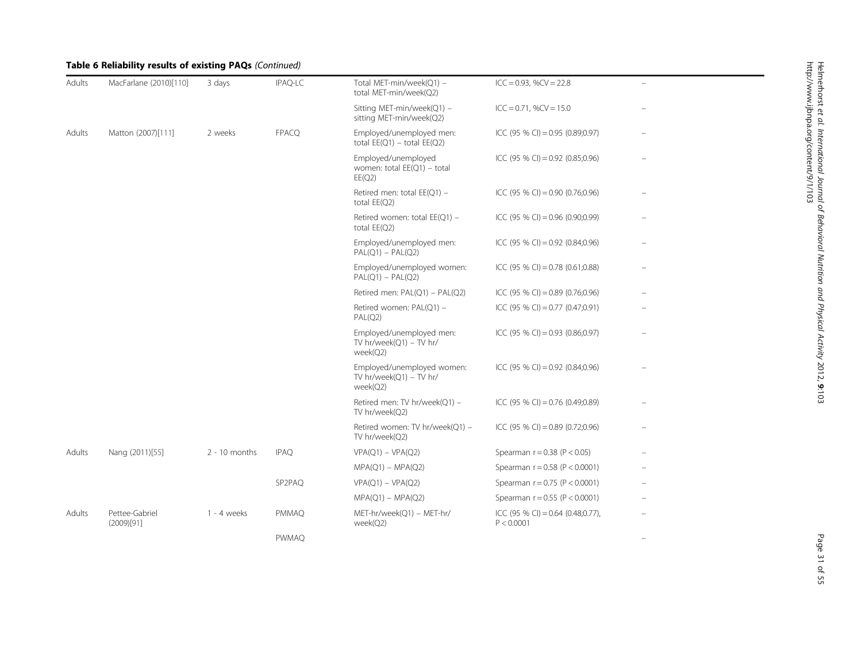| Adults | MacFarlane (2010)[110]       | 3 days          | IPAQ-LC      | Total MET-min/week(Q1) -<br>total MET-min/week(Q2)                    | $ICC = 0.93$ , %CV = 22.8                       |                          |
|--------|------------------------------|-----------------|--------------|-----------------------------------------------------------------------|-------------------------------------------------|--------------------------|
|        |                              |                 |              | Sitting MET-min/week(Q1) -<br>sitting MET-min/week(Q2)                | $ICC = 0.71$ , %CV = 15.0                       |                          |
| Adults | Matton (2007)[111]           | 2 weeks         | <b>FPACO</b> | Employed/unemployed men:<br>total $EE(Q1) - total EE(Q2)$             | ICC (95 % CI) = 0.95 (0.89;0.97)                |                          |
|        |                              |                 |              | Employed/unemployed<br>women: total $EE(Q1) - total$<br>EE(Q2)        | ICC (95 % CI) = $0.92$ (0.85;0.96)              |                          |
|        |                              |                 |              | Retired men: total $EE(Q1)$ -<br>total $EE(Q2)$                       | ICC (95 % CI) = $0.90$ (0.76;0.96)              |                          |
|        |                              |                 |              | Retired women: total $EE(Q1)$ -<br>total $EE(Q2)$                     | ICC (95 % CI) = $0.96$ (0.90;0.99)              |                          |
|        |                              |                 |              | Employed/unemployed men:<br>$PAL(Q1) - PAL(Q2)$                       | ICC (95 % CI) = $0.92$ (0.84;0.96)              |                          |
|        |                              |                 |              | Employed/unemployed women:<br>$PAL(Q1) - PAL(Q2)$                     | ICC (95 % CI) = 0.78 (0.61;0.88)                |                          |
|        |                              |                 |              | Retired men: PAL(Q1) - PAL(Q2)                                        | ICC (95 % CI) = 0.89 (0.76;0.96)                |                          |
|        |                              |                 |              | Retired women: PAL(Q1) -<br>PAL(Q2)                                   | ICC (95 % CI) = 0.77 (0.47;0.91)                |                          |
|        |                              |                 |              | Employed/unemployed men:<br>TV hr/week( $Q1$ ) – TV hr/<br>week(Q2)   | ICC (95 % CI) = 0.93 (0.86;0.97)                |                          |
|        |                              |                 |              | Employed/unemployed women:<br>TV hr/week( $Q1$ ) – TV hr/<br>week(Q2) | ICC (95 % CI) = 0.92 (0.84;0.96)                |                          |
|        |                              |                 |              | Retired men: TV hr/week(Q1) -<br>TV hr/week(Q2)                       | ICC (95 % CI) = 0.76 (0.49;0.89)                |                          |
|        |                              |                 |              | Retired women: TV hr/week(Q1) -<br>TV hr/week(Q2)                     | ICC (95 % CI) = 0.89 (0.72;0.96)                |                          |
| Adults | Nang (2011)[55]              | $2 - 10$ months | <b>IPAQ</b>  | $VPA(Q1) - VPA(Q2)$                                                   | Spearman $r = 0.38$ (P < 0.05)                  |                          |
|        |                              |                 |              | $MPA(Q1) - MPA(Q2)$                                                   | Spearman $r = 0.58$ (P < 0.0001)                |                          |
|        |                              |                 | SP2PAQ       | $VPA(Q1) - VPA(Q2)$                                                   | Spearman $r = 0.75$ (P < 0.0001)                |                          |
|        |                              |                 |              | $MPA(Q1) - MPA(Q2)$                                                   | Spearman $r = 0.55$ (P < 0.0001)                |                          |
| Adults | Pettee-Gabriel<br>(2009)[91] | $1 - 4$ weeks   | <b>PMMAQ</b> | MET-hr/week(Q1) - MET-hr/<br>week(Q2)                                 | ICC (95 % CI) = 0.64 (0.48;0.77),<br>P < 0.0001 |                          |
|        |                              |                 | <b>PWMAQ</b> |                                                                       |                                                 | $\overline{\phantom{0}}$ |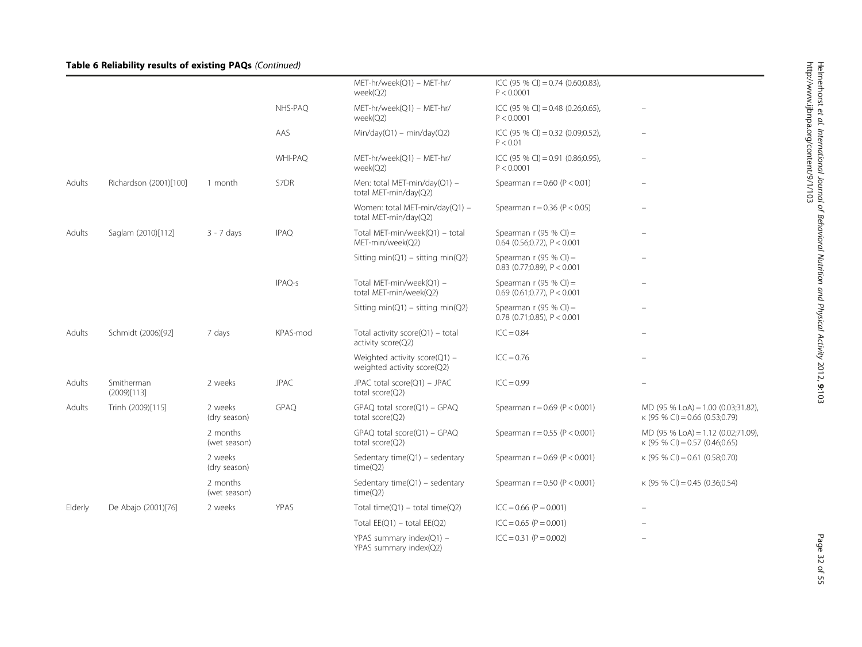|         |                           |                          |                | MET-hr/week(Q1) - MET-hr/<br>week(Q2)                            | ICC (95 % CI) = 0.74 (0.60;0.83),<br>P < 0.0001         |                                                                       |
|---------|---------------------------|--------------------------|----------------|------------------------------------------------------------------|---------------------------------------------------------|-----------------------------------------------------------------------|
|         |                           |                          | NHS-PAQ        | MET-hr/week(Q1) - MET-hr/<br>week(Q2)                            | ICC (95 % CI) = 0.48 (0.26;0.65),<br>P < 0.0001         |                                                                       |
|         |                           |                          | AAS            | $Min/day(Q1) - min/day(Q2)$                                      | ICC (95 % CI) = 0.32 (0.09;0.52),<br>P < 0.01           |                                                                       |
|         |                           |                          | <b>WHI-PAQ</b> | MET-hr/week(Q1) - MET-hr/<br>week(Q2)                            | ICC (95 % CI) = 0.91 (0.86;0.95),<br>P < 0.0001         |                                                                       |
| Adults  | Richardson (2001)[100]    | 1 month                  | S7DR           | Men: total MET-min/day(Q1) -<br>total MET-min/day(Q2)            | Spearman $r = 0.60$ (P < 0.01)                          |                                                                       |
|         |                           |                          |                | Women: total MET-min/day(Q1) -<br>total MET-min/day(Q2)          | Spearman $r = 0.36$ (P < 0.05)                          |                                                                       |
| Adults  | Saglam (2010)[112]        | $3 - 7$ days             | <b>IPAQ</b>    | Total MET-min/week(Q1) - total<br>MET-min/week(Q2)               | Spearman r (95 % CI) =<br>$0.64$ (0.56;0.72), P < 0.001 |                                                                       |
|         |                           |                          |                | Sitting $min(Q1) -$ sitting $min(Q2)$                            | Spearman r (95 % CI) =<br>0.83 (0.77;0.89), $P < 0.001$ |                                                                       |
|         |                           |                          | IPAQ-s         | Total MET-min/week(Q1) -<br>total MET-min/week(Q2)               | Spearman r (95 % CI) =<br>$0.69$ (0.61;0.77), P < 0.001 |                                                                       |
|         |                           |                          |                | Sitting min( $Q1$ ) – sitting min( $Q2$ )                        | Spearman r (95 % CI) =<br>$0.78$ (0.71;0.85), P < 0.001 |                                                                       |
| Adults  | Schmidt (2006)[92]        | 7 days                   | KPAS-mod       | Total activity $score(Q1) - total$<br>activity score(Q2)         | $ICC = 0.84$                                            |                                                                       |
|         |                           |                          |                | Weighted activity score( $Q1$ ) -<br>weighted activity score(Q2) | $ICC = 0.76$                                            |                                                                       |
| Adults  | Smitherman<br>(2009)[113] | 2 weeks                  | <b>JPAC</b>    | JPAC total score( $Q1$ ) - JPAC<br>total score(Q2)               | $ICC = 0.99$                                            |                                                                       |
| Adults  | Trinh (2009)[115]         | 2 weeks<br>(dry season)  | <b>GPAQ</b>    | $GPAQ$ total score $(Q1)$ – $GPAQ$<br>total $score(Q2)$          | Spearman $r = 0.69$ (P < 0.001)                         | MD (95 % LoA) = 1.00 (0.03;31.82)<br>$K$ (95 % CI) = 0.66 (0.53;0.79) |
|         |                           | 2 months<br>(wet season) |                | $GPAQ$ total score $(Q1)$ – $GPAQ$<br>total score(Q2)            | Spearman $r = 0.55$ (P < 0.001)                         | MD (95 % LoA) = 1.12 (0.02;71.09)<br>$K$ (95 % CI) = 0.57 (0.46;0.65) |
|         |                           | 2 weeks<br>(dry season)  |                | Sedentary time( $Q1$ ) – sedentary<br>time(Q2)                   | Spearman $r = 0.69$ (P < 0.001)                         | $K$ (95 % CI) = 0.61 (0.58;0.70)                                      |
|         |                           | 2 months<br>(wet season) |                | Sedentary time( $Q1$ ) – sedentary<br>time(Q2)                   | Spearman $r = 0.50$ (P < 0.001)                         | $K$ (95 % CI) = 0.45 (0.36;0.54)                                      |
| Elderly | De Abajo (2001)[76]       | 2 weeks                  | YPAS           | Total time( $Q1$ ) – total time( $Q2$ )                          | $ICC = 0.66 (P = 0.001)$                                |                                                                       |
|         |                           |                          |                | Total $EE(Q1) - total EE(Q2)$                                    | $ICC = 0.65 (P = 0.001)$                                |                                                                       |
|         |                           |                          |                | YPAS summary index( $Q1$ ) –<br>YPAS summary index(Q2)           | $ICC = 0.31 (P = 0.002)$                                |                                                                       |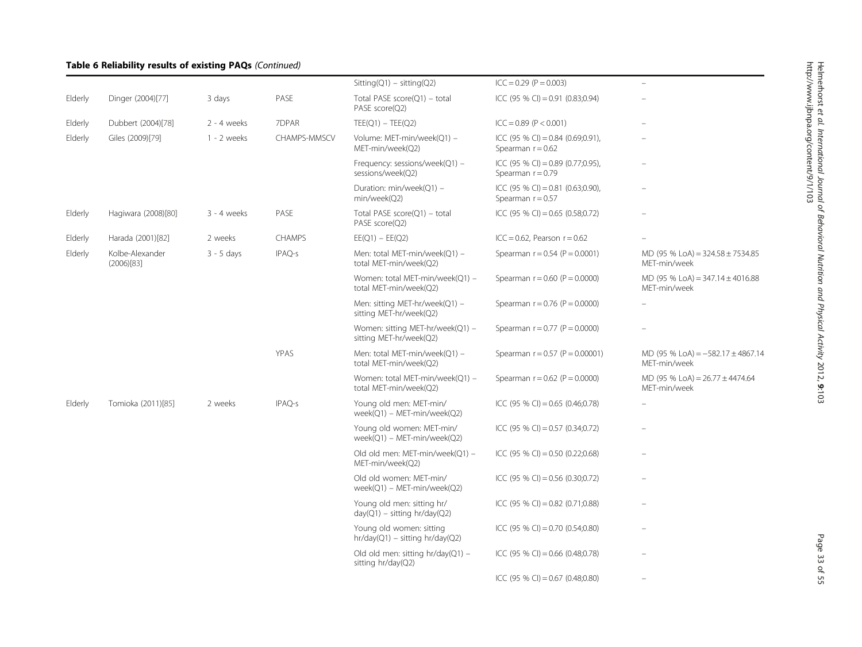|         |                               |               |               | Sitting( $Q1$ ) – sitting( $Q2$ )                            | $ICC = 0.29 (P = 0.003)$                                 | $\equiv$                                              |
|---------|-------------------------------|---------------|---------------|--------------------------------------------------------------|----------------------------------------------------------|-------------------------------------------------------|
| Elderly | Dinger (2004)[77]             | 3 days        | PASE          | Total PASE score( $Q1$ ) - total<br>PASE score(Q2)           | ICC (95 % CI) = 0.91 (0.83;0.94)                         |                                                       |
| Elderly | Dubbert (2004)[78]            | $2 - 4$ weeks | 7DPAR         | $\mathsf{TEE}(Q1) - \mathsf{TEE}(Q2)$                        | $ICC = 0.89 (P < 0.001)$                                 |                                                       |
| Elderly | Giles (2009)[79]              | $1 - 2$ weeks | CHAMPS-MMSCV  | Volume: MET-min/week(Q1) -<br>MET-min/week(Q2)               | ICC (95 % CI) = 0.84 (0.69;0.91),<br>Spearman $r = 0.62$ |                                                       |
|         |                               |               |               | Frequency: sessions/week( $Q1$ ) –<br>sessions/week(Q2)      | ICC (95 % CI) = 0.89 (0.77;0.95),<br>Spearman $r = 0.79$ |                                                       |
|         |                               |               |               | Duration: min/week(Q1) -<br>min/week(Q2)                     | ICC (95 % CI) = 0.81 (0.63;0.90),<br>Spearman $r = 0.57$ |                                                       |
| Elderly | Hagiwara (2008)[80]           | $3 - 4$ weeks | PASE          | Total PASE score(Q1) - total<br>PASE score(Q2)               | ICC (95 % CI) = $0.65$ (0.58;0.72)                       |                                                       |
| Elderly | Harada (2001)[82]             | 2 weeks       | <b>CHAMPS</b> | $EE(Q1) - EE(Q2)$                                            | $ICC = 0.62$ , Pearson $r = 0.62$                        |                                                       |
| Elderly | Kolbe-Alexander<br>(2006)[83] | $3 - 5$ days  | IPAQ-s        | Men: total MET-min/week(Q1) -<br>total MET-min/week(Q2)      | Spearman $r = 0.54$ (P = 0.0001)                         | MD (95 % LoA) = $324.58 \pm 7534.85$<br>MET-min/week  |
|         |                               |               |               | Women: total MET-min/week(Q1) -<br>total MET-min/week(Q2)    | Spearman $r = 0.60$ (P = 0.0000)                         | MD (95 % LoA) = $347.14 \pm 4016.88$<br>MET-min/week  |
|         |                               |               |               | Men: sitting MET-hr/week(Q1) -<br>sitting MET-hr/week(Q2)    | Spearman $r = 0.76$ (P = 0.0000)                         |                                                       |
|         |                               |               |               | Women: sitting MET-hr/week(Q1) -<br>sitting MET-hr/week(Q2)  | Spearman $r = 0.77$ (P = 0.0000)                         | $\equiv$                                              |
|         |                               |               | YPAS          | Men: total MET-min/week( $Q1$ ) -<br>total MET-min/week(Q2)  | Spearman $r = 0.57$ (P = 0.00001)                        | MD (95 % LoA) = $-582.17 \pm 4867.14$<br>MET-min/week |
|         |                               |               |               | Women: total MET-min/week(Q1) -<br>total MET-min/week(Q2)    | Spearman $r = 0.62$ (P = 0.0000)                         | MD (95 % LoA) = $26.77 \pm 4474.64$<br>MET-min/week   |
| Elderly | Tomioka (2011)[85]            | 2 weeks       | IPAQ-s        | Young old men: MET-min/<br>week(Q1) - MET-min/week(Q2)       | ICC (95 % CI) = $0.65$ (0.46;0.78)                       |                                                       |
|         |                               |               |               | Young old women: MET-min/<br>week(Q1) - MET-min/week(Q2)     | ICC (95 % CI) = 0.57 (0.34;0.72)                         |                                                       |
|         |                               |               |               | Old old men: MET-min/week(Q1) -<br>MET-min/week(Q2)          | ICC (95 % CI) = 0.50 (0.22;0.68)                         |                                                       |
|         |                               |               |               | Old old women: MET-min/<br>week(Q1) - MET-min/week(Q2)       | ICC (95 % CI) = 0.56 (0.30;0.72)                         |                                                       |
|         |                               |               |               | Young old men: sitting hr/<br>$day(Q1) - sitting hr/day(Q2)$ | ICC (95 % CI) = 0.82 (0.71;0.88)                         |                                                       |
|         |                               |               |               | Young old women: sitting<br>hr/day(Q1) - sitting hr/day(Q2)  | ICC (95 % CI) = 0.70 (0.54;0.80)                         |                                                       |
|         |                               |               |               | Old old men: sitting $hr/day(Q1) -$<br>sitting hr/day(Q2)    | ICC (95 % CI) = 0.66 (0.48;0.78)                         |                                                       |
|         |                               |               |               |                                                              | ICC (95 % CI) = $0.67$ (0.48;0.80)                       | $\equiv$                                              |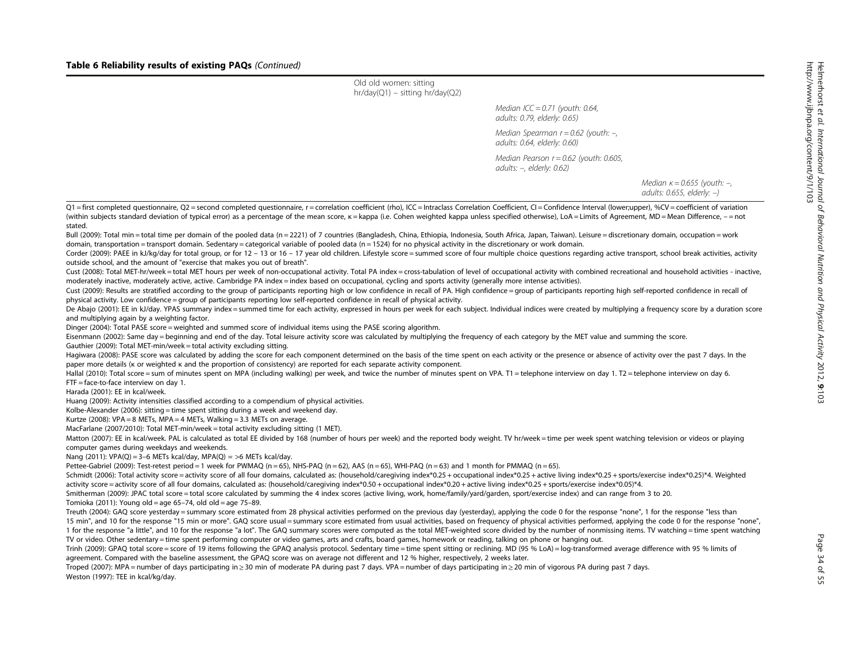Old old women: sitting hr/day(Q1) – sitting hr/day(Q2)

> Median  $ICC = 0.71$  (youth: 0.64) adults: 0.79, elderly: 0.65)

Median Spearman  $r = 0.62$  (youth:  $-$ , adults: 0.64, elderly: 0.60)

Median Pearson  $r = 0.62$  (youth: 0.605, adults: –, elderly: 0.62)

> Median  $κ = 0.655$  (youth:  $$  $adults: 0.655,$  elderly:  $-1$

 $Q1 =$  first completed questionnaire,  $Q2 =$  second completed questionnaire, r = correlation coefficient (rho), ICC = Intraclass Correlation Coefficient, CI = Confidence Interval (lower;upper), %CV = coefficient of variatio (within subjects standard deviation of typical error) as a percentage of the mean score, κ = kappa (i.e. Cohen weighted kappa unless specified otherwise), LoA = Limits of Agreement, MD = Mean Difference, – = not stated.

Bull (2009): Total min = total time per domain of the pooled data (n = 2221) of 7 countries (Bangladesh, China, Ethiopia, Indonesia, South Africa, Japan, Taiwan). Leisure = discretionary domain, occupation = work domain, transportation = transport domain. Sedentary = categorical variable of pooled data (n = 1524) for no physical activity in the discretionary or work domain.

Corder (2009): PAEE in kJ/kg/day for total group, or for 12 - 13 or 16 - 17 year old children. Lifestyle score = summed score of four multiple choice questions regarding active transport, school break activities, activity outside school, and the amount of "exercise that makes you out of breath".

Cust (2008): Total MET-hr/week = total MET hours per week of non-occupational activity. Total PA index = cross-tabulation of level of occupational activity with combined recreational and household activities - inactive, moderately inactive, moderately active, active. Cambridge PA index = index based on occupational, cycling and sports activity (generally more intense activities).

Cust (2009): Results are stratified according to the group of participants reporting high or low confidence in recall of PA. High confidence = group of participants reporting high self-reported confidence in recall of physical activity. Low confidence = group of participants reporting low self-reported confidence in recall of physical activity.

De Abajo (2001): EE in kJ/day. YPAS summary index = summed time for each activity, expressed in hours per week for each subject. Individual indices were created by multiplying a frequency score by a duration score and multiplying again by a weighting factor.

Dinger (2004): Total PASE score = weighted and summed score of individual items using the PASE scoring algorithm.

Eisenmann (2002): Same day = beginning and end of the day. Total leisure activity score was calculated by multiplying the frequency of each category by the MET value and summing the score. Gauthier (2009): Total MET-min/week = total activity excluding sitting.

Hagiwara (2008): PASE score was calculated by adding the score for each component determined on the basis of the time spent on each activity or the presence or absence of activity over the past 7 days. In the paper more details (κ or weighted κ and the proportion of consistency) are reported for each separate activity component.

Hallal (2010): Total score = sum of minutes spent on MPA (including walking) per week, and twice the number of minutes spent on VPA. T1 = telephone interview on day 1. T2 = telephone interview on day 1. T2 = telephone inte FTF = face-to-face interview on day 1.

Harada (2001): EE in kcal/week.

Huang (2009): Activity intensities classified according to a compendium of physical activities.

Kolbe-Alexander (2006): sitting = time spent sitting during a week and weekend day.

Kurtze (2008):  $VPA = 8$  METs, MPA = 4 METs, Walking = 3.3 METs on average.

MacFarlane (2007/2010): Total MET-min/week = total activity excluding sitting (1 MET).

Matton (2007): EE in kcal/week. PAL is calculated as total EE divided by 168 (number of hours per week) and the reported body weight. TV hr/week = time per week spent watching television or videos or playing computer games during weekdays and weekends.

Nang (2011):  $VPA(Q) = 3-6$  METs kcal/day, MPA(Q) = >6 METs kcal/day.

Pettee-Gabriel (2009): Test-retest period = 1 week for PWMAQ (n = 65), NHS-PAQ (n = 62), AAS (n = 65), WHI-PAQ (n = 63) and 1 month for PMMAQ (n = 65).

Schmidt (2006): Total activity score = activity score of all four domains, calculated as: (household/caregiving index\*0.25 + occupational index\*0.25 + active living index\*0.25 + sports/exercise index\*0.25)\*4. Weighted activity score = activity score of all four domains, calculated as: (household/caregiving index\*0.50 + occupational index\*0.20 + active living index\*0.25 + sports/exercise index\*0.05)\*4.

Smitherman (2009): JPAC total score = total score calculated by summing the 4 index scores (active living, work, home/family/yard/garden, sport/exercise index) and can range from 3 to 20. Tomioka (2011): Young old = age 65-74, old old = age 75-89.

Treuth (2004): GAQ score yesterday = summary score estimated from 28 physical activities performed on the previous day (yesterday), applying the code 0 for the response "none", 1 for the response "less than 15 min", and 10 for the response "15 min or more". GAQ score usual = summary score estimated from usual activities, based on frequency of physical activities performed, applying the code 0 for the response "none", 1 for the response "a little", and 10 for the response "a lot". The GAQ summary scores were computed as the total MET-weighted score divided by the number of nonmissing items. TV watching = time spent watching TV or video. Other sedentary = time spent performing computer or video games, arts and crafts, board games, homework or reading, talking on phone or hanging out.

Trinh (2009): GPAO total score = score of 19 items following the GPAO analysis protocol. Sedentary time = time spent sitting or reclining. MD (95 % LoA) = log-transformed average difference with 95 % limits of agreement. Compared with the baseline assessment, the GPAQ score was on average not different and 12 % higher, respectively, 2 weeks later.

Troped (2007): MPA = number of days participating in ≥ 30 min of moderate PA during past 7 days. VPA = number of days participating in ≥ 20 min of vigorous PA during past 7 days. Weston (1997): TEE in kcal/kg/day.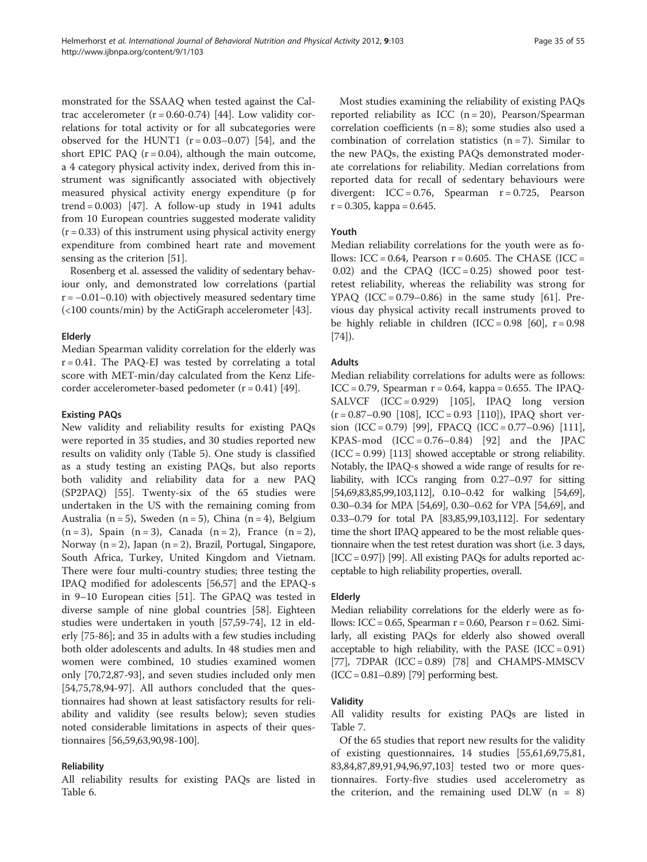monstrated for the SSAAQ when tested against the Caltrac accelerometer  $(r = 0.60 - 0.74)$  [[44](#page-52-0)]. Low validity correlations for total activity or for all subcategories were observed for the HUNT1  $(r = 0.03 - 0.07)$  [[54\]](#page-52-0), and the short EPIC PAQ  $(r = 0.04)$ , although the main outcome, a 4 category physical activity index, derived from this instrument was significantly associated with objectively measured physical activity energy expenditure (p for trend =  $0.003$ ) [\[47\]](#page-52-0). A follow-up study in 1941 adults from 10 European countries suggested moderate validity  $(r = 0.33)$  of this instrument using physical activity energy expenditure from combined heart rate and movement sensing as the criterion [\[51](#page-52-0)].

Rosenberg et al. assessed the validity of sedentary behaviour only, and demonstrated low correlations (partial  $r = -0.01 - 0.10$ ) with objectively measured sedentary time (<100 counts/min) by the ActiGraph accelerometer [\[43\]](#page-52-0).

#### Elderly

Median Spearman validity correlation for the elderly was  $r = 0.41$ . The PAQ-EJ was tested by correlating a total score with MET-min/day calculated from the Kenz Lifecorder accelerometer-based pedometer  $(r = 0.41)$  [\[49](#page-52-0)].

## Existing PAQs

New validity and reliability results for existing PAQs were reported in 35 studies, and 30 studies reported new results on validity only (Table [5\)](#page-22-0). One study is classified as a study testing an existing PAQs, but also reports both validity and reliability data for a new PAQ (SP2PAQ) [\[55](#page-53-0)]. Twenty-six of the 65 studies were undertaken in the US with the remaining coming from Australia (n = 5), Sweden (n = 5), China (n = 4), Belgium  $(n = 3)$ , Spain  $(n = 3)$ , Canada  $(n = 2)$ , France  $(n = 2)$ , Norway  $(n = 2)$ , Japan  $(n = 2)$ , Brazil, Portugal, Singapore, South Africa, Turkey, United Kingdom and Vietnam. There were four multi-country studies; three testing the IPAQ modified for adolescents [\[56,57\]](#page-53-0) and the EPAQ-s in 9–10 European cities [[51](#page-52-0)]. The GPAQ was tested in diverse sample of nine global countries [\[58\]](#page-53-0). Eighteen studies were undertaken in youth [[57](#page-53-0),[59](#page-53-0)-[74\]](#page-53-0), 12 in elderly [[75](#page-53-0)-[86\]](#page-53-0); and 35 in adults with a few studies including both older adolescents and adults. In 48 studies men and women were combined, 10 studies examined women only [[70,72,87](#page-53-0)-[93\]](#page-53-0), and seven studies included only men [[54,](#page-52-0)[75](#page-53-0),[78,94](#page-53-0)-[97\]](#page-54-0). All authors concluded that the questionnaires had shown at least satisfactory results for reliability and validity (see results below); seven studies noted considerable limitations in aspects of their questionnaires [[56,59,63](#page-53-0),[90](#page-53-0)[,98](#page-54-0)-[100](#page-54-0)].

## Reliability

All reliability results for existing PAQs are listed in Table [6.](#page-27-0)

Most studies examining the reliability of existing PAQs reported reliability as ICC (n = 20), Pearson/Spearman correlation coefficients ( $n = 8$ ); some studies also used a combination of correlation statistics  $(n = 7)$ . Similar to the new PAQs, the existing PAQs demonstrated moderate correlations for reliability. Median correlations from reported data for recall of sedentary behaviours were divergent:  $ICC = 0.76$ , Spearman  $r = 0.725$ , Pearson  $r = 0.305$ , kappa = 0.645.

## Youth

Median reliability correlations for the youth were as follows: ICC = 0.64, Pearson  $r = 0.605$ . The CHASE (ICC = 0.02) and the CPAQ  $(ICC = 0.25)$  showed poor testretest reliability, whereas the reliability was strong for  $YPAQ$  (ICC = 0.79–0.86) in the same study [[61\]](#page-53-0). Previous day physical activity recall instruments proved to be highly reliable in children  $(ICC = 0.98 \mid 60]$  $(ICC = 0.98 \mid 60]$ , r = 0.98 [[74\]](#page-53-0)).

## Adults

Median reliability correlations for adults were as follows: ICC = 0.79, Spearman  $r = 0.64$ , kappa = 0.655. The IPAQ-SALVCF  $(ICC = 0.929)$   $[105]$  $[105]$ , IPAQ long version (r = 0.87–0.90 [[108\]](#page-54-0), ICC = 0.93 [\[110\]](#page-54-0)), IPAQ short version  $(ICC = 0.79)$  [\[99\]](#page-54-0), FPACQ  $(ICC = 0.77-0.96)$  [[111](#page-54-0)],  $KPAS-mod$   $(ICC = 0.76-0.84)$   $[92]$  $[92]$  and the JPAC  $(ICC = 0.99)$  [[113\]](#page-54-0) showed acceptable or strong reliability. Notably, the IPAQ-s showed a wide range of results for reliability, with ICCs ranging from 0.27–0.97 for sitting [[54](#page-52-0)[,69,83,85](#page-53-0)[,99,103,112\]](#page-54-0), 0.10–0.42 for walking [54[,69](#page-53-0)], 0.30–0.34 for MPA [[54](#page-52-0)[,69](#page-53-0)], 0.30–0.62 for VPA [\[54](#page-52-0)[,69\]](#page-53-0), and 0.33–0.79 for total PA [[83,85](#page-53-0)[,99,103,112](#page-54-0)]. For sedentary time the short IPAQ appeared to be the most reliable questionnaire when the test retest duration was short (i.e. 3 days,  $[ICC = 0.97]$  [\[99\]](#page-54-0). All existing PAQs for adults reported acceptable to high reliability properties, overall.

## Elderly

Median reliability correlations for the elderly were as follows: ICC =  $0.65$ , Spearman r =  $0.60$ , Pearson r =  $0.62$ . Similarly, all existing PAQs for elderly also showed overall acceptable to high reliability, with the PASE (ICC =  $0.91$ ) [[77](#page-53-0)], 7DPAR  $(ICC = 0.89)$  [\[78\]](#page-53-0) and CHAMPS-MMSCV  $(ICC = 0.81 - 0.89)$  [\[79\]](#page-53-0) performing best.

## Validity

All validity results for existing PAQs are listed in Table [7.](#page-35-0)

Of the 65 studies that report new results for the validity of existing questionnaires, 14 studies [[55,61,69,75](#page-53-0),[81](#page-53-0), [83,84](#page-53-0),[87](#page-53-0),[89](#page-53-0),[91](#page-53-0),[94,96](#page-53-0)[,97,103](#page-54-0)] tested two or more questionnaires. Forty-five studies used accelerometry as the criterion, and the remaining used  $DLW$  (n = 8)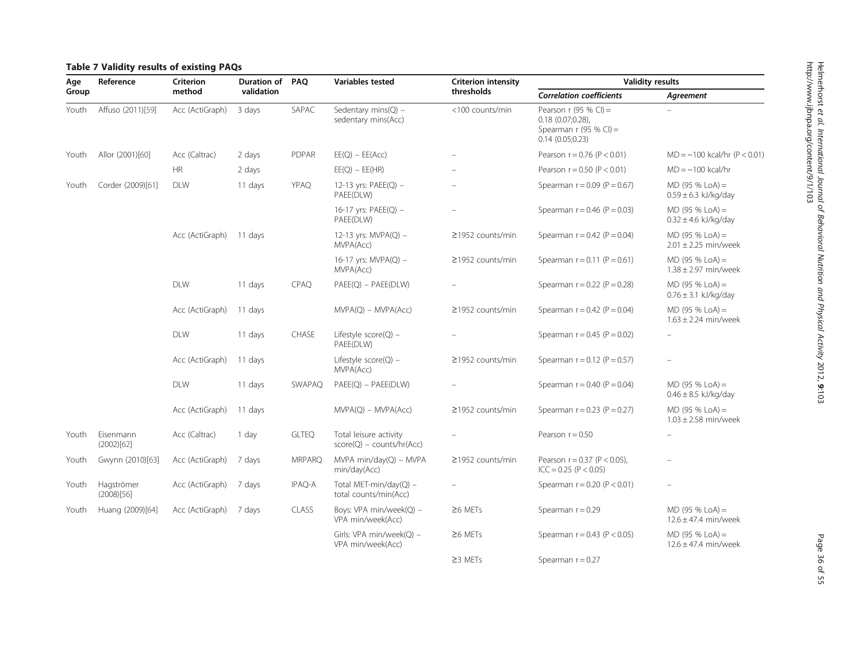<span id="page-35-0"></span>

| Age   | Reference                | <b>Criterion</b>     | <b>Duration of</b> | <b>PAO</b>                      | <b>Variables tested</b>                               | <b>Criterion intensity</b> |                                                                                       | <b>Validity results</b>                               |
|-------|--------------------------|----------------------|--------------------|---------------------------------|-------------------------------------------------------|----------------------------|---------------------------------------------------------------------------------------|-------------------------------------------------------|
| Group |                          | method<br>validation | thresholds         | <b>Correlation coefficients</b> | Agreement                                             |                            |                                                                                       |                                                       |
| Youth | Affuso (2011)[59]        | Acc (ActiGraph)      | 3 days             | SAPAC                           | Sedentary mins( $Q$ ) -<br>sedentary mins(Acc)        | <100 counts/min            | Pearson r (95 % Cl) =<br>0.18(0.07;0.28)<br>Spearman r (95 % Cl) =<br>0.14(0.05;0.23) |                                                       |
| Youth | Allor (2001)[60]         | Acc (Caltrac)        | 2 days             | <b>PDPAR</b>                    | $EE(Q) - EE(Acc)$                                     |                            | Pearson $r = 0.76$ (P < 0.01)                                                         | $MD = ~100$ kcal/hr (P < 0.01)                        |
|       |                          | <b>HR</b>            | 2 days             |                                 | $EE(Q) - EE(HR)$                                      |                            | Pearson $r = 0.50$ (P < 0.01)                                                         | $MD = ~100$ kcal/hr                                   |
| Youth | Corder (2009)[61]        | <b>DLW</b>           | 11 days            | YPAQ                            | 12-13 yrs: PAEE(Q) -<br>PAEE(DLW)                     |                            | Spearman $r = 0.09$ (P = 0.67)                                                        | $MD (95 % LoA) =$<br>$0.59 \pm 6.3$ kJ/kg/day         |
|       |                          |                      |                    |                                 | 16-17 yrs: PAEE(Q) -<br>PAEE(DLW)                     |                            | Spearman $r = 0.46$ (P = 0.03)                                                        | $MD (95 % LoA) =$<br>$0.32 \pm 4.6 \text{ kJ/kg/day}$ |
|       |                          | Acc (ActiGraph)      | 11 days            |                                 | 12-13 yrs: $MVPA(Q) -$<br>MVPA(Acc)                   | $\geq$ 1952 counts/min     | Spearman $r = 0.42$ (P = 0.04)                                                        | $MD (95 % LoA) =$<br>$2.01 \pm 2.25$ min/week         |
|       |                          |                      |                    |                                 | 16-17 yrs: $MVPA(Q) -$<br>MVPA(Acc)                   | $\geq$ 1952 counts/min     | Spearman $r = 0.11$ (P = 0.61)                                                        | $MD (95 % LoA) =$<br>$1.38 \pm 2.97$ min/week         |
|       |                          | <b>DLW</b>           | 11 days            | CPAQ                            | $PAEE(Q) - PAEE(DLW)$                                 |                            | Spearman $r = 0.22$ (P = 0.28)                                                        | $MD (95 % LoA) =$<br>$0.76 \pm 3.1 \text{ kJ/kg/day}$ |
|       |                          | Acc (ActiGraph)      | 11 days            |                                 | $MVPA(Q) - MVPA(Acc)$                                 | $\geq$ 1952 counts/min     | Spearman $r = 0.42$ (P = 0.04)                                                        | $MD (95 % LoA) =$<br>$1.63 \pm 2.24$ min/week         |
|       |                          | <b>DLW</b>           | 11 days            | CHASE                           | Lifestyle $score(Q)$ -<br>PAEE(DLW)                   |                            | Spearman $r = 0.45$ (P = 0.02)                                                        |                                                       |
|       |                          | Acc (ActiGraph)      | 11 days            |                                 | Lifestyle $score(Q)$ -<br>MVPA(Acc)                   | ≥1952 counts/min           | Spearman $r = 0.12$ (P = 0.57)                                                        | $\overline{\phantom{a}}$                              |
|       |                          | <b>DLW</b>           | 11 days            | <b>SWAPAO</b>                   | $PAEE(Q) - PAEE(DLW)$                                 |                            | Spearman $r = 0.40$ (P = 0.04)                                                        | $MD (95 % LoA) =$<br>$0.46 \pm 8.5$ kJ/kg/day         |
|       |                          | Acc (ActiGraph)      | 11 days            |                                 | MVPA(Q) - MVPA(Acc)                                   | ≥1952 counts/min           | Spearman $r = 0.23$ (P = 0.27)                                                        | $MD (95 % LoA) =$<br>$1.03 \pm 2.58$ min/week         |
| Youth | Eisenmann<br>(2002)[62]  | Acc (Caltrac)        | 1 day              | <b>GLTEQ</b>                    | Total leisure activity<br>$score(Q) - counts/hr(Acc)$ |                            | Pearson $r = 0.50$                                                                    |                                                       |
| Youth | Gwynn (2010)[63]         | Acc (ActiGraph)      | 7 days             | <b>MRPARQ</b>                   | MVPA min/day( $Q$ ) – MVPA<br>min/day(Acc)            | $\geq$ 1952 counts/min     | Pearson $r = 0.37$ (P < 0.05),<br>$ICC = 0.25 (P < 0.05)$                             |                                                       |
| Youth | Hagströmer<br>(2008)[56] | Acc (ActiGraph)      | 7 days             | IPAQ-A                          | Total MET-min/day(Q) -<br>total counts/min(Acc)       |                            | Spearman $r = 0.20$ (P < 0.01)                                                        | $\overline{\phantom{a}}$                              |
| Youth | Huang (2009)[64]         | Acc (ActiGraph)      | 7 days             | <b>CLASS</b>                    | Boys: VPA min/week(Q) -<br>VPA min/week(Acc)          | $\geq 6$ METs              | Spearman $r = 0.29$                                                                   | $MD (95 % LoA) =$<br>$12.6 \pm 47.4$ min/week         |
|       |                          |                      |                    |                                 | Girls: VPA min/week(Q) -<br>VPA min/week(Acc)         | $\geq 6$ METs              | Spearman $r = 0.43$ (P < 0.05)                                                        | $MD (95 % LoA) =$<br>$12.6 \pm 47.4$ min/week         |
|       |                          |                      |                    |                                 |                                                       | $\geq$ 3 METs              | Spearman $r = 0.27$                                                                   |                                                       |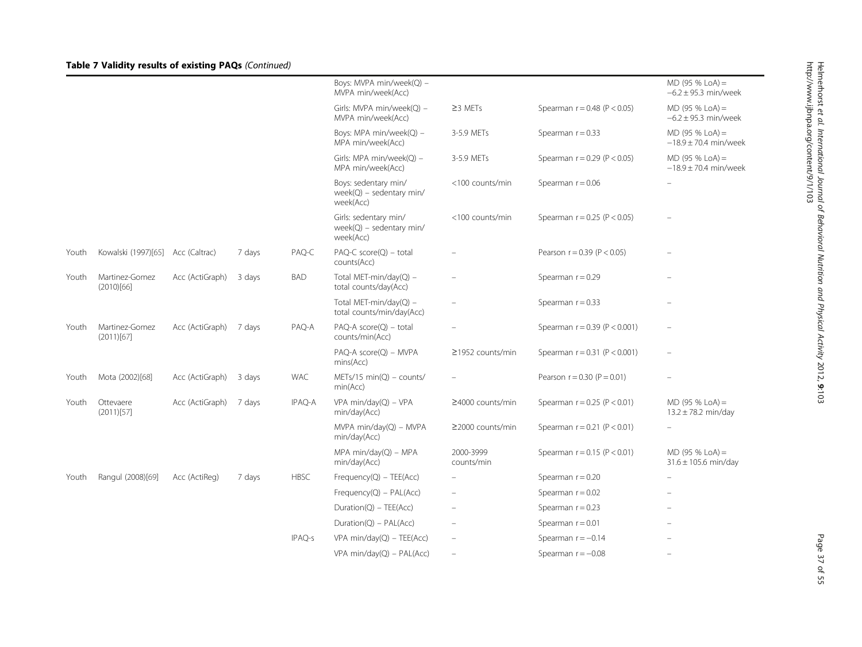|       |                                   |                 |        |             | Boys: MVPA min/week(Q) -<br>MVPA min/week(Acc)                    |                          |                                 | $MD (95 % LoA) =$<br>$-6.2 \pm 95.3$ min/week  |
|-------|-----------------------------------|-----------------|--------|-------------|-------------------------------------------------------------------|--------------------------|---------------------------------|------------------------------------------------|
|       |                                   |                 |        |             | Girls: MVPA min/week(Q) -<br>MVPA min/week(Acc)                   | $\geq$ 3 METs            | Spearman $r = 0.48$ (P < 0.05)  | $MD (95 % LoA) =$<br>$-6.2 \pm 95.3$ min/week  |
|       |                                   |                 |        |             | Boys: MPA min/week(Q) -<br>MPA min/week(Acc)                      | 3-5.9 METs               | Spearman $r = 0.33$             | $MD (95 % LoA) =$<br>$-18.9 \pm 70.4$ min/week |
|       |                                   |                 |        |             | Girls: MPA min/week(Q) -<br>MPA min/week(Acc)                     | 3-5.9 METs               | Spearman $r = 0.29$ (P < 0.05)  | $MD (95 % LoA) =$<br>$-18.9 \pm 70.4$ min/week |
|       |                                   |                 |        |             | Boys: sedentary min/<br>week( $Q$ ) – sedentary min/<br>week(Acc) | <100 counts/min          | Spearman $r = 0.06$             | $\qquad \qquad -$                              |
|       |                                   |                 |        |             | Girls: sedentary min/<br>$week(Q) - sedentary min/$<br>week(Acc)  | <100 counts/min          | Spearman $r = 0.25$ (P < 0.05)  |                                                |
| Youth | Kowalski (1997)[65] Acc (Caltrac) |                 | 7 days | PAQ-C       | $PAQ-C score(Q) - total$<br>counts(Acc)                           |                          | Pearson $r = 0.39$ (P < 0.05)   |                                                |
| Youth | Martinez-Gomez<br>(2010)[66]      | Acc (ActiGraph) | 3 days | <b>BAD</b>  | Total MET-min/day(Q) -<br>total counts/day(Acc)                   |                          | Spearman $r = 0.29$             |                                                |
|       |                                   |                 |        |             | Total MET-min/day(Q) -<br>total counts/min/day(Acc)               |                          | Spearman $r = 0.33$             |                                                |
| Youth | Martinez-Gomez<br>(2011)[67]      | Acc (ActiGraph) | 7 days | PAQ-A       | $PAQ-A$ score( $Q$ ) – total<br>counts/min(Acc)                   |                          | Spearman $r = 0.39$ (P < 0.001) | $\equiv$                                       |
|       |                                   |                 |        |             | PAQ-A score(Q) - MVPA<br>mins(Acc)                                | ≥1952 counts/min         | Spearman $r = 0.31$ (P < 0.001) | $\overline{a}$                                 |
| Youth | Mota (2002)[68]                   | Acc (ActiGraph) | 3 days | <b>WAC</b>  | $METs/15 min(Q) - counts/$<br>min(Acc)                            |                          | Pearson $r = 0.30$ (P = 0.01)   |                                                |
| Youth | Ottevaere<br>(2011)[57]           | Acc (ActiGraph) | 7 days | IPAQ-A      | $VPA$ min/day(Q) - VPA<br>min/day(Acc)                            | ≥4000 counts/min         | Spearman $r = 0.25$ (P < 0.01)  | $MD (95 % LoA) =$<br>$13.2 \pm 78.2$ min/day   |
|       |                                   |                 |        |             | MVPA min/day( $Q$ ) – MVPA<br>min/day(Acc)                        | ≥2000 counts/min         | Spearman $r = 0.21$ (P < 0.01)  | $\overline{\phantom{0}}$                       |
|       |                                   |                 |        |             | MPA min/day( $Q$ ) – MPA<br>min/day(Acc)                          | 2000-3999<br>counts/min  | Spearman $r = 0.15$ (P < 0.01)  | $MD (95 % LoA) =$<br>$31.6 \pm 105.6$ min/day  |
| Youth | Rangul (2008)[69]                 | Acc (ActiReg)   | 7 days | <b>HBSC</b> | Frequency( $Q$ ) - TEE(Acc)                                       |                          | Spearman $r = 0.20$             | $\overline{a}$                                 |
|       |                                   |                 |        |             | Frequency(Q) - PAL(Acc)                                           |                          | Spearman $r = 0.02$             |                                                |
|       |                                   |                 |        |             | Duration(Q) - TEE(Acc)                                            |                          | Spearman $r = 0.23$             |                                                |
|       |                                   |                 |        |             | $Duration(Q) - PAL(Acc)$                                          |                          | Spearman $r = 0.01$             |                                                |
|       |                                   |                 |        | IPAQ-s      | $VPA$ min/day(Q) - TEE(Acc)                                       |                          | Spearman $r = -0.14$            |                                                |
|       |                                   |                 |        |             | VPA min/day(Q) - PAL(Acc)                                         | $\overline{\phantom{0}}$ | Spearman $r = -0.08$            |                                                |
|       |                                   |                 |        |             |                                                                   |                          |                                 |                                                |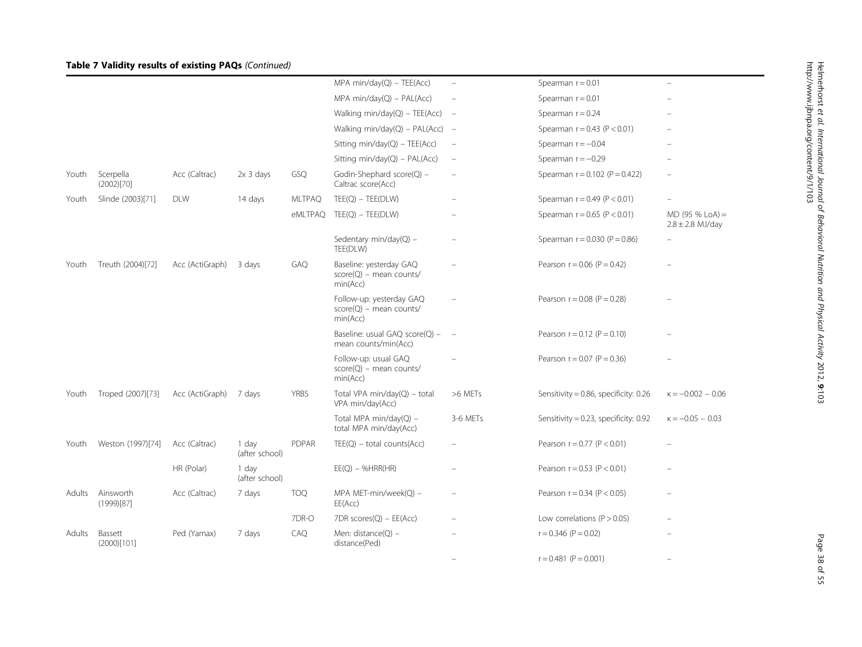|        |                         |                 |                         |               | MPA min/day(Q) - TEE(Acc)                                         |                          | Spearman $r = 0.01$                   |                                           |
|--------|-------------------------|-----------------|-------------------------|---------------|-------------------------------------------------------------------|--------------------------|---------------------------------------|-------------------------------------------|
|        |                         |                 |                         |               | MPA min/day( $Q$ ) – PAL(Acc)                                     |                          | Spearman $r = 0.01$                   |                                           |
|        |                         |                 |                         |               | Walking $min/day(Q) - TEE(Acc)$                                   | $\overline{a}$           | Spearman $r = 0.24$                   |                                           |
|        |                         |                 |                         |               | Walking min/day( $Q$ ) – PAL(Acc) –                               |                          | Spearman $r = 0.43$ (P < 0.01)        |                                           |
|        |                         |                 |                         |               | Sitting $min/day(Q) - TEE(Acc)$                                   | $\overline{\phantom{m}}$ | Spearman $r = -0.04$                  |                                           |
|        |                         |                 |                         |               | Sitting $min/day(Q) - PAL(Acc)$                                   | $\overline{\phantom{m}}$ | Spearman $r = -0.29$                  |                                           |
| Youth  | Scerpella<br>(2002)[70] | Acc (Caltrac)   | $2x$ 3 days             | GSQ           | Godin-Shephard score(Q) -<br>Caltrac score(Acc)                   | $\overline{\phantom{a}}$ | Spearman $r = 0.102$ (P = 0.422)      |                                           |
| Youth  | Slinde (2003)[71]       | <b>DLW</b>      | 14 days                 | <b>MLTPAQ</b> | $\mathsf{TEE}(\mathsf{Q}) - \mathsf{TEE}(\mathsf{DLW})$           |                          | Spearman $r = 0.49$ (P < 0.01)        |                                           |
|        |                         |                 |                         | eMLTPAQ       | $TEE(Q) - TEE(DLW)$                                               |                          | Spearman $r = 0.65$ (P < 0.01)        | $MD (95 % LoA) =$<br>$2.8 \pm 2.8$ MJ/day |
|        |                         |                 |                         |               | Sedentary min/day( $Q$ ) -<br>TEE(DLW)                            |                          | Spearman $r = 0.030$ (P = 0.86)       |                                           |
| Youth  | Treuth (2004)[72]       | Acc (ActiGraph) | 3 days                  | GAQ           | Baseline: yesterday GAQ<br>$score(Q)$ – mean counts/<br>min(Acc)  |                          | Pearson $r = 0.06$ (P = 0.42)         |                                           |
|        |                         |                 |                         |               | Follow-up: yesterday GAQ<br>$score(Q)$ – mean counts/<br>min(Acc) |                          | Pearson $r = 0.08$ (P = 0.28)         |                                           |
|        |                         |                 |                         |               | Baseline: usual GAQ score(Q) -<br>mean counts/min(Acc)            | $\overline{a}$           | Pearson $r = 0.12$ (P = 0.10)         |                                           |
|        |                         |                 |                         |               | Follow-up: usual GAQ<br>$score(Q)$ – mean counts/<br>min(Acc)     |                          | Pearson $r = 0.07$ (P = 0.36)         |                                           |
| Youth  | Troped (2007)[73]       | Acc (ActiGraph) | 7 days                  | <b>YRBS</b>   | Total VPA min/day(Q) - total<br>VPA min/day(Acc)                  | >6 METs                  | Sensitivity = 0.86, specificity: 0.26 | $K = -0.002 - 0.06$                       |
|        |                         |                 |                         |               | Total MPA min/day( $Q$ ) –<br>total MPA min/day(Acc)              | 3-6 METs                 | Sensitivity = 0.23, specificity: 0.92 | $K = -0.05 - 0.03$                        |
| Youth  | Weston (1997)[74]       | Acc (Caltrac)   | 1 day<br>(after school) | PDPAR         | $\mathsf{TEE}(Q)$ – total counts(Acc)                             |                          | Pearson $r = 0.77$ (P < 0.01)         |                                           |
|        |                         | HR (Polar)      | 1 day<br>(after school) |               | $EE(Q) - \%HRR(HR)$                                               |                          | Pearson $r = 0.53$ (P < 0.01)         |                                           |
| Adults | Ainsworth<br>(1999)[87] | Acc (Caltrac)   | 7 days                  | <b>TOQ</b>    | MPA MET-min/week(Q) -<br>EE(Acc)                                  |                          | Pearson $r = 0.34$ (P < 0.05)         |                                           |
|        |                         |                 |                         | 7DR-O         | $7DR$ scores(Q) - EE(Acc)                                         |                          | Low correlations ( $P > 0.05$ )       |                                           |
| Adults | Bassett<br>(2000)[101]  | Ped (Yamax)     | 7 days                  | CAQ           | Men: distance $(Q)$ -<br>distance(Ped)                            |                          | $r = 0.346$ (P = 0.02)                |                                           |
|        |                         |                 |                         |               |                                                                   |                          | $r = 0.481$ (P = 0.001)               |                                           |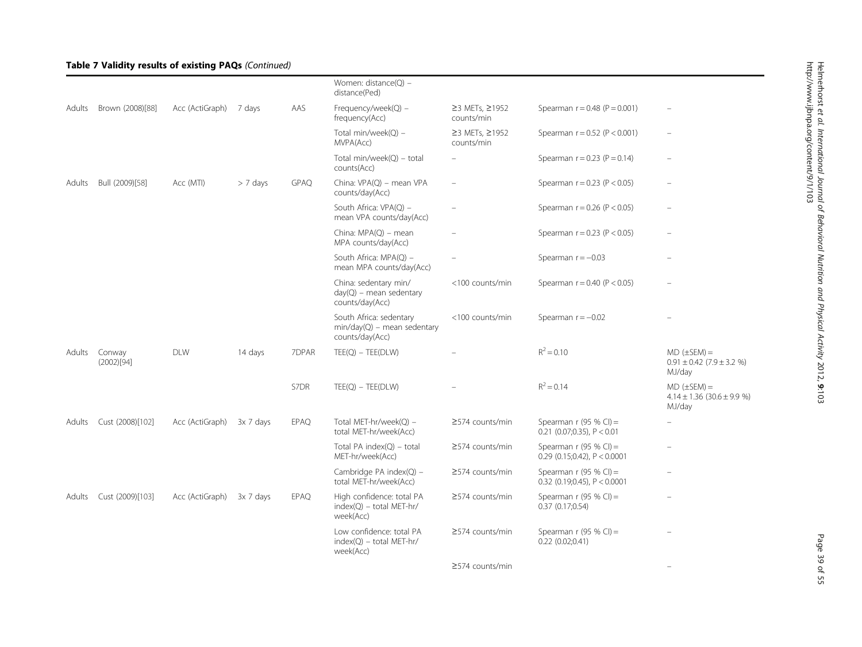|        |                      |                 |            |             | Women: distance( $Q$ ) –<br>distance(Ped)                                   |                                           |                                                            |                                                                     |
|--------|----------------------|-----------------|------------|-------------|-----------------------------------------------------------------------------|-------------------------------------------|------------------------------------------------------------|---------------------------------------------------------------------|
| Adults | Brown (2008)[88]     | Acc (ActiGraph) | 7 days     | AAS         | Frequency/week( $Q$ ) –<br>frequency(Acc)                                   | ≥3 MET <sub>s</sub> , 21952<br>counts/min | Spearman $r = 0.48$ (P = 0.001)                            |                                                                     |
|        |                      |                 |            |             | Total min/week(Q) -<br>MVPA(Acc)                                            | ≥3 METs, 21952<br>counts/min              | Spearman $r = 0.52$ (P < 0.001)                            | $\equiv$                                                            |
|        |                      |                 |            |             | Total min/week( $Q$ ) – total<br>counts(Acc)                                | $\overline{\phantom{a}}$                  | Spearman $r = 0.23$ (P = 0.14)                             |                                                                     |
| Adults | Bull (2009)[58]      | Acc (MTI)       | $> 7$ days | <b>GPAQ</b> | China: VPA(Q) – mean VPA<br>counts/day(Acc)                                 | $\equiv$                                  | Spearman $r = 0.23$ (P < 0.05)                             |                                                                     |
|        |                      |                 |            |             | South Africa: VPA(Q) -<br>mean VPA counts/day(Acc)                          | $\sim$                                    | Spearman $r = 0.26$ (P < 0.05)                             |                                                                     |
|        |                      |                 |            |             | China: MPA(Q) - mean<br>MPA counts/day(Acc)                                 |                                           | Spearman $r = 0.23$ (P < 0.05)                             |                                                                     |
|        |                      |                 |            |             | South Africa: MPA(O) -<br>mean MPA counts/day(Acc)                          | $\overline{\phantom{a}}$                  | Spearman $r = -0.03$                                       |                                                                     |
|        |                      |                 |            |             | China: sedentary min/<br>$day(Q)$ – mean sedentary<br>counts/day(Acc)       | <100 counts/min                           | Spearman $r = 0.40$ (P < 0.05)                             |                                                                     |
|        |                      |                 |            |             | South Africa: sedentary<br>$min/day(Q)$ – mean sedentary<br>counts/day(Acc) | <100 counts/min                           | Spearman $r = -0.02$                                       |                                                                     |
| Adults | Conway<br>(2002)[94] | <b>DLW</b>      | 14 days    | 7DPAR       | $TEE(Q) - TEE(DLW)$                                                         |                                           | $R^2 = 0.10$                                               | $MD$ ( $\pm$ SEM) =<br>$0.91 \pm 0.42$ (7.9 $\pm$ 3.2 %)<br>MJ/day  |
|        |                      |                 |            | S7DR        | $\mathsf{TEE}(Q) - \mathsf{TEE}(DLW)$                                       |                                           | $R^2 = 0.14$                                               | $MD$ ( $\pm$ SEM) =<br>$4.14 \pm 1.36$ (30.6 $\pm$ 9.9 %)<br>MJ/day |
| Adults | Cust (2008)[102]     | Acc (ActiGraph) | 3x 7 days  | EPAQ        | Total MET-hr/week(Q) -<br>total MET-hr/week(Acc)                            | ≥574 counts/min                           | Spearman r (95 % CI) =<br>$0.21$ (0.07;0.35), P < 0.01     |                                                                     |
|        |                      |                 |            |             | Total PA index $(Q)$ – total<br>MET-hr/week(Acc)                            | ≥574 counts/min                           | Spearman r (95 % CI) =<br>$0.29$ (0.15;0.42), P < 0.0001   |                                                                     |
|        |                      |                 |            |             | Cambridge PA index(Q) -<br>total MET-hr/week(Acc)                           | ≥574 counts/min                           | Spearman r (95 % CI) =<br>$0.32$ (0.19;0.45), $P < 0.0001$ |                                                                     |
| Adults | Cust (2009)[103]     | Acc (ActiGraph) | 3x 7 days  | EPAQ        | High confidence: total PA<br>$index(Q) - total MET-hr/$<br>week(Acc)        | ≥574 counts/min                           | Spearman r (95 % CI) =<br>0.37(0.17;0.54)                  |                                                                     |
|        |                      |                 |            |             | Low confidence: total PA<br>$index(Q) - total MET-hr/$<br>week(Acc)         | ≥574 counts/min                           | Spearman r (95 % CI) =<br>0.22(0.02;0.41)                  |                                                                     |
|        |                      |                 |            |             |                                                                             | $\geq$ 574 counts/min                     |                                                            |                                                                     |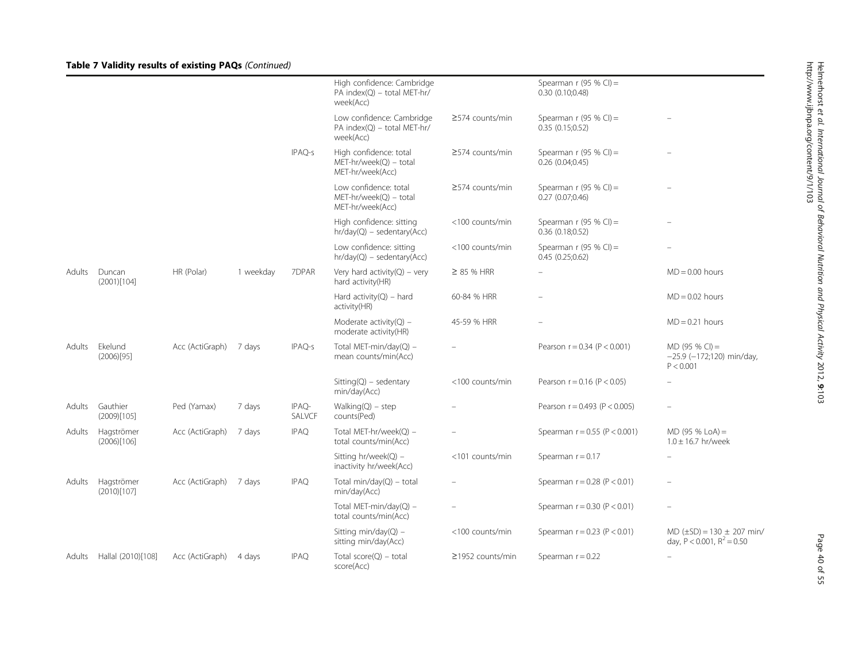|        |                           |                 |           |                 | High confidence: Cambridge<br>PA index(Q) - total MET-hr/<br>week(Acc) |                        | Spearman r (95 % CI) =<br>0.30(0.10;0.48) |                                                                  |
|--------|---------------------------|-----------------|-----------|-----------------|------------------------------------------------------------------------|------------------------|-------------------------------------------|------------------------------------------------------------------|
|        |                           |                 |           |                 | Low confidence: Cambridge<br>PA index(Q) - total MET-hr/<br>week(Acc)  | ≥574 counts/min        | Spearman r (95 % CI) =<br>0.35(0.15;0.52) |                                                                  |
|        |                           |                 |           | IPAQ-s          | High confidence: total<br>$MET-hr/week(Q) - total$<br>MET-hr/week(Acc) | $\geq$ 574 counts/min  | Spearman r (95 % CI) =<br>0.26(0.04;0.45) |                                                                  |
|        |                           |                 |           |                 | Low confidence: total<br>$MET-hr/week(Q) - total$<br>MET-hr/week(Acc)  | ≥574 counts/min        | Spearman r (95 % CI) =<br>0.27(0.07;0.46) |                                                                  |
|        |                           |                 |           |                 | High confidence: sitting<br>hr/day(Q) - sedentary(Acc)                 | <100 counts/min        | Spearman r (95 % CI) =<br>0.36(0.18;0.52) |                                                                  |
|        |                           |                 |           |                 | Low confidence: sitting<br>$hr/day(Q)$ – sedentary(Acc)                | <100 counts/min        | Spearman r (95 % CI) =<br>0.45(0.25;0.62) |                                                                  |
| Adults | Duncan<br>(2001)[104]     | HR (Polar)      | 1 weekday | 7DPAR           | Very hard activity( $Q$ ) – very<br>hard activity(HR)                  | $\geq$ 85 % HRR        |                                           | $MD = 0.00$ hours                                                |
|        |                           |                 |           |                 | Hard activity(Q) - hard<br>activity(HR)                                | 60-84 % HRR            |                                           | $MD = 0.02$ hours                                                |
|        |                           |                 |           |                 | Moderate activity( $Q$ ) –<br>moderate activity(HR)                    | 45-59 % HRR            |                                           | $MD = 0.21$ hours                                                |
| Adults | Ekelund<br>(2006)[95]     | Acc (ActiGraph) | 7 days    | IPAQ-s          | Total MET-min/day( $Q$ ) –<br>mean counts/min(Acc)                     |                        | Pearson $r = 0.34$ (P < 0.001)            | $MD (95 % CI) =$<br>$-25.9$ (-172;120) min/day,<br>P < 0.001     |
|        |                           |                 |           |                 | $Sitting(Q) - sedentary$<br>min/day(Acc)                               | <100 counts/min        | Pearson $r = 0.16$ (P < 0.05)             |                                                                  |
| Adults | Gauthier<br>(2009)[105]   | Ped (Yamax)     | 7 days    | IPAQ-<br>SALVCF | $Walking(Q) - step$<br>counts(Ped)                                     |                        | Pearson $r = 0.493$ (P < 0.005)           |                                                                  |
| Adults | Hagströmer<br>(2006)[106] | Acc (ActiGraph) | 7 days    | <b>IPAQ</b>     | Total MET-hr/week( $Q$ ) -<br>total counts/min(Acc)                    |                        | Spearman $r = 0.55$ (P < 0.001)           | $MD (95 % LoA) =$<br>$1.0 \pm 16.7$ hr/week                      |
|        |                           |                 |           |                 | Sitting hr/week(Q) -<br>inactivity hr/week(Acc)                        | <101 counts/min        | Spearman $r = 0.17$                       |                                                                  |
| Adults | Hagströmer<br>(2010)[107] | Acc (ActiGraph) | 7 days    | <b>IPAQ</b>     | Total min/day( $Q$ ) – total<br>min/day(Acc)                           |                        | Spearman $r = 0.28$ (P < 0.01)            |                                                                  |
|        |                           |                 |           |                 | Total MET-min/day(Q) -<br>total counts/min(Acc)                        |                        | Spearman $r = 0.30$ (P < 0.01)            | $\overline{\phantom{a}}$                                         |
|        |                           |                 |           |                 | Sitting min/day( $Q$ ) –<br>sitting min/day(Acc)                       | <100 counts/min        | Spearman $r = 0.23$ (P < 0.01)            | MD $(\pm SD) = 130 \pm 207$ min/<br>day, P < 0.001, $R^2 = 0.50$ |
| Adults | Hallal (2010)[108]        | Acc (ActiGraph) | 4 days    | <b>IPAQ</b>     | Total score( $Q$ ) – total<br>score(Acc)                               | $\geq$ 1952 counts/min | Spearman $r = 0.22$                       |                                                                  |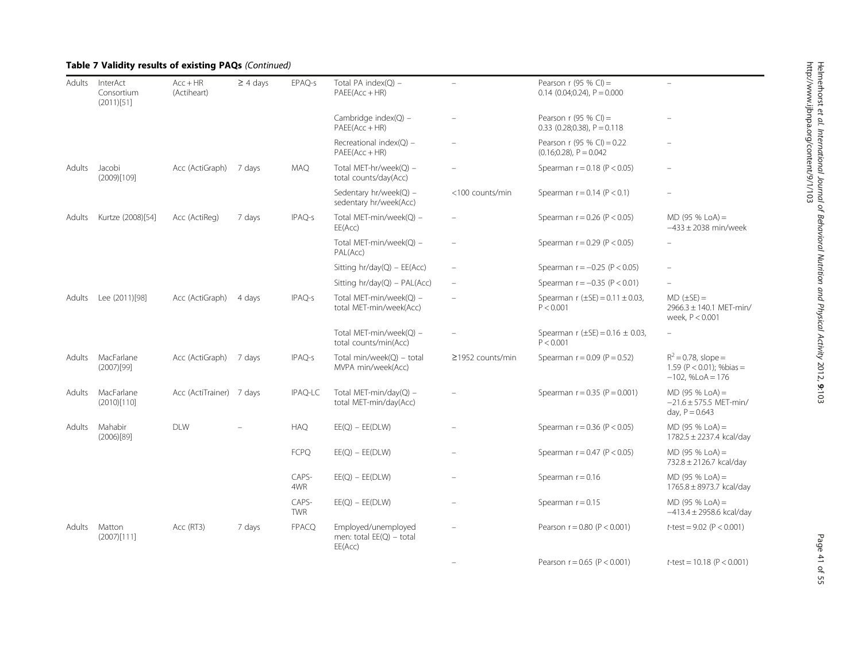| Adults        | InterAct<br>Consortium<br>(2011)[51] | $Acc + HR$<br>(Actiheart) | $\geq$ 4 days | EPAQ-s              | Total PA index $(Q)$ -<br>PAEE(Acc + HR)                     | $\equiv$               | Pearson r (95 % Cl) =<br>$0.14$ (0.04;0.24), $P = 0.000$ | $\equiv$                                                                     |
|---------------|--------------------------------------|---------------------------|---------------|---------------------|--------------------------------------------------------------|------------------------|----------------------------------------------------------|------------------------------------------------------------------------------|
|               |                                      |                           |               |                     | Cambridge index(Q) -<br>$PAEE(Acc + HR)$                     |                        | Pearson r (95 % CI) =<br>$0.33$ (0.28;0.38), $P = 0.118$ |                                                                              |
|               |                                      |                           |               |                     | Recreational index( $Q$ ) –<br>PAEE(Acc + HR)                |                        | Pearson r (95 % CI) = 0.22<br>$(0.16; 0.28)$ , P = 0.042 |                                                                              |
| Adults        | Jacobi<br>(2009)[109]                | Acc (ActiGraph)           | 7 days        | MAQ.                | Total MET-hr/week(Q) -<br>total counts/day(Acc)              |                        | Spearman $r = 0.18$ (P < 0.05)                           |                                                                              |
|               |                                      |                           |               |                     | Sedentary hr/week(Q) -<br>sedentary hr/week(Acc)             | <100 counts/min        | Spearman $r = 0.14$ (P < 0.1)                            |                                                                              |
| <b>Adults</b> | Kurtze (2008)[54]                    | Acc (ActiReg)             | 7 days        | IPAQ-s              | Total MET-min/week(Q) -<br>EE(Acc)                           |                        | Spearman $r = 0.26$ (P < 0.05)                           | $MD (95 % LoA) =$<br>$-433 \pm 2038$ min/week                                |
|               |                                      |                           |               |                     | Total MET-min/week(Q) -<br>PAL(Acc)                          |                        | Spearman $r = 0.29$ (P < 0.05)                           |                                                                              |
|               |                                      |                           |               |                     | Sitting $hr/day(Q) - EE(Acc)$                                |                        | Spearman $r = -0.25$ (P < 0.05)                          |                                                                              |
|               |                                      |                           |               |                     | Sitting hr/day(Q) - PAL(Acc)                                 |                        | Spearman $r = -0.35$ (P < 0.01)                          | $\overline{\phantom{a}}$                                                     |
| Adults        | Lee (2011)[98]                       | Acc (ActiGraph)           | 4 days        | IPAQ-s              | Total MET-min/week(Q) -<br>total MET-min/week(Acc)           |                        | Spearman r ( $\pm$ SE) = 0.11 $\pm$ 0.03,<br>P < 0.001   | $MD (±SE) =$<br>2966.3 ± 140.1 MET-min/<br>week, P < 0.001                   |
|               |                                      |                           |               |                     | Total MET-min/week(Q) -<br>total counts/min(Acc)             |                        | Spearman r $(\pm$ SE) = 0.16 $\pm$ 0.03,<br>P < 0.001    | $\overline{\phantom{a}}$                                                     |
| Adults        | MacFarlane<br>(2007)[99]             | Acc (ActiGraph)           | 7 days        | IPAQ-s              | Total min/week( $Q$ ) - total<br>MVPA min/week(Acc)          | $\geq$ 1952 counts/min | Spearman $r = 0.09$ (P = 0.52)                           | $R^2 = 0.78$ , slope =<br>1.59 ( $P < 0.01$ ); %bias =<br>$-102,$ %LoA = 176 |
| Adults        | MacFarlane<br>(2010)[110]            | Acc (ActiTrainer) 7 days  |               | <b>IPAQ-LC</b>      | Total MET-min/day(Q) -<br>total MET-min/day(Acc)             |                        | Spearman $r = 0.35$ (P = 0.001)                          | $MD (95 % LoA) =$<br>$-21.6 \pm 575.5$ MET-min/<br>day, $P = 0.643$          |
| Adults        | Mahabir<br>(2006)[89]                | <b>DLW</b>                |               | <b>HAO</b>          | $EE(Q) - EE(DLW)$                                            |                        | Spearman $r = 0.36$ (P < 0.05)                           | $MD (95 % LoA) =$<br>$1782.5 \pm 2237.4$ kcal/day                            |
|               |                                      |                           |               | <b>FCPQ</b>         | $EE(Q) - EE(DLW)$                                            |                        | Spearman $r = 0.47$ (P < 0.05)                           | $MD (95 % LoA) =$<br>732.8 ± 2126.7 kcal/day                                 |
|               |                                      |                           |               | CAPS-<br>4WR        | $EE(Q) - EE(DLW)$                                            |                        | Spearman $r = 0.16$                                      | $MD (95 % LoA) =$<br>1765.8 ± 8973.7 kcal/day                                |
|               |                                      |                           |               | CAPS-<br><b>TWR</b> | $EE(Q) - EE(DLW)$                                            |                        | Spearman $r = 0.15$                                      | $MD (95 % LoA) =$<br>$-413.4 \pm 2958.6$ kcal/day                            |
| Adults        | Matton<br>(2007)[111]                | Acc (RT3)                 | 7 days        | <b>FPACQ</b>        | Employed/unemployed<br>men: total $EE(Q) - total$<br>EE(Acc) |                        | Pearson $r = 0.80$ (P < 0.001)                           | $t$ -test = 9.02 (P < 0.001)                                                 |
|               |                                      |                           |               |                     |                                                              |                        | Pearson $r = 0.65$ (P < 0.001)                           | $t$ -test = 10.18 (P < 0.001)                                                |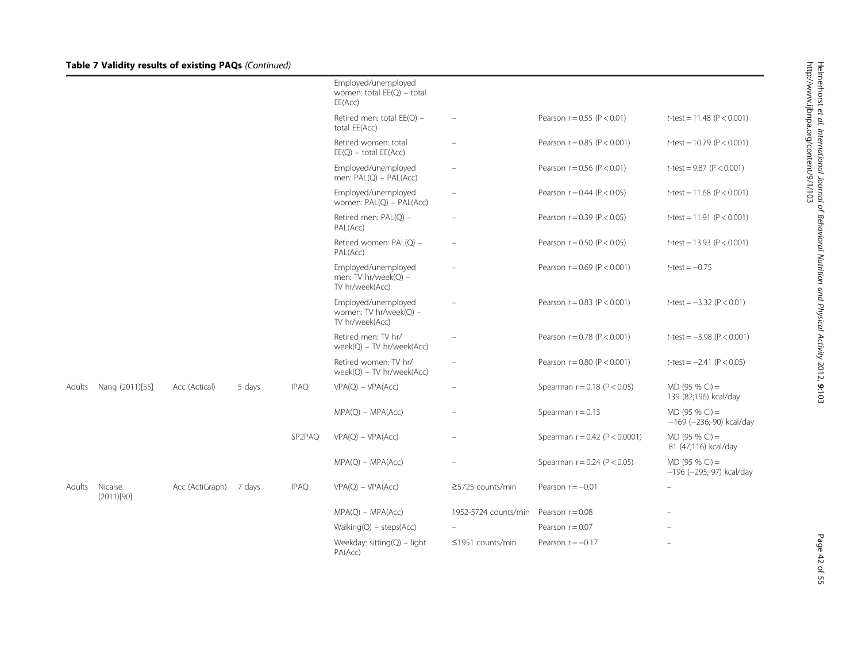|        |                       |                 |        |             | Employed/unemployed<br>women: total $EE(Q) - total$<br>EE(Acc)     |                      |                                  |                                                |
|--------|-----------------------|-----------------|--------|-------------|--------------------------------------------------------------------|----------------------|----------------------------------|------------------------------------------------|
|        |                       |                 |        |             | Retired men: total $EE(Q)$ -<br>total EE(Acc)                      |                      | Pearson $r = 0.55$ (P < 0.01)    | $t$ -test = 11.48 (P < 0.001)                  |
|        |                       |                 |        |             | Retired women: total<br>$EE(Q)$ – total $EE(Acc)$                  |                      | Pearson $r = 0.85$ (P < 0.001)   | $t$ -test = 10.79 (P < 0.001)                  |
|        |                       |                 |        |             | Employed/unemployed<br>men: PAL(Q) - PAL(Acc)                      |                      | Pearson $r = 0.56$ (P < 0.01)    | $t$ -test = 9.87 (P < 0.001)                   |
|        |                       |                 |        |             | Employed/unemployed<br>women: PAL(Q) - PAL(Acc)                    |                      | Pearson $r = 0.44$ (P < 0.05)    | $t$ -test = 11.68 (P < 0.001)                  |
|        |                       |                 |        |             | Retired men: PAL(Q) -<br>PAL(Acc)                                  |                      | Pearson $r = 0.39$ (P < 0.05)    | $t$ -test = 11.91 (P < 0.001)                  |
|        |                       |                 |        |             | Retired women: PAL(Q) -<br>PAL(Acc)                                |                      | Pearson $r = 0.50$ (P < 0.05)    | $t$ -test = 13.93 (P < 0.001)                  |
|        |                       |                 |        |             | Employed/unemployed<br>men: TV hr/week( $Q$ ) –<br>TV hr/week(Acc) |                      | Pearson $r = 0.69$ (P < 0.001)   | $t$ -test = $-0.75$                            |
|        |                       |                 |        |             | Employed/unemployed<br>women: TV hr/week(Q) -<br>TV hr/week(Acc)   |                      | Pearson $r = 0.83$ (P < 0.001)   | $t$ -test = $-3.32$ (P < 0.01)                 |
|        |                       |                 |        |             | Retired men: TV hr/<br>$week(Q) - TV hr/week(Acc)$                 |                      | Pearson $r = 0.78$ (P < 0.001)   | $t$ -test = $-3.98$ (P < 0.001)                |
|        |                       |                 |        |             | Retired women: TV hr/<br>$week(Q) - TV hr/week(Acc)$               |                      | Pearson $r = 0.80$ (P < 0.001)   | $t$ -test = $-2.41$ (P < 0.05)                 |
| Adults | Nang (2011)[55]       | Acc (Actical)   | 5 days | <b>IPAQ</b> | $VPA(Q) - VPA(Acc)$                                                |                      | Spearman $r = 0.18$ (P < 0.05)   | $MD (95 % CI) =$<br>139 (82;196) kcal/day      |
|        |                       |                 |        |             | $MPA(Q) - MPA(Acc)$                                                |                      | Spearman $r = 0.13$              | $MD (95 % CI) =$<br>$-169$ (-236;-90) kcal/day |
|        |                       |                 |        | SP2PAQ      | $VPA(Q) - VPA(Acc)$                                                |                      | Spearman $r = 0.42$ (P < 0.0001) | $MD (95 % CI) =$<br>81 (47;116) kcal/day       |
|        |                       |                 |        |             | $MPA(Q) - MPA(Acc)$                                                |                      | Spearman $r = 0.24$ (P < 0.05)   | $MD (95 % CI) =$<br>-196 (-295;-97) kcal/day   |
| Adults | Nicaise<br>(2011)[90] | Acc (ActiGraph) | 7 days | <b>IPAQ</b> | $VPA(Q) - VPA(ACC)$                                                | ≥5725 counts/min     | Pearson $r = -0.01$              | $\equiv$                                       |
|        |                       |                 |        |             | $MPA(Q) - MPA(Acc)$                                                | 1952-5724 counts/min | Pearson $r = 0.08$               | $\equiv$                                       |
|        |                       |                 |        |             | $Walking(Q) - steps(Acc)$                                          |                      | Pearson $r = 0.07$               |                                                |
|        |                       |                 |        |             | Weekday: sitting( $Q$ ) – light<br>PA(Acc)                         | $≤1951$ counts/min   | Pearson $r = -0.17$              |                                                |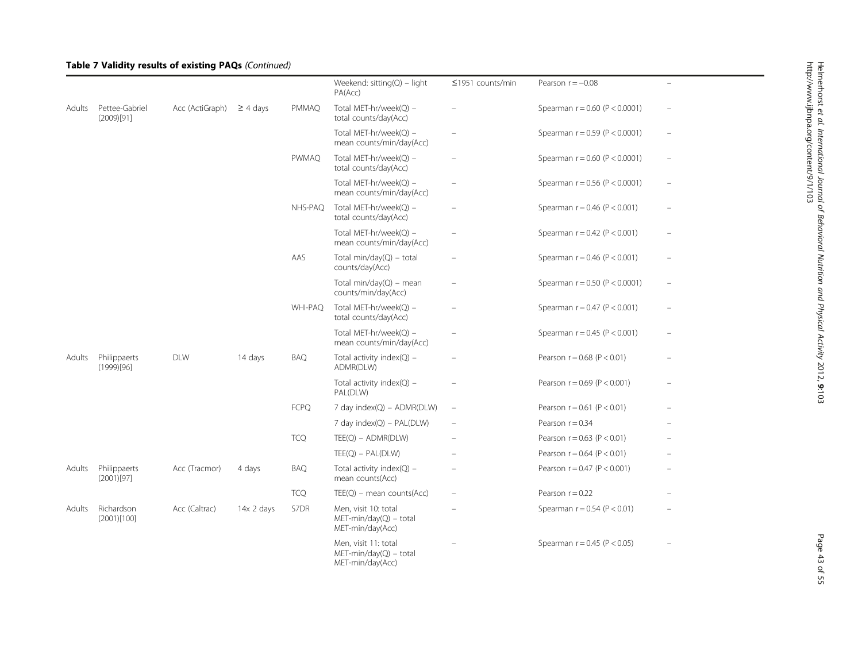|        |                              |                 |               |              | Weekend: sitting( $Q$ ) – light<br>PA(Acc)                           | $≤1951$ counts/min       | Pearson $r = -0.08$              | $\overline{\phantom{a}}$ |
|--------|------------------------------|-----------------|---------------|--------------|----------------------------------------------------------------------|--------------------------|----------------------------------|--------------------------|
| Adults | Pettee-Gabriel<br>(2009)[91] | Acc (ActiGraph) | $\geq$ 4 days | PMMAQ        | Total MET-hr/week(Q) -<br>total counts/day(Acc)                      |                          | Spearman $r = 0.60$ (P < 0.0001) |                          |
|        |                              |                 |               |              | Total MET-hr/week(Q) -<br>mean counts/min/day(Acc)                   |                          | Spearman $r = 0.59$ (P < 0.0001) | $\overline{\phantom{0}}$ |
|        |                              |                 |               | <b>PWMAQ</b> | Total MET-hr/week(Q) -<br>total counts/day(Acc)                      |                          | Spearman $r = 0.60$ (P < 0.0001) | $\overline{\phantom{a}}$ |
|        |                              |                 |               |              | Total MET-hr/week(Q) -<br>mean counts/min/day(Acc)                   | $\overline{a}$           | Spearman $r = 0.56$ (P < 0.0001) | $\overline{\phantom{a}}$ |
|        |                              |                 |               | NHS-PAO      | Total MET-hr/week(O) -<br>total counts/day(Acc)                      |                          | Spearman $r = 0.46$ (P < 0.001)  |                          |
|        |                              |                 |               |              | Total MET-hr/week(Q) -<br>mean counts/min/day(Acc)                   |                          | Spearman $r = 0.42$ (P < 0.001)  |                          |
|        |                              |                 |               | AAS          | Total min/day( $Q$ ) – total<br>counts/day(Acc)                      |                          | Spearman $r = 0.46$ (P < 0.001)  |                          |
|        |                              |                 |               |              | Total min/day(Q) - mean<br>counts/min/day(Acc)                       |                          | Spearman $r = 0.50$ (P < 0.0001) | $\overline{\phantom{a}}$ |
|        |                              |                 |               | WHI-PAQ      | Total MET-hr/week(Q) -<br>total counts/day(Acc)                      |                          | Spearman $r = 0.47$ (P < 0.001)  |                          |
|        |                              |                 |               |              | Total MET-hr/week(Q) -<br>mean counts/min/day(Acc)                   | $\equiv$                 | Spearman $r = 0.45$ (P < 0.001)  | $\equiv$                 |
| Adults | Philippaerts<br>(1999)[96]   | <b>DLW</b>      | 14 days       | <b>BAQ</b>   | Total activity index( $Q$ ) -<br>ADMR(DLW)                           |                          | Pearson $r = 0.68$ (P < 0.01)    |                          |
|        |                              |                 |               |              | Total activity index( $Q$ ) -<br>PAL(DLW)                            |                          | Pearson $r = 0.69$ (P < 0.001)   |                          |
|        |                              |                 |               | <b>FCPQ</b>  | 7 day index(Q) - ADMR(DLW)                                           | $\overline{\phantom{m}}$ | Pearson $r = 0.61$ (P < 0.01)    |                          |
|        |                              |                 |               |              | 7 day index(Q) - PAL(DLW)                                            | $\overline{\phantom{0}}$ | Pearson $r = 0.34$               |                          |
|        |                              |                 |               | <b>TCQ</b>   | $\mathsf{TEE}(Q) - \mathsf{ADMR}(\mathsf{DLW})$                      |                          | Pearson $r = 0.63$ (P < 0.01)    |                          |
|        |                              |                 |               |              | $TEE(Q) - PAL(DLW)$                                                  |                          | Pearson $r = 0.64$ (P < 0.01)    |                          |
| Adults | Philippaerts<br>(2001)[97]   | Acc (Tracmor)   | 4 days        | <b>BAQ</b>   | Total activity index( $Q$ ) -<br>mean counts(Acc)                    |                          | Pearson $r = 0.47$ (P < 0.001)   |                          |
|        |                              |                 |               | <b>TCQ</b>   | $\text{TEE}(Q)$ – mean counts(Acc)                                   | $\equiv$                 | Pearson $r = 0.22$               |                          |
| Adults | Richardson<br>(2001)[100]    | Acc (Caltrac)   | 14x 2 days    | S7DR         | Men, visit 10: total<br>$MET-min/day(Q) - total$<br>MET-min/day(Acc) |                          | Spearman $r = 0.54$ (P < 0.01)   |                          |
|        |                              |                 |               |              | Men, visit 11: total<br>$MET-min/day(Q) - total$<br>MET-min/day(Acc) |                          | Spearman $r = 0.45$ (P < 0.05)   |                          |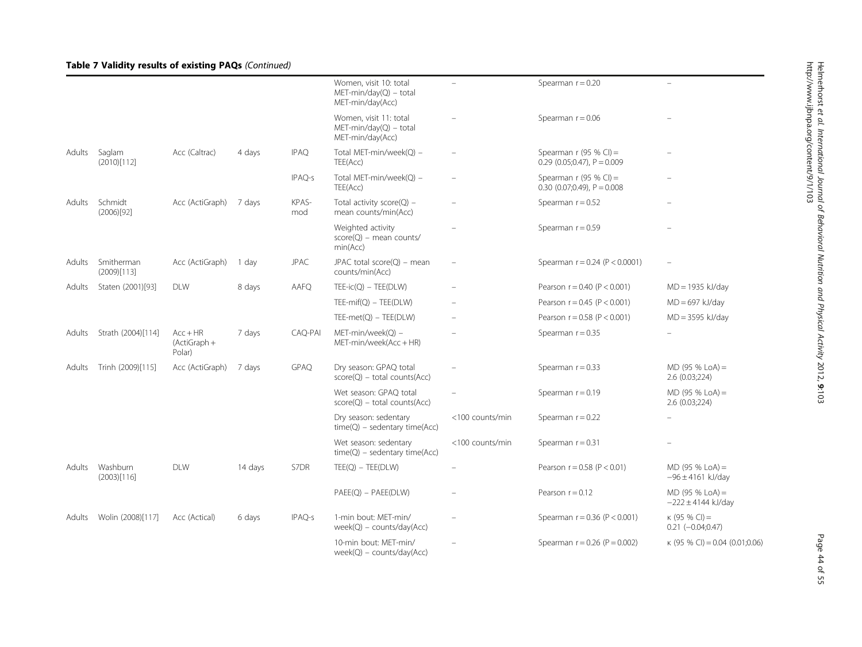|        |                           |                                      |         |              | Women, visit 10: total<br>$MET-min/day(Q) - total$<br>MET-min/day(Acc) |                          | Spearman $r = 0.20$                                       |                                             |
|--------|---------------------------|--------------------------------------|---------|--------------|------------------------------------------------------------------------|--------------------------|-----------------------------------------------------------|---------------------------------------------|
|        |                           |                                      |         |              | Women, visit 11: total<br>$MET-min/day(Q) - total$<br>MET-min/day(Acc) |                          | Spearman $r = 0.06$                                       |                                             |
| Adults | Saglam<br>(2010)[112]     | Acc (Caltrac)                        | 4 days  | <b>IPAQ</b>  | Total MET-min/week(Q) -<br>TEE(Acc)                                    | ÷,                       | Spearman r (95 % CI) =<br>$0.29$ (0.05;0.47), P = 0.009   |                                             |
|        |                           |                                      |         | IPAQ-s       | Total MET-min/week(Q) -<br>TEE(Acc)                                    |                          | Spearman r (95 % CI) =<br>$0.30$ (0.07;0.49), $P = 0.008$ |                                             |
| Adults | Schmidt<br>(2006)[92]     | Acc (ActiGraph)                      | 7 days  | KPAS-<br>mod | Total activity score( $Q$ ) -<br>mean counts/min(Acc)                  |                          | Spearman $r = 0.52$                                       |                                             |
|        |                           |                                      |         |              | Weighted activity<br>$score(Q)$ – mean counts/<br>min(Acc)             |                          | Spearman $r = 0.59$                                       |                                             |
| Adults | Smitherman<br>(2009)[113] | Acc (ActiGraph)                      | 1 dav   | <b>JPAC</b>  | JPAC total score( $Q$ ) – mean<br>counts/min(Acc)                      | $\overline{\phantom{0}}$ | Spearman $r = 0.24$ (P < 0.0001)                          |                                             |
| Adults | Staten (2001)[93]         | <b>DLW</b>                           | 8 days  | AAFQ         | $TEE-ic(Q) - TEE(DLW)$                                                 |                          | Pearson $r = 0.40$ (P < 0.001)                            | $MD = 1935$ kJ/day                          |
|        |                           |                                      |         |              | $TEE-mif(Q) - TEE(DLW)$                                                |                          | Pearson $r = 0.45$ (P < 0.001)                            | $MD = 697$ kJ/day                           |
|        |                           |                                      |         |              | $TEE-met(Q) - TEE(DLW)$                                                |                          | Pearson $r = 0.58$ (P < 0.001)                            | $MD = 3595$ kJ/day                          |
| Adults | Strath (2004)[114]        | $Acc + HR$<br>(ActiGraph +<br>Polar) | 7 days  | CAQ-PAI      | MET-min/week(Q) -<br>MET-min/week(Acc + HR)                            |                          | Spearman $r = 0.35$                                       |                                             |
| Adults | Trinh (2009)[115]         | Acc (ActiGraph)                      | 7 days  | <b>GPAQ</b>  | Dry season: GPAQ total<br>$score(Q)$ – total counts(Acc)               |                          | Spearman $r = 0.33$                                       | $MD (95 % LoA) =$<br>2.6 (0.03;224)         |
|        |                           |                                      |         |              | Wet season: GPAQ total<br>$score(Q)$ – total counts(Acc)               |                          | Spearman $r = 0.19$                                       | $MD (95 % LoA) =$<br>2.6 (0.03;224)         |
|        |                           |                                      |         |              | Dry season: sedentary<br>$time(Q)$ – sedentary time(Acc)               | <100 counts/min          | Spearman $r = 0.22$                                       |                                             |
|        |                           |                                      |         |              | Wet season: sedentary<br>$time(Q)$ – sedentary time(Acc)               | <100 counts/min          | Spearman $r = 0.31$                                       |                                             |
| Adults | Washburn<br>(2003)[116]   | <b>DLW</b>                           | 14 days | S7DR         | $TEE(Q) - TEE(DLW)$                                                    |                          | Pearson $r = 0.58$ (P < 0.01)                             | $MD (95 % LoA) =$<br>$-96 \pm 4161$ kJ/day  |
|        |                           |                                      |         |              | $PAEE(Q) - PAEE(DLW)$                                                  |                          | Pearson $r = 0.12$                                        | $MD (95 % LoA) =$<br>$-222 \pm 4144$ kJ/day |
| Adults | Wolin (2008)[117]         | Acc (Actical)                        | 6 days  | IPAQ-s       | 1-min bout: MET-min/<br>$week(Q) - counts/day(Acc)$                    | $\overline{a}$           | Spearman $r = 0.36$ (P < 0.001)                           | $K$ (95 % CI) =<br>$0.21 (-0.04; 0.47)$     |
|        |                           |                                      |         |              | 10-min bout: MET-min/<br>$week(Q) - counts/day(Acc)$                   |                          | Spearman $r = 0.26$ (P = 0.002)                           | $K$ (95 % CI) = 0.04 (0.01;0.06)            |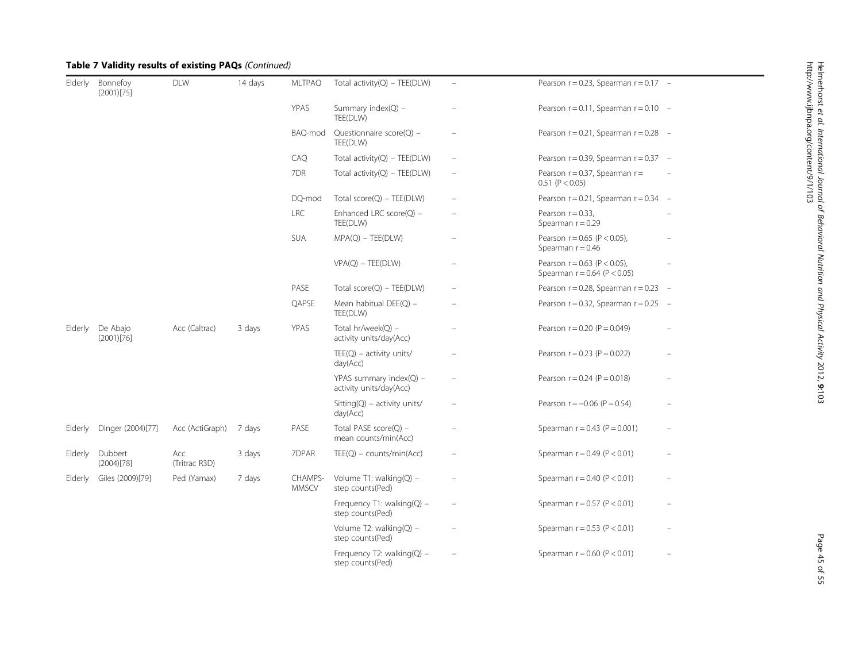| Elderly | Bonnefoy<br>(2001)[75] | <b>DLW</b>           | 14 days | <b>MLTPAQ</b>           | Total activity( $Q$ ) – TEE( $DLW$ )                     | $\overline{\phantom{a}}$ | Pearson $r = 0.23$ , Spearman $r = 0.17$ -                       |  |
|---------|------------------------|----------------------|---------|-------------------------|----------------------------------------------------------|--------------------------|------------------------------------------------------------------|--|
|         |                        |                      |         | YPAS                    | Summary index( $Q$ ) –<br>TEE(DLW)                       |                          | Pearson $r = 0.11$ , Spearman $r = 0.10$ -                       |  |
|         |                        |                      |         | BAQ-mod                 | Questionnaire score( $Q$ ) -<br>TEE(DLW)                 | $\equiv$                 | Pearson $r = 0.21$ , Spearman $r = 0.28$ -                       |  |
|         |                        |                      |         | CAQ                     | Total activity(Q) - TEE(DLW)                             | $\overline{\phantom{m}}$ | Pearson $r = 0.39$ , Spearman $r = 0.37 - 1$                     |  |
|         |                        |                      |         | 7DR                     | Total activity( $Q$ ) – TEE( $DLW$ )                     | $\qquad \qquad -$        | Pearson $r = 0.37$ , Spearman $r =$<br>0.51 (P < 0.05)           |  |
|         |                        |                      |         | DQ-mod                  | Total $score(Q) - TEE(DLW)$                              | $\overline{\phantom{a}}$ | Pearson $r = 0.21$ , Spearman $r = 0.34$ -                       |  |
|         |                        |                      |         | <b>LRC</b>              | Enhanced LRC score( $Q$ ) –<br>TEE(DLW)                  |                          | Pearson $r = 0.33$ ,<br>Spearman $r = 0.29$                      |  |
|         |                        |                      |         | <b>SUA</b>              | $MPA(Q) - TEE(DLW)$                                      |                          | Pearson $r = 0.65$ (P < 0.05),<br>Spearman $r = 0.46$            |  |
|         |                        |                      |         |                         | $VPA(Q) - TEE(DLW)$                                      |                          | Pearson $r = 0.63$ (P < 0.05),<br>Spearman $r = 0.64$ (P < 0.05) |  |
|         |                        |                      |         | PASE                    | Total $score(Q) - TEE(DLW)$                              |                          | Pearson $r = 0.28$ , Spearman $r = 0.23$ -                       |  |
|         |                        |                      |         | OAPSE                   | Mean habitual DEE(Q) -<br>TEE(DLW)                       |                          | Pearson $r = 0.32$ , Spearman $r = 0.25 -$                       |  |
| Elderly | De Abajo<br>(2001)[76] | Acc (Caltrac)        | 3 days  | YPAS                    | Total $hr/week(Q)$ -<br>activity units/day(Acc)          |                          | Pearson $r = 0.20$ (P = 0.049)                                   |  |
|         |                        |                      |         |                         | $\mathsf{TEE}(\mathsf{Q})$ – activity units/<br>day(Acc) |                          | Pearson $r = 0.23$ (P = 0.022)                                   |  |
|         |                        |                      |         |                         | YPAS summary index( $Q$ ) -<br>activity units/day(Acc)   | ÷                        | Pearson $r = 0.24$ (P = 0.018)                                   |  |
|         |                        |                      |         |                         | Sitting( $Q$ ) – activity units/<br>day(Acc)             |                          | Pearson $r = -0.06$ (P = 0.54)                                   |  |
| Elderly | Dinger (2004)[77]      | Acc (ActiGraph)      | 7 days  | PASE                    | Total PASE score( $Q$ ) -<br>mean counts/min(Acc)        |                          | Spearman $r = 0.43$ (P = 0.001)                                  |  |
| Elderly | Dubbert<br>(2004)[78]  | Acc<br>(Tritrac R3D) | 3 days  | 7DPAR                   | $TEE(Q) - counts/min(Acc)$                               |                          | Spearman $r = 0.49$ (P < 0.01)                                   |  |
| Elderly | Giles (2009)[79]       | Ped (Yamax)          | 7 days  | CHAMPS-<br><b>MMSCV</b> | Volume T1: walking( $Q$ ) -<br>step counts(Ped)          |                          | Spearman $r = 0.40$ (P < 0.01)                                   |  |
|         |                        |                      |         |                         | Frequency T1: walking( $Q$ ) -<br>step counts(Ped)       |                          | Spearman $r = 0.57$ (P < 0.01)                                   |  |
|         |                        |                      |         |                         | Volume T2: walking(Q) -<br>step counts(Ped)              |                          | Spearman $r = 0.53$ (P < 0.01)                                   |  |
|         |                        |                      |         |                         | Frequency T2: walking( $Q$ ) -<br>step counts(Ped)       |                          | Spearman $r = 0.60$ (P < 0.01)                                   |  |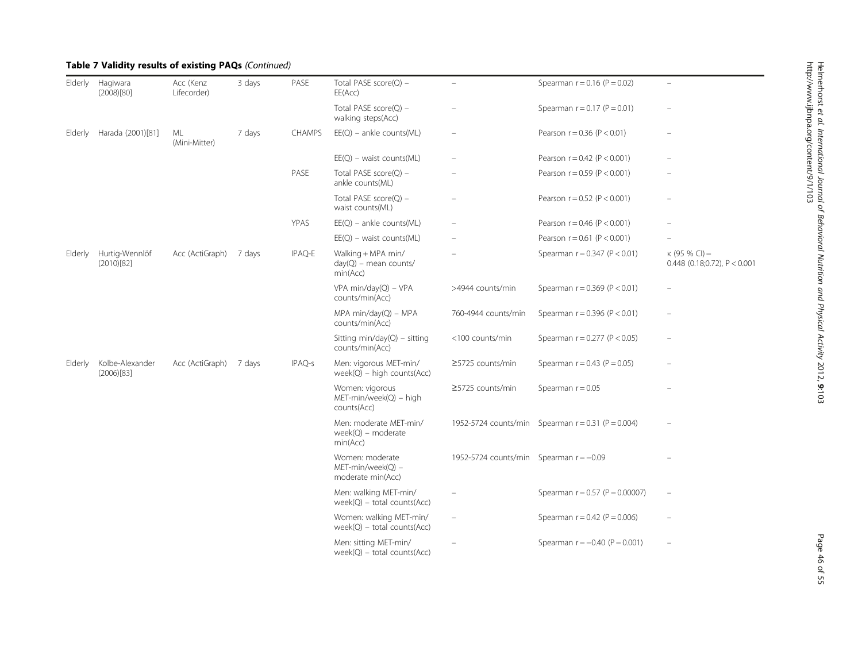| Elderly | Hagiwara<br>(2008)[80]        | Acc (Kenz<br>Lifecorder) | 3 days | PASE          | Total PASE score( $Q$ ) -<br>EE(Acc)                        | $\equiv$                                  | Spearman $r = 0.16$ (P = 0.02)                       | $\sim$                                            |
|---------|-------------------------------|--------------------------|--------|---------------|-------------------------------------------------------------|-------------------------------------------|------------------------------------------------------|---------------------------------------------------|
|         |                               |                          |        |               | Total PASE score(Q) -<br>walking steps(Acc)                 |                                           | Spearman $r = 0.17$ (P = 0.01)                       |                                                   |
| Elderly | Harada (2001)[81]             | ML<br>(Mini-Mitter)      | 7 days | <b>CHAMPS</b> | $EE(Q)$ – ankle counts(ML)                                  |                                           | Pearson $r = 0.36$ (P < 0.01)                        | $\equiv$                                          |
|         |                               |                          |        |               | $EE(Q)$ – waist counts(ML)                                  |                                           | Pearson $r = 0.42$ (P < 0.001)                       |                                                   |
|         |                               |                          |        | PASE          | Total PASE score(Q) -<br>ankle counts(ML)                   |                                           | Pearson $r = 0.59$ (P < 0.001)                       |                                                   |
|         |                               |                          |        |               | Total PASE score(Q) -<br>waist counts(ML)                   |                                           | Pearson $r = 0.52$ (P < 0.001)                       |                                                   |
|         |                               |                          |        | YPAS          | $EE(Q)$ – ankle counts(ML)                                  |                                           | Pearson $r = 0.46$ (P < 0.001)                       |                                                   |
|         |                               |                          |        |               | $EE(Q)$ – waist counts(ML)                                  |                                           | Pearson $r = 0.61$ (P < 0.001)                       |                                                   |
| Elderly | Hurtig-Wennlöf<br>(2010)[82]  | Acc (ActiGraph) 7 days   |        | IPAQ-E        | Walking + MPA min/<br>$day(Q)$ – mean counts/<br>min(Acc)   |                                           | Spearman $r = 0.347$ (P < 0.01)                      | $K$ (95 % CI) =<br>0.448 (0.18;0.72), $P < 0.001$ |
|         |                               |                          |        |               | $VPA min/day(Q) - VPA$<br>counts/min(Acc)                   | >4944 counts/min                          | Spearman $r = 0.369$ (P < 0.01)                      | $\overline{\phantom{0}}$                          |
|         |                               |                          |        |               | $MPA min/day(Q) - MPA$<br>counts/min(Acc)                   | 760-4944 counts/min                       | Spearman $r = 0.396$ (P < 0.01)                      | $\overline{\phantom{a}}$                          |
|         |                               |                          |        |               | Sitting min/day( $Q$ ) – sitting<br>counts/min(Acc)         | <100 counts/min                           | Spearman $r = 0.277$ (P < 0.05)                      | $\equiv$                                          |
| Elderly | Kolbe-Alexander<br>(2006)[83] | Acc (ActiGraph)          | 7 days | IPAQ-s        | Men: vigorous MET-min/<br>$week(Q) - high counts(Acc)$      | ≥5725 counts/min                          | Spearman $r = 0.43$ (P = 0.05)                       |                                                   |
|         |                               |                          |        |               | Women: vigorous<br>MET-min/week(Q) - high<br>counts(Acc)    | ≥5725 counts/min                          | Spearman $r = 0.05$                                  | $\overline{\phantom{0}}$                          |
|         |                               |                          |        |               | Men: moderate MET-min/<br>$week(Q)$ – moderate<br>min(Acc)  |                                           | 1952-5724 counts/min Spearman $r = 0.31$ (P = 0.004) |                                                   |
|         |                               |                          |        |               | Women: moderate<br>$MET-min/week(Q)$ –<br>moderate min(Acc) | 1952-5724 counts/min Spearman $r = -0.09$ |                                                      |                                                   |
|         |                               |                          |        |               | Men: walking MET-min/<br>$week(Q) - total counts(Acc)$      | $\overline{\phantom{a}}$                  | Spearman $r = 0.57$ (P = 0.00007)                    | $\overline{\phantom{a}}$                          |
|         |                               |                          |        |               | Women: walking MET-min/<br>$week(Q) - total counts(Acc)$    | $\overline{\phantom{m}}$                  | Spearman $r = 0.42$ (P = 0.006)                      | ÷                                                 |
|         |                               |                          |        |               | Men: sitting MET-min/<br>$week(Q) - total counts(Acc)$      |                                           | Spearman $r = -0.40$ (P = 0.001)                     |                                                   |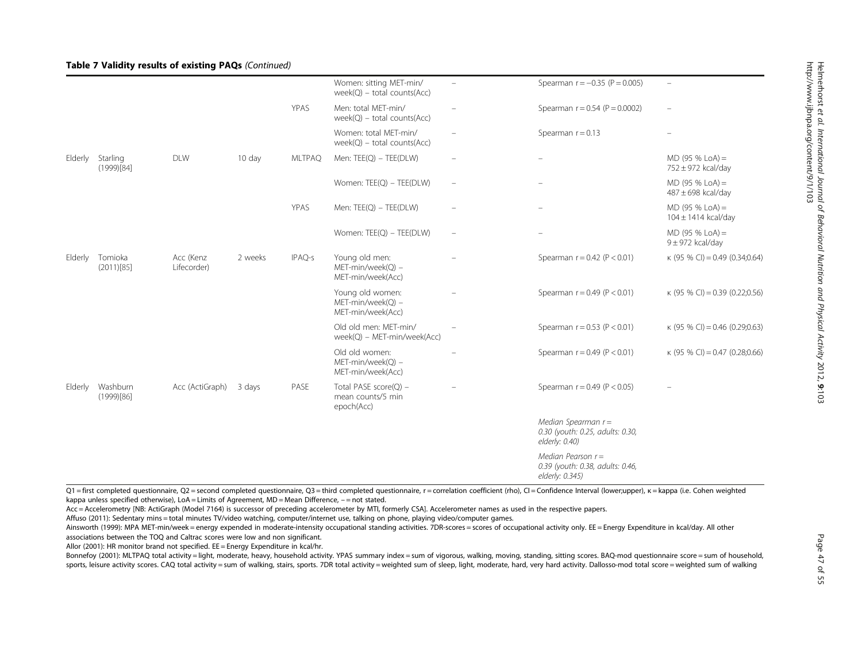|         |                        |                          |         |               | Women: sitting MET-min/<br>$week(Q) - total counts(Acc)$      | $\overline{\phantom{m}}$ | Spearman $r = -0.35$ (P = 0.005)                                            | $\equiv$                                     |
|---------|------------------------|--------------------------|---------|---------------|---------------------------------------------------------------|--------------------------|-----------------------------------------------------------------------------|----------------------------------------------|
|         |                        |                          |         | YPAS          | Men: total MET-min/<br>$week(Q) - total counts(Acc)$          |                          | Spearman $r = 0.54$ (P = 0.0002)                                            | $\overline{\phantom{0}}$                     |
|         |                        |                          |         |               | Women: total MET-min/<br>$week(Q) - total counts(Acc)$        | $\overline{\phantom{m}}$ | Spearman $r = 0.13$                                                         | $\overline{\phantom{m}}$                     |
| Elderly | Starling<br>(1999)[84] | <b>DLW</b>               | 10 day  | <b>MLTPAQ</b> | Men: TEE(Q) - TEE(DLW)                                        |                          | $\overline{\phantom{m}}$                                                    | $MD (95 % LoA) =$<br>752 ± 972 kcal/day      |
|         |                        |                          |         |               | Women: TEE(Q) - TEE(DLW)                                      | $\overline{\phantom{m}}$ |                                                                             | $MD (95 % LoA) =$<br>$487 \pm 698$ kcal/day  |
|         |                        |                          |         | YPAS          | Men: $\text{TEE}(Q) - \text{TEE}(DLW)$                        | $\overline{\phantom{0}}$ | $\overline{\phantom{m}}$                                                    | $MD (95 % LoA) =$<br>$104 \pm 1414$ kcal/day |
|         |                        |                          |         |               | Women: TEE(Q) - TEE(DLW)                                      | $\overline{\phantom{a}}$ | $\overline{a}$                                                              | $MD (95 % LoA) =$<br>$9 \pm 972$ kcal/day    |
| Elderly | Tomioka<br>(2011)[85]  | Acc (Kenz<br>Lifecorder) | 2 weeks | IPAQ-s        | Young old men:<br>$MET$ -min/week(Q) -<br>MET-min/week(Acc)   |                          | Spearman $r = 0.42$ (P < 0.01)                                              | $K$ (95 % CI) = 0.49 (0.34;0.64)             |
|         |                        |                          |         |               | Young old women:<br>$MET$ -min/week(Q) -<br>MET-min/week(Acc) |                          | Spearman $r = 0.49$ (P < 0.01)                                              | $K$ (95 % CI) = 0.39 (0.22;0.56)             |
|         |                        |                          |         |               | Old old men: MET-min/<br>week(Q) - MET-min/week(Acc)          | $\overline{\phantom{m}}$ | Spearman $r = 0.53$ (P < 0.01)                                              | $K$ (95 % CI) = 0.46 (0.29;0.63)             |
|         |                        |                          |         |               | Old old women:<br>$MET$ -min/week(Q) -<br>MET-min/week(Acc)   |                          | Spearman $r = 0.49$ (P < 0.01)                                              | $K$ (95 % CI) = 0.47 (0.28;0.66)             |
| Elderly | Washburn<br>(1999)[86] | Acc (ActiGraph)          | 3 days  | PASE          | Total PASE score(Q) -<br>mean counts/5 min<br>epoch(Acc)      |                          | Spearman $r = 0.49$ (P < 0.05)                                              |                                              |
|         |                        |                          |         |               |                                                               |                          | Median Spearman $r =$<br>0.30 (youth: 0.25, adults: 0.30,<br>elderly: 0.40) |                                              |
|         |                        |                          |         |               |                                                               |                          | Median Pearson $r =$<br>0.39 (youth: 0.38, adults: 0.46,<br>elderly: 0.345) |                                              |

Q1 = first completed questionnaire, Q2 = second completed questionnaire, Q3 = third completed questionnaire, r = correlation coefficient (rho), CI = Confidence Interval (lower;upper), κ = kappa (i.e. Cohen weighted kappa unless specified otherwise), LoA = Limits of Agreement, MD = Mean Difference, - = not stated.

Acc = Accelerometry [NB: ActiGraph (Model 7164) is successor of preceding accelerometer by MTI, formerly CSA]. Accelerometer names as used in the respective papers.

Affuso (2011): Sedentary mins = total minutes TV/video watching, computer/internet use, talking on phone, playing video/computer games.

Ainsworth (1999): MPA MET-min/week = energy expended in moderate-intensity occupational standing activities. 7DR-scores = scores of occupational activity only. EE = Energy Expenditure in kcal/day. All other associations between the TOQ and Caltrac scores were low and non significant.

Allor (2001): HR monitor brand not specified. EE = Energy Expenditure in kcal/hr.

Bonnefoy (2001): MLTPAQ total activity = light, moderate, heavy, household activity. YPAS summary index = sum of vigorous, walking, moving, standing, sitting scores. BAQ-mod questionnaire score = sum of household, sports, leisure activity scores. CAQ total activity = sum of walking, stairs, sports. 7DR total activity = weighted sum of sleep, light, moderate, hard, very hard activity. Dallosso-mod total score = weighted sum of walkin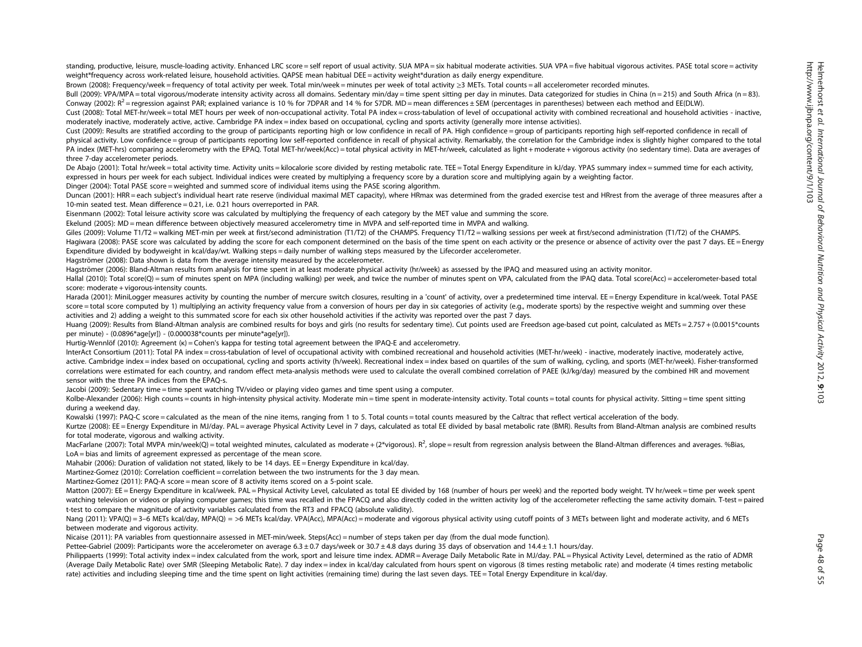standing, productive, leisure, muscle-loading activity. Enhanced LRC score = self report of usual activity. SUA MPA = six habitual moderate activities. SUA VPA = five habitual vigorous activites. PASE total score = activit weight\*frequency across work-related leisure, household activities. OAPSE mean habitual DEE = activity weight\*duration as daily energy expenditure.

Brown (2008): Frequency/week = frequency of total activity per week. Total min/week = minutes per week of total activity ≥3 METs. Total counts = all accelerometer recorded minutes.

Bull (2009): VPA/MPA = total vigorous/moderate intensity activity across all domains. Sedentary min/day = time spent sitting per day in minutes. Data categorized for studies in China (n = 215) and South Africa (n = 83). Conway (2002):  $R^2$  = regression against PAR; explained variance is 10 % for 7DPAR and 14 % for S7DR. MD = mean differences ± SEM (percentages in parentheses) between each method and EE(DLW).

Cust (2008): Total MET-hr/week = total MET hours per week of non-occupational activity. Total PA index = cross-tabulation of level of occupational activity with combined recreational and household activities - inactive, moderately inactive, moderately active, active. Cambridge PA index = index based on occupational, cycling and sports activity (generally more intense activities).

Cust (2009): Results are stratified according to the group of participants reporting high or low confidence in recall of PA. High confidence = group of participants reporting high self-reported confidence in recall of physical activity. Low confidence = group of participants reporting low self-reported confidence in recall of physical activity. Remarkably, the correlation for the Cambridge index is slightly higher compared to the total PA index (MET-hrs) comparing accelerometry with the EPAQ. Total MET-hr/week(Acc) = total physical activity in MET-hr/week, calculated as light + moderate + vigorous activity (no sedentary time). Data are averages of three 7-day accelerometer periods.

De Abajo (2001): Total hr/week = total activity time. Activity units = kilocalorie score divided by resting metabolic rate. TEE = Total Energy Expenditure in kJ/day. YPAS summary index = summed time for each activity, expressed in hours per week for each subject. Individual indices were created by multiplying a frequency score by a duration score and multiplying again by a weighting factor.

Dinger (2004): Total PASE score = weighted and summed score of individual items using the PASE scoring algorithm.

Duncan (2001): HRR = each subject's individual heart rate reserve (individual maximal MET capacity), where HRmax was determined from the graded exercise test and HRrest from the average of three measures after a 10-min seated test. Mean difference = 0.21, i.e. 0.21 hours overreported in PAR.

Eisenmann (2002): Total leisure activity score was calculated by multiplying the frequency of each category by the MET value and summing the score.

Ekelund (2005): MD = mean difference between objectively measured accelerometry time in MVPA and self-reported time in MVPA and walking.

Giles (2009): Volume T1/T2 = walking MET-min per week at first/second administration (T1/T2) of the CHAMPS. Frequency T1/T2 = walking sessions per week at first/second administration (T1/T2) of the CHAMPS. Hagiwara (2008): PASE score was calculated by adding the score for each component determined on the basis of the time spent on each activity or the presence or absence of activity over the past 7 days. EE = Energy Expenditure divided by bodyweight in kcal/day/wt. Walking steps = daily number of walking steps measured by the Lifecorder accelerometer.

Hagströmer (2008): Data shown is data from the average intensity measured by the accelerometer.

Hagströmer (2006): Bland-Altman results from analysis for time spent in at least moderate physical activity (hr/week) as assessed by the IPAQ and measured using an activity monitor.

Hallal (2010): Total score(Q) = sum of minutes spent on MPA (including walking) per week, and twice the number of minutes spent on VPA, calculated from the IPAQ data. Total score(Acc) = accelerometer-based total score: moderate + vigorous-intensity counts.

Harada (2001): MiniLogger measures activity by counting the number of mercure switch closures, resulting in a 'count' of activity, over a predetermined time interval. EE = Energy Expenditure in kcal/week. Total PASE score = total score computed by 1) multiplying an activity frequency value from a conversion of hours per day in six categories of activity (e.g., moderate sports) by the respective weight and summing over these activities and 2) adding a weight to this summated score for each six other household activities if the activity was reported over the past 7 days.

Huang (2009): Results from Bland-Altman analysis are combined results for boys and girls (no results for sedentary time). Cut points used are Freedson age-based cut point, calculated as METs = 2.757 + (0.0015\*counts per minute) - (0.0896\*age[yr]) - (0.000038\*counts per minute\*age[yr]).

Hurtig-Wennlöf (2010): Agreement (κ) = Cohen's kappa for testing total agreement between the IPAQ-E and accelerometry.

InterAct Consortium (2011): Total PA index = cross-tabulation of level of occupational activity with combined recreational and household activities (MET-hr/week) - inactive, moderately inactive, moderately active, active. Cambridge index = index based on occupational, cycling and sports activity (h/week). Recreational index = index based on quartiles of the sum of walking, cycling, and sports (MET-hr/week). Fisher-transformed correlations were estimated for each country, and random effect meta-analysis methods were used to calculate the overall combined correlation of PAEE (kJ/kg/day) measured by the combined HR and movement sensor with the three PA indices from the EPAQ-s.

Jacobi (2009): Sedentary time = time spent watching TV/video or playing video games and time spent using a computer.

Kolbe-Alexander (2006): High counts = counts in high-intensity physical activity. Moderate min = time spent in moderate-intensity activity. Total counts = total counts for physical activity. Sitting = time spent sitting during a weekend day.

Kowalski (1997): PAO-C score = calculated as the mean of the nine items, ranging from 1 to 5. Total counts = total counts measured by the Caltrac that reflect vertical acceleration of the body.

Kurtze (2008): EE = Energy Expenditure in MJ/day. PAL = average Physical Activity Level in 7 days, calculated as total EE divided by basal metabolic rate (BMR). Results from Bland-Altman analysis are combined results for total moderate, vigorous and walking activity.

MacFarlane (2007): Total MVPA min/week(Q) = total weighted minutes, calculated as moderate + (2\*vigorous). R<sup>2</sup>, slope = result from regression analysis between the Bland-Altman differences and averages. %Bias, LoA = bias and limits of agreement expressed as percentage of the mean score.

Mahabir (2006): Duration of validation not stated, likely to be 14 days. EE = Energy Expenditure in kcal/day.

Martinez-Gomez (2010): Correlation coefficient = correlation between the two instruments for the 3 day mean.

Martinez-Gomez (2011): PAQ-A score = mean score of 8 activity items scored on a 5-point scale.

Matton (2007): EE = Energy Expenditure in kcal/week. PAL = Physical Activity Level, calculated as total EE divided by 168 (number of hours per week) and the reported body weight. TV hr/week = time per week spent watching television or videos or playing computer games; this time was recalled in the FPACQ and also directly coded in the written activity log of the accelerometer reflecting the same activity domain. T-test = paired t-test to compare the magnitude of activity variables calculated from the RT3 and FPACQ (absolute validity).

Nang (2011): VPA(Q) = 3–6 METs kcal/day, MPA(Q) = >6 METs kcal/day. VPA(Acc), MPA(Acc) = moderate and vigorous physical activity using cutoff points of 3 METs between light and moderate activity, and 6 METs between moderate and vigorous activity.

Nicaise (2011): PA variables from questionnaire assessed in MET-min/week. Steps(Acc) = number of steps taken per day (from the dual mode function).

Pettee-Gabriel (2009): Participants wore the accelerometer on average 6.3 ± 0.7 days/week or 30.7 ± 4.8 days during 35 days of observation and 14.4 ± 1.1 hours/day.

Philippaerts (1999): Total activity index = index calculated from the work, sport and leisure time index. ADMR = Average Daily Metabolic Rate in MJ/day. PAL = Physical Activity Level, determined as the ratio of ADMR (Average Daily Metabolic Rate) over SMR (Sleeping Metabolic Rate). 7 day index = index in kcal/day calculated from hours spent on vigorous (8 times resting metabolic rate) and moderate (4 times resting metabolic rate) activities and including sleeping time and the time spent on light activities (remaining time) during the last seven days. TEE = Total Energy Expenditure in kcal/day.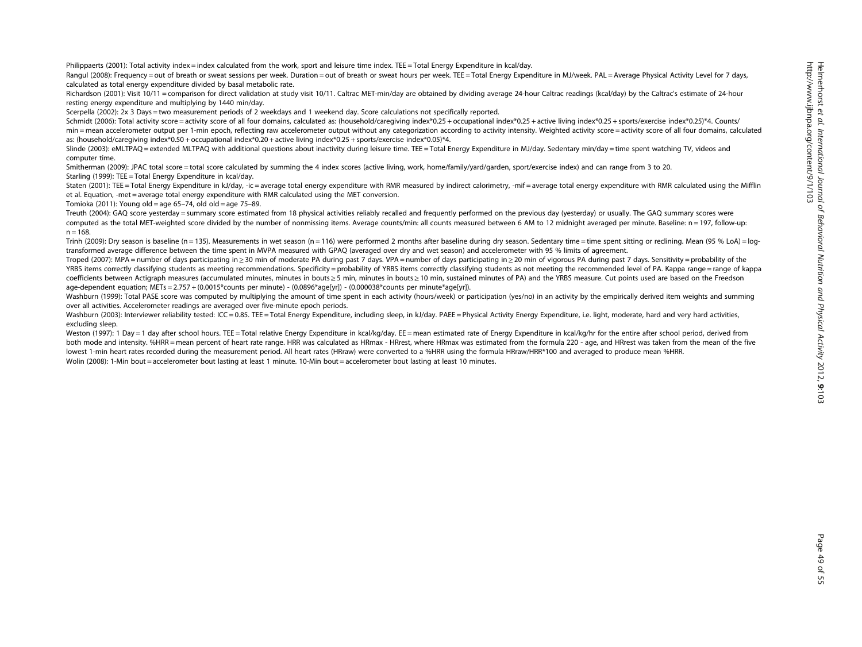Philippaerts (2001): Total activity index = index calculated from the work, sport and leisure time index. TEE = Total Energy Expenditure in kcal/day.

Rangul (2008): Frequency = out of breath or sweat sessions per week. Duration = out of breath or sweat hours per week. TEE=Total Energy Expenditure in MJ/week. PAL = Average Physical Activity Level for 7 days, calculated as total energy expenditure divided by basal metabolic rate.

Richardson (2001): Visit 10/11 = comparison for direct validation at study visit 10/11. Caltrac MET-min/day are obtained by dividing average 24-hour Caltrac readings (kcal/day) by the Caltrac's estimate of 24-hour resting energy expenditure and multiplying by 1440 min/day.

Scerpella (2002): 2x 3 Days = two measurement periods of 2 weekdays and 1 weekend day. Score calculations not specifically reported.

Schmidt (2006): Total activity score = activity score of all four domains, calculated as: (household/caregiving index\*0.25 + occupational index\*0.25 + active living index\*0.25 + sports/exercise index\*0.25)\*4. Counts/ min = mean accelerometer output per 1-min epoch, reflecting raw accelerometer output without any categorization according to activity intensity. Weighted activity score = activity score of all four domains, calculated as: (household/caregiving index\*0.50 + occupational index\*0.20 + active living index\*0.25 + sports/exercise index\*0.05)\*4.

Slinde (2003): eMLTPAQ = extended MLTPAQ with additional questions about inactivity during leisure time. TEE = Total Energy Expenditure in MJ/day. Sedentary min/day = time spent watching TV, videos and computer time.

Smitherman (2009): JPAC total score = total score calculated by summing the 4 index scores (active living, work, home/family/yard/garden, sport/exercise index) and can range from 3 to 20. Starling (1999): TEE = Total Energy Expenditure in kcal/day.

Staten (2001): TEE = Total Energy Expenditure in kJ/day, -ic = average total energy expenditure with RMR measured by indirect calorimetry, -mif = average total energy expenditure with RMR calculated using the Mifflin et al. Equation, -met = average total energy expenditure with RMR calculated using the MET conversion.

Tomioka (2011): Young old = age 65-74, old old = age 75-89.

Treuth (2004): GAQ score yesterday = summary score estimated from 18 physical activities reliably recalled and frequently performed on the previous day (yesterday) or usually. The GAQ summary scores were computed as the total MET-weighted score divided by the number of nonmissing items. Average counts/min: all counts measured between 6 AM to 12 midnight averaged per minute. Baseline: n = 197, follow-up:  $n = 168.$ 

Trinh (2009): Dry season is baseline (n = 135). Measurements in wet season (n = 116) were performed 2 months after baseline during dry season. Sedentary time = time spent sitting or reclining. Mean (95 % LoA) = logtransformed average difference between the time spent in MVPA measured with GPAQ (averaged over dry and wet season) and accelerometer with 95 % limits of agreement.

Troped (2007): MPA = number of days participating in  $\geq$  30 min of moderate PA during past 7 days. VPA = number of days participating in  $\geq$  20 min of vigorous PA during past 7 days. Sensitivity = probability of the YRBS items correctly classifying students as meeting recommendations. Specificity = probability of YRBS items correctly classifying students as not meeting the recommended level of PA. Kappa range = range of kappa coefficients between Actigraph measures (accumulated minutes, minutes in bouts ≥ 5 min, minutes in bouts ≥ 10 min, sustained minutes of PA) and the YRBS measure. Cut points used are based on the Freedson age-dependent equation; METs = 2.757 + (0.0015\*counts per minute) - (0.0896\*age[yr]) - (0.000038\*counts per minute\*age[yr]).

Washburn (1999): Total PASE score was computed by multiplying the amount of time spent in each activity (hours/week) or participation (yes/no) in an activity by the empirically derived item weights and summing over all activities. Accelerometer readings are averaged over five-minute epoch periods.

Washburn (2003): Interviewer reliability tested: ICC = 0.85. TEE = Total Energy Expenditure, including sleep, in kJ/day. PAEE = Physical Activity Energy Expenditure, i.e. light, moderate, hard and very hard activities, excluding sleep.

Weston (1997): 1 Day = 1 day after school hours. TEE = Total relative Energy Expenditure in kcal/kg/day. EE = mean estimated rate of Energy Expenditure in kcal/kg/hr for the entire after school period, derived from both mode and intensity. %HRR = mean percent of heart rate range. HRR was calculated as HRmax - HRrest, where HRmax was estimated from the formula 220 - age, and HRrest was taken from the mean of the five lowest 1-min heart rates recorded during the measurement period. All heart rates (HRraw) were converted to a %HRR using the formula HRraw/HRR\*100 and averaged to produce mean %HRR. Wolin (2008): 1-Min bout = accelerometer bout lasting at least 1 minute. 10-Min bout = accelerometer bout lasting at least 10 minutes.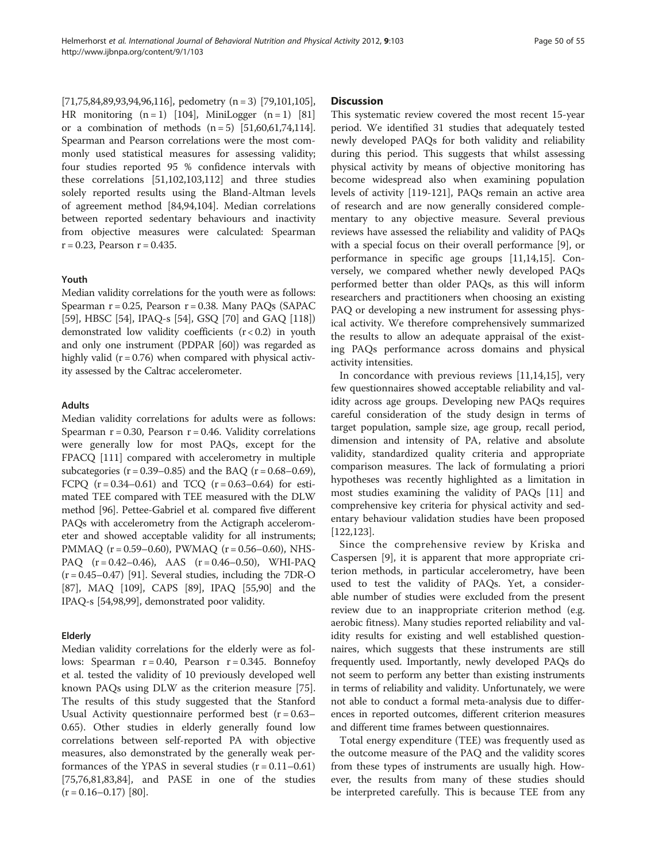$[71,75,84,89,93,94,96,116]$  $[71,75,84,89,93,94,96,116]$  $[71,75,84,89,93,94,96,116]$ , pedometry (n = 3)  $[79,101,105]$  $[79,101,105]$  $[79,101,105]$  $[79,101,105]$ , HR monitoring  $(n = 1)$  [\[104\]](#page-54-0), MiniLogger  $(n = 1)$  [[81](#page-53-0)] or a combination of methods  $(n = 5)$  [\[51,](#page-52-0)[60,61,74](#page-53-0)[,114](#page-54-0)]. Spearman and Pearson correlations were the most commonly used statistical measures for assessing validity; four studies reported 95 % confidence intervals with these correlations [[51](#page-52-0),[102,103,112\]](#page-54-0) and three studies solely reported results using the Bland-Altman levels of agreement method [\[84,94](#page-53-0)[,104\]](#page-54-0). Median correlations between reported sedentary behaviours and inactivity from objective measures were calculated: Spearman  $r = 0.23$ , Pearson  $r = 0.435$ .

#### Youth

Median validity correlations for the youth were as follows: Spearman  $r = 0.25$ , Pearson  $r = 0.38$ . Many PAQs (SAPAC [[59](#page-53-0)], HBSC [\[54\]](#page-52-0), IPAQ-s [\[54\]](#page-52-0), GSQ [[70](#page-53-0)] and GAQ [[118](#page-54-0)]) demonstrated low validity coefficients  $(r < 0.2)$  in youth and only one instrument (PDPAR [\[60](#page-53-0)]) was regarded as highly valid  $(r = 0.76)$  when compared with physical activity assessed by the Caltrac accelerometer.

#### Adults

Median validity correlations for adults were as follows: Spearman  $r = 0.30$ , Pearson  $r = 0.46$ . Validity correlations were generally low for most PAQs, except for the FPACQ [\[111\]](#page-54-0) compared with accelerometry in multiple subcategories ( $r = 0.39 - 0.85$ ) and the BAQ ( $r = 0.68 - 0.69$ ), FCPQ  $(r = 0.34 - 0.61)$  and TCQ  $(r = 0.63 - 0.64)$  for estimated TEE compared with TEE measured with the DLW method [\[96\]](#page-53-0). Pettee-Gabriel et al. compared five different PAQs with accelerometry from the Actigraph accelerometer and showed acceptable validity for all instruments; PMMAQ (r = 0.59–0.60), PWMAQ (r = 0.56–0.60), NHS-PAQ  $(r = 0.42 - 0.46)$ , AAS  $(r = 0.46 - 0.50)$ , WHI-PAQ  $(r = 0.45 - 0.47)$  [[91](#page-53-0)]. Several studies, including the 7DR-O [[87](#page-53-0)], MAQ [[109](#page-54-0)], CAPS [\[89\]](#page-53-0), IPAQ [\[55,90](#page-53-0)] and the IPAQ-s [\[54](#page-52-0)[,98,99](#page-54-0)], demonstrated poor validity.

#### Elderly

Median validity correlations for the elderly were as follows: Spearman  $r = 0.40$ , Pearson  $r = 0.345$ . Bonnefoy et al. tested the validity of 10 previously developed well known PAQs using DLW as the criterion measure [\[75](#page-53-0)]. The results of this study suggested that the Stanford Usual Activity questionnaire performed best  $(r = 0.63 -$ 0.65). Other studies in elderly generally found low correlations between self-reported PA with objective measures, also demonstrated by the generally weak performances of the YPAS in several studies  $(r = 0.11 - 0.61)$ [[75,76,81,83,84\]](#page-53-0), and PASE in one of the studies  $(r = 0.16 - 0.17)$  [\[80](#page-53-0)].

#### **Discussion**

This systematic review covered the most recent 15-year period. We identified 31 studies that adequately tested newly developed PAQs for both validity and reliability during this period. This suggests that whilst assessing physical activity by means of objective monitoring has become widespread also when examining population levels of activity [[119-121\]](#page-54-0), PAQs remain an active area of research and are now generally considered complementary to any objective measure. Several previous reviews have assessed the reliability and validity of PAQs with a special focus on their overall performance [\[9\]](#page-52-0), or performance in specific age groups [\[11,14,15\]](#page-52-0). Conversely, we compared whether newly developed PAQs performed better than older PAQs, as this will inform researchers and practitioners when choosing an existing PAQ or developing a new instrument for assessing physical activity. We therefore comprehensively summarized the results to allow an adequate appraisal of the existing PAQs performance across domains and physical activity intensities.

In concordance with previous reviews [[11](#page-52-0),[14](#page-52-0),[15](#page-52-0)], very few questionnaires showed acceptable reliability and validity across age groups. Developing new PAQs requires careful consideration of the study design in terms of target population, sample size, age group, recall period, dimension and intensity of PA, relative and absolute validity, standardized quality criteria and appropriate comparison measures. The lack of formulating a priori hypotheses was recently highlighted as a limitation in most studies examining the validity of PAQs [[11\]](#page-52-0) and comprehensive key criteria for physical activity and sedentary behaviour validation studies have been proposed [[122,123](#page-54-0)].

Since the comprehensive review by Kriska and Caspersen [\[9](#page-52-0)], it is apparent that more appropriate criterion methods, in particular accelerometry, have been used to test the validity of PAQs. Yet, a considerable number of studies were excluded from the present review due to an inappropriate criterion method (e.g. aerobic fitness). Many studies reported reliability and validity results for existing and well established questionnaires, which suggests that these instruments are still frequently used. Importantly, newly developed PAQs do not seem to perform any better than existing instruments in terms of reliability and validity. Unfortunately, we were not able to conduct a formal meta-analysis due to differences in reported outcomes, different criterion measures and different time frames between questionnaires.

Total energy expenditure (TEE) was frequently used as the outcome measure of the PAQ and the validity scores from these types of instruments are usually high. However, the results from many of these studies should be interpreted carefully. This is because TEE from any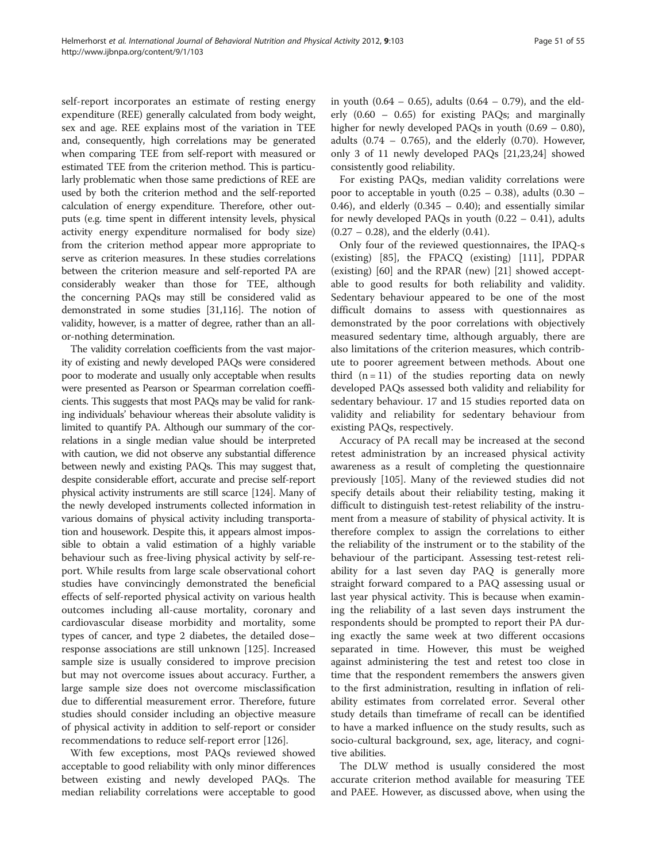self-report incorporates an estimate of resting energy expenditure (REE) generally calculated from body weight, sex and age. REE explains most of the variation in TEE and, consequently, high correlations may be generated when comparing TEE from self-report with measured or estimated TEE from the criterion method. This is particularly problematic when those same predictions of REE are used by both the criterion method and the self-reported calculation of energy expenditure. Therefore, other outputs (e.g. time spent in different intensity levels, physical activity energy expenditure normalised for body size) from the criterion method appear more appropriate to serve as criterion measures. In these studies correlations between the criterion measure and self-reported PA are considerably weaker than those for TEE, although the concerning PAQs may still be considered valid as demonstrated in some studies [\[31,](#page-52-0)[116](#page-54-0)]. The notion of validity, however, is a matter of degree, rather than an allor-nothing determination.

The validity correlation coefficients from the vast majority of existing and newly developed PAQs were considered poor to moderate and usually only acceptable when results were presented as Pearson or Spearman correlation coefficients. This suggests that most PAQs may be valid for ranking individuals' behaviour whereas their absolute validity is limited to quantify PA. Although our summary of the correlations in a single median value should be interpreted with caution, we did not observe any substantial difference between newly and existing PAQs. This may suggest that, despite considerable effort, accurate and precise self-report physical activity instruments are still scarce [[124\]](#page-54-0). Many of the newly developed instruments collected information in various domains of physical activity including transportation and housework. Despite this, it appears almost impossible to obtain a valid estimation of a highly variable behaviour such as free-living physical activity by self-report. While results from large scale observational cohort studies have convincingly demonstrated the beneficial effects of self-reported physical activity on various health outcomes including all-cause mortality, coronary and cardiovascular disease morbidity and mortality, some types of cancer, and type 2 diabetes, the detailed dose– response associations are still unknown [[125\]](#page-54-0). Increased sample size is usually considered to improve precision but may not overcome issues about accuracy. Further, a large sample size does not overcome misclassification due to differential measurement error. Therefore, future studies should consider including an objective measure of physical activity in addition to self-report or consider recommendations to reduce self-report error [[126](#page-54-0)].

With few exceptions, most PAQs reviewed showed acceptable to good reliability with only minor differences between existing and newly developed PAQs. The median reliability correlations were acceptable to good in youth  $(0.64 - 0.65)$ , adults  $(0.64 - 0.79)$ , and the elderly (0.60 – 0.65) for existing PAQs; and marginally higher for newly developed PAQs in youth (0.69 – 0.80), adults  $(0.74 - 0.765)$ , and the elderly  $(0.70)$ . However, only 3 of 11 newly developed PAQs [[21](#page-52-0),[23](#page-52-0),[24](#page-52-0)] showed consistently good reliability.

For existing PAQs, median validity correlations were poor to acceptable in youth  $(0.25 - 0.38)$ , adults  $(0.30 -$ 0.46), and elderly  $(0.345 - 0.40)$ ; and essentially similar for newly developed PAQs in youth (0.22 – 0.41), adults  $(0.27 - 0.28)$ , and the elderly  $(0.41)$ .

Only four of the reviewed questionnaires, the IPAQ-s (existing) [[85](#page-53-0)], the FPACQ (existing) [[111\]](#page-54-0), PDPAR (existing) [\[60](#page-53-0)] and the RPAR (new) [\[21](#page-52-0)] showed acceptable to good results for both reliability and validity. Sedentary behaviour appeared to be one of the most difficult domains to assess with questionnaires as demonstrated by the poor correlations with objectively measured sedentary time, although arguably, there are also limitations of the criterion measures, which contribute to poorer agreement between methods. About one third  $(n = 11)$  of the studies reporting data on newly developed PAQs assessed both validity and reliability for sedentary behaviour. 17 and 15 studies reported data on validity and reliability for sedentary behaviour from existing PAQs, respectively.

Accuracy of PA recall may be increased at the second retest administration by an increased physical activity awareness as a result of completing the questionnaire previously [[105](#page-54-0)]. Many of the reviewed studies did not specify details about their reliability testing, making it difficult to distinguish test-retest reliability of the instrument from a measure of stability of physical activity. It is therefore complex to assign the correlations to either the reliability of the instrument or to the stability of the behaviour of the participant. Assessing test-retest reliability for a last seven day PAQ is generally more straight forward compared to a PAQ assessing usual or last year physical activity. This is because when examining the reliability of a last seven days instrument the respondents should be prompted to report their PA during exactly the same week at two different occasions separated in time. However, this must be weighed against administering the test and retest too close in time that the respondent remembers the answers given to the first administration, resulting in inflation of reliability estimates from correlated error. Several other study details than timeframe of recall can be identified to have a marked influence on the study results, such as socio-cultural background, sex, age, literacy, and cognitive abilities.

The DLW method is usually considered the most accurate criterion method available for measuring TEE and PAEE. However, as discussed above, when using the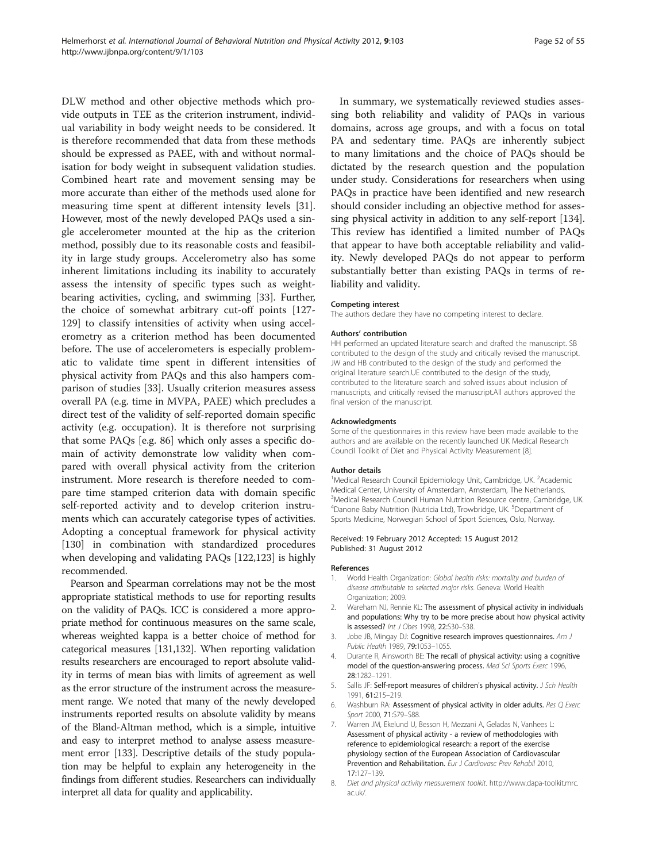<span id="page-51-0"></span>DLW method and other objective methods which provide outputs in TEE as the criterion instrument, individual variability in body weight needs to be considered. It is therefore recommended that data from these methods should be expressed as PAEE, with and without normalisation for body weight in subsequent validation studies. Combined heart rate and movement sensing may be more accurate than either of the methods used alone for measuring time spent at different intensity levels [\[31](#page-52-0)]. However, most of the newly developed PAQs used a single accelerometer mounted at the hip as the criterion method, possibly due to its reasonable costs and feasibility in large study groups. Accelerometry also has some inherent limitations including its inability to accurately assess the intensity of specific types such as weightbearing activities, cycling, and swimming [[33\]](#page-52-0). Further, the choice of somewhat arbitrary cut-off points [\[127-](#page-54-0) [129](#page-54-0)] to classify intensities of activity when using accelerometry as a criterion method has been documented before. The use of accelerometers is especially problematic to validate time spent in different intensities of physical activity from PAQs and this also hampers comparison of studies [[33\]](#page-52-0). Usually criterion measures assess overall PA (e.g. time in MVPA, PAEE) which precludes a direct test of the validity of self-reported domain specific activity (e.g. occupation). It is therefore not surprising that some PAQs [e.g. 86] which only asses a specific domain of activity demonstrate low validity when compared with overall physical activity from the criterion instrument. More research is therefore needed to compare time stamped criterion data with domain specific self-reported activity and to develop criterion instruments which can accurately categorise types of activities. Adopting a conceptual framework for physical activity [[130\]](#page-54-0) in combination with standardized procedures when developing and validating PAQs [[122](#page-54-0),[123](#page-54-0)] is highly recommended.

Pearson and Spearman correlations may not be the most appropriate statistical methods to use for reporting results on the validity of PAQs. ICC is considered a more appropriate method for continuous measures on the same scale, whereas weighted kappa is a better choice of method for categorical measures [\[131,132\]](#page-54-0). When reporting validation results researchers are encouraged to report absolute validity in terms of mean bias with limits of agreement as well as the error structure of the instrument across the measurement range. We noted that many of the newly developed instruments reported results on absolute validity by means of the Bland-Altman method, which is a simple, intuitive and easy to interpret method to analyse assess measurement error [[133\]](#page-54-0). Descriptive details of the study population may be helpful to explain any heterogeneity in the findings from different studies. Researchers can individually interpret all data for quality and applicability.

In summary, we systematically reviewed studies assessing both reliability and validity of PAQs in various domains, across age groups, and with a focus on total PA and sedentary time. PAQs are inherently subject to many limitations and the choice of PAQs should be dictated by the research question and the population under study. Considerations for researchers when using PAQs in practice have been identified and new research should consider including an objective method for assessing physical activity in addition to any self-report [[134](#page-54-0)]. This review has identified a limited number of PAQs that appear to have both acceptable reliability and validity. Newly developed PAQs do not appear to perform substantially better than existing PAQs in terms of reliability and validity.

#### Competing interest

The authors declare they have no competing interest to declare.

#### Authors' contribution

HH performed an updated literature search and drafted the manuscript. SB contributed to the design of the study and critically revised the manuscript. JW and HB contributed to the design of the study and performed the original literature search.UE contributed to the design of the study, contributed to the literature search and solved issues about inclusion of manuscripts, and critically revised the manuscript.All authors approved the final version of the manuscript.

#### Acknowledgments

Some of the questionnaires in this review have been made available to the authors and are available on the recently launched UK Medical Research Council Toolkit of Diet and Physical Activity Measurement [8].

#### Author details

<sup>1</sup>Medical Research Council Epidemiology Unit, Cambridge, UK. <sup>2</sup>Academic Medical Center, University of Amsterdam, Amsterdam, The Netherlands. <sup>3</sup>Medical Research Council Human Nutrition Resource centre, Cambridge, UK <sup>4</sup>Danone Baby Nutrition (Nutricia Ltd), Trowbridge, UK. <sup>5</sup>Department of Sports Medicine, Norwegian School of Sport Sciences, Oslo, Norway.

#### Received: 19 February 2012 Accepted: 15 August 2012 Published: 31 August 2012

#### References

- 1. World Health Organization: Global health risks: mortality and burden of disease attributable to selected major risks. Geneva: World Health Organization; 2009.
- 2. Wareham NJ, Rennie KL: The assessment of physical activity in individuals and populations: Why try to be more precise about how physical activity is assessed? Int J Obes 1998, 22:S30–S38.
- 3. Jobe JB, Mingay DJ: Cognitive research improves questionnaires. Am J Public Health 1989, 79:1053–1055.
- 4. Durante R, Ainsworth BE: The recall of physical activity: using a cognitive model of the question-answering process. Med Sci Sports Exerc 1996, 28:1282–1291.
- 5. Sallis JF: Self-report measures of children's physical activity. J Sch Health 1991, 61:215–219.
- 6. Washburn RA: Assessment of physical activity in older adults. Res Q Exerc Sport 2000, 71:S79-S88
- 7. Warren JM, Ekelund U, Besson H, Mezzani A, Geladas N, Vanhees L: Assessment of physical activity - a review of methodologies with reference to epidemiological research: a report of the exercise physiology section of the European Association of Cardiovascular Prevention and Rehabilitation. Eur J Cardiovasc Prev Rehabil 2010, 17:127–139.
- 8. Diet and physical activity measurement toolkit. [http://www.dapa-toolkit.mrc.](http://www.dapa-toolkit.mrc.ac.uk/) [ac.uk/](http://www.dapa-toolkit.mrc.ac.uk/).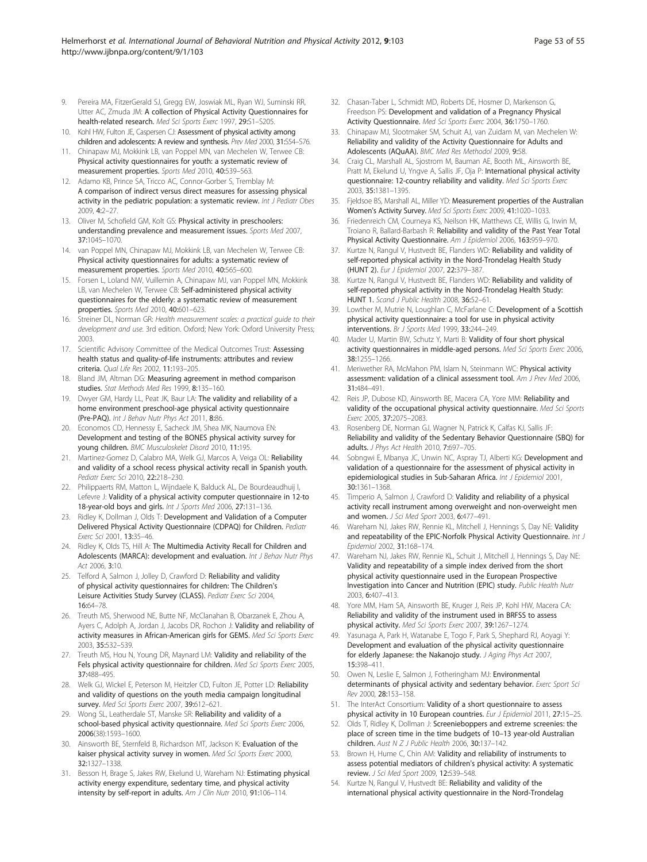- <span id="page-52-0"></span>9. Pereira MA, FitzerGerald SJ, Gregg EW, Joswiak ML, Ryan WJ, Suminski RR, Utter AC, Zmuda JM: A collection of Physical Activity Questionnaires for health-related research. Med Sci Sports Exerc 1997, 29:S1–S205.
- 10. Kohl HW, Fulton JE, Caspersen CJ: Assessment of physical activity among children and adolescents: A review and synthesis. Prev Med 2000, 31:S54–S76.
- 11. Chinapaw MJ, Mokkink LB, van Poppel MN, van Mechelen W, Terwee CB: Physical activity questionnaires for youth: a systematic review of measurement properties. Sports Med 2010, 40:539–563.
- 12. Adamo KB, Prince SA, Tricco AC, Connor-Gorber S, Tremblay M: A comparison of indirect versus direct measures for assessing physical activity in the pediatric population: a systematic review. Int J Pediatr Obes 2009, 4:2–27.
- 13. Oliver M, Schofield GM, Kolt GS: Physical activity in preschoolers: understanding prevalence and measurement issues. Sports Med 2007, 37:1045–1070.
- 14. van Poppel MN, Chinapaw MJ, Mokkink LB, van Mechelen W, Terwee CB: Physical activity questionnaires for adults: a systematic review of measurement properties. Sports Med 2010, 40:565–600.
- 15. Forsen L, Loland NW, Vuillemin A, Chinapaw MJ, van Poppel MN, Mokkink LB, van Mechelen W, Terwee CB: Self-administered physical activity questionnaires for the elderly: a systematic review of measurement properties. Sports Med 2010, 40:601–623.
- 16. Streiner DL, Norman GR: Health measurement scales: a practical quide to their development and use. 3rd edition. Oxford; New York: Oxford University Press; 2003.
- 17. Scientific Advisory Committee of the Medical Outcomes Trust: Assessing health status and quality-of-life instruments: attributes and review criteria. Qual Life Res 2002, 11:193–205.
- 18. Bland JM, Altman DG: Measuring agreement in method comparison studies. Stat Methods Med Res 1999, 8:135–160.
- 19. Dwyer GM, Hardy LL, Peat JK, Baur LA: The validity and reliability of a home environment preschool-age physical activity questionnaire (Pre-PAQ). Int J Behav Nutr Phys Act 2011, 8:86.
- 20. Economos CD, Hennessy E, Sacheck JM, Shea MK, Naumova EN: Development and testing of the BONES physical activity survey for young children. BMC Musculoskelet Disord 2010, 11:195.
- 21. Martinez-Gomez D, Calabro MA, Welk GJ, Marcos A, Veiga OL: Reliability and validity of a school recess physical activity recall in Spanish youth. Pediatr Exerc Sci 2010, 22:218–230.
- 22. Philippaerts RM, Matton L, Wijndaele K, Balduck AL, De Bourdeaudhuij I, Lefevre J: Validity of a physical activity computer questionnaire in 12-to 18-year-old boys and girls. Int J Sports Med 2006, 27:131-136.
- 23. Ridley K, Dollman J, Olds T: Development and Validation of a Computer Delivered Physical Activity Questionnaire (CDPAQ) for Children. Pediatr Exerc Sci 2001, 13:35–46.
- 24. Ridley K, Olds TS, Hill A: The Multimedia Activity Recall for Children and Adolescents (MARCA): development and evaluation. Int J Behav Nutr Phys Act 2006, 3:10.
- 25. Telford A, Salmon J, Jolley D, Crawford D: Reliability and validity of physical activity questionnaires for children: The Children's Leisure Activities Study Survey (CLASS). Pediatr Exerc Sci 2004, 16:64–78.
- 26. Treuth MS, Sherwood NE, Butte NF, McClanahan B, Obarzanek E, Zhou A, Ayers C, Adolph A, Jordan J, Jacobs DR, Rochon J: Validity and reliability of activity measures in African-American girls for GEMS. Med Sci Sports Exerc 2003, 35:532–539.
- 27. Treuth MS, Hou N, Young DR, Maynard LM: Validity and reliability of the Fels physical activity questionnaire for children. Med Sci Sports Exerc 2005, 37:488–495.
- 28. Welk GJ, Wickel E, Peterson M, Heitzler CD, Fulton JE, Potter LD: Reliability and validity of questions on the youth media campaign longitudinal survey. Med Sci Sports Exerc 2007, 39:612-621.
- 29. Wong SL, Leatherdale ST, Manske SR: Reliability and validity of a school-based physical activity questionnaire. Med Sci Sports Exerc 2006, 2006(38):1593–1600.
- 30. Ainsworth BE, Sternfeld B, Richardson MT, Jackson K: Evaluation of the kaiser physical activity survey in women. Med Sci Sports Exerc 2000, 32:1327–1338.
- 31. Besson H, Brage S, Jakes RW, Ekelund U, Wareham NJ: Estimating physical activity energy expenditure, sedentary time, and physical activity intensity by self-report in adults. Am J Clin Nutr 2010, 91:106–114.
- 32. Chasan-Taber L, Schmidt MD, Roberts DE, Hosmer D, Markenson G, Freedson PS: Development and validation of a Pregnancy Physical Activity Questionnaire. Med Sci Sports Exerc 2004, 36:1750–1760.
- 33. Chinapaw MJ, Slootmaker SM, Schuit AJ, van Zuidam M, van Mechelen W: Reliability and validity of the Activity Questionnaire for Adults and Adolescents (AQuAA). BMC Med Res Methodol 2009, 9:58.
- 34. Craig CL, Marshall AL, Sjostrom M, Bauman AE, Booth ML, Ainsworth BE, Pratt M, Ekelund U, Yngve A, Sallis JF, Oja P: International physical activity questionnaire: 12-country reliability and validity. Med Sci Sports Exerc 2003, 35:1381–1395.
- 35. Fjeldsoe BS, Marshall AL, Miller YD: Measurement properties of the Australian Women's Activity Survey. Med Sci Sports Exerc 2009, 41:1020–1033.
- 36. Friedenreich CM, Courneya KS, Neilson HK, Matthews CE, Willis G, Irwin M, Troiano R, Ballard-Barbash R: Reliability and validity of the Past Year Total Physical Activity Questionnaire. Am J Epidemiol 2006, 163:959-970.
- 37. Kurtze N, Rangul V, Hustvedt BE, Flanders WD: Reliability and validity of self-reported physical activity in the Nord-Trondelag Health Study (HUNT 2). Eur J Epidemiol 2007, 22:379–387.
- 38. Kurtze N, Rangul V, Hustvedt BE, Flanders WD: Reliability and validity of self-reported physical activity in the Nord-Trondelag Health Study: HUNT 1. Scand J Public Health 2008, 36:52–61.
- Lowther M, Mutrie N, Loughlan C, McFarlane C: Development of a Scottish physical activity questionnaire: a tool for use in physical activity interventions. Br J Sports Med 1999, 33:244–249.
- 40. Mader U, Martin BW, Schutz Y, Marti B: Validity of four short physical activity questionnaires in middle-aged persons. Med Sci Sports Exerc 2006, 38:1255–1266.
- 41. Meriwether RA, McMahon PM, Islam N, Steinmann WC: Physical activity assessment: validation of a clinical assessment tool. Am J Prev Med 2006, 31:484–491.
- 42. Reis JP, Dubose KD, Ainsworth BE, Macera CA, Yore MM: Reliability and validity of the occupational physical activity questionnaire. Med Sci Sports Exerc 2005, 37:2075–2083.
- 43. Rosenberg DE, Norman GJ, Wagner N, Patrick K, Calfas KJ, Sallis JF: Reliability and validity of the Sedentary Behavior Questionnaire (SBQ) for adults. J Phys Act Health 2010, 7:697–705.
- 44. Sobngwi E, Mbanya JC, Unwin NC, Aspray TJ, Alberti KG: Development and validation of a questionnaire for the assessment of physical activity in epidemiological studies in Sub-Saharan Africa. Int J Epidemiol 2001, 30:1361–1368.
- 45. Timperio A, Salmon J, Crawford D: Validity and reliability of a physical activity recall instrument among overweight and non-overweight men and women. J Sci Med Sport 2003, 6:477-491.
- 46. Wareham NJ, Jakes RW, Rennie KL, Mitchell J, Hennings S, Day NE: Validity and repeatability of the EPIC-Norfolk Physical Activity Questionnaire. Int J Epidemiol 2002, 31:168–174.
- 47. Wareham NJ, Jakes RW, Rennie KL, Schuit J, Mitchell J, Hennings S, Day NE: Validity and repeatability of a simple index derived from the short physical activity questionnaire used in the European Prospective Investigation into Cancer and Nutrition (EPIC) study. Public Health Nutr 2003, 6:407–413.
- 48. Yore MM, Ham SA, Ainsworth BE, Kruger J, Reis JP, Kohl HW, Macera CA: Reliability and validity of the instrument used in BRFSS to assess physical activity. Med Sci Sports Exerc 2007, 39:1267–1274.
- 49. Yasunaga A, Park H, Watanabe E, Togo F, Park S, Shephard RJ, Aoyagi Y: Development and evaluation of the physical activity questionnaire for elderly Japanese: the Nakanojo study. J Aging Phys Act 2007, 15:398–411.
- 50. Owen N, Leslie E, Salmon J, Fotheringham MJ: Environmental determinants of physical activity and sedentary behavior. Exerc Sport Sci Rev 2000, 28:153–158.
- 51. The InterAct Consortium: Validity of a short questionnaire to assess physical activity in 10 European countries. Eur J Epidemiol 2011, 27:15-25.
- 52. Olds T, Ridley K, Dollman J: Screenieboppers and extreme screenies: the place of screen time in the time budgets of 10–13 year-old Australian children. Aust N Z J Public Health 2006, 30:137–142.
- 53. Brown H, Hume C, Chin AM: Validity and reliability of instruments to assess potential mediators of children's physical activity: A systematic review. J Sci Med Sport 2009, 12:539–548.
- 54. Kurtze N, Rangul V, Hustvedt BE: Reliability and validity of the international physical activity questionnaire in the Nord-Trondelag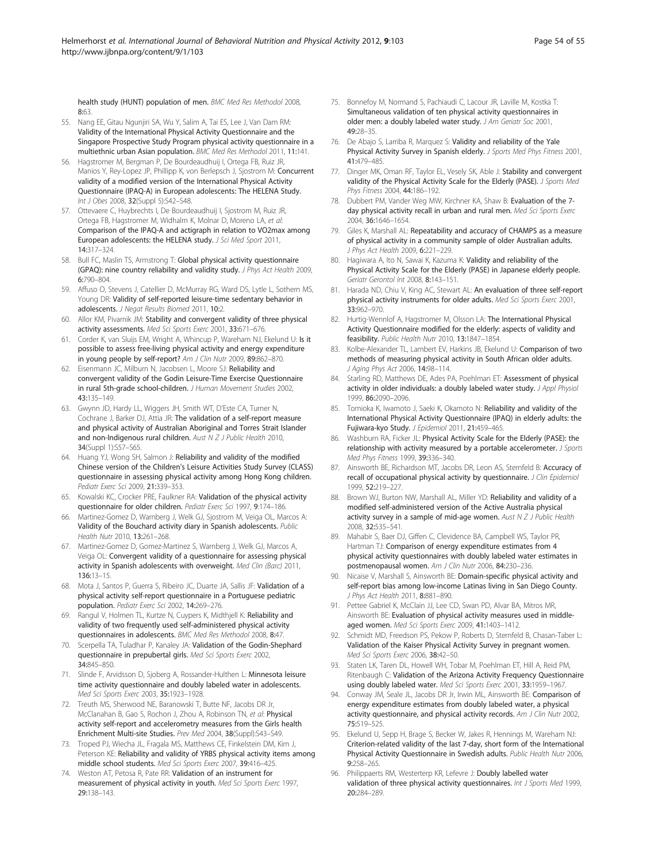<span id="page-53-0"></span>health study (HUNT) population of men. BMC Med Res Methodol 2008, 8:63.

- 55. Nang EE, Gitau Ngunjiri SA, Wu Y, Salim A, Tai ES, Lee J, Van Dam RM: Validity of the International Physical Activity Questionnaire and the Singapore Prospective Study Program physical activity questionnaire in a multiethnic urban Asian population. BMC Med Res Methodol 2011, 11:141.
- 56. Hagstromer M, Bergman P, De Bourdeaudhuij I, Ortega FB, Ruiz JR, Manios Y, Rey-Lopez JP, Phillipp K, von Berlepsch J, Sjostrom M: Concurrent validity of a modified version of the International Physical Activity Questionnaire (IPAQ-A) in European adolescents: The HELENA Study. Int J Obes 2008, 32(Suppl 5):S42-S48.
- 57. Ottevaere C, Huybrechts I, De Bourdeaudhuij I, Sjostrom M, Ruiz JR, Ortega FB, Hagstromer M, Widhalm K, Molnar D, Moreno LA, et al: Comparison of the IPAQ-A and actigraph in relation to VO2max among European adolescents: the HELENA study. J Sci Med Sport 2011, 14:317–324.
- 58. Bull FC, Maslin TS, Armstrong T: Global physical activity questionnaire (GPAQ): nine country reliability and validity study. J Phys Act Health 2009, 6:790–804.
- 59. Affuso O, Stevens J, Catellier D, McMurray RG, Ward DS, Lytle L, Sothern MS, Young DR: Validity of self-reported leisure-time sedentary behavior in adolescents. J Negat Results Biomed 2011, 10:2.
- 60. Allor KM, Pivarnik JM: Stability and convergent validity of three physical activity assessments. Med Sci Sports Exerc 2001, 33:671-676.
- 61. Corder K, van Sluijs EM, Wright A, Whincup P, Wareham NJ, Ekelund U: Is it possible to assess free-living physical activity and energy expenditure in young people by self-report? Am J Clin Nutr 2009, 89:862-870.
- 62. Eisenmann JC, Milburn N, Jacobsen L, Moore SJ: Reliability and convergent validity of the Godin Leisure-Time Exercise Questionnaire in rural 5th-grade school-children. J Human Movement Studies 2002, 43:135–149.
- 63. Gwynn JD, Hardy LL, Wiggers JH, Smith WT, D'Este CA, Turner N, Cochrane J, Barker DJ, Attia JR: The validation of a self-report measure and physical activity of Australian Aboriginal and Torres Strait Islander and non-Indigenous rural children. Aust N Z J Public Health 2010, 34(Suppl 1):S57–S65.
- 64. Huang YJ, Wong SH, Salmon J: Reliability and validity of the modified Chinese version of the Children's Leisure Activities Study Survey (CLASS) questionnaire in assessing physical activity among Hong Kong children. Pediatr Exerc Sci 2009, 21:339–353.
- 65. Kowalski KC, Crocker PRE, Faulkner RA: Validation of the physical activity questionnaire for older children. Pediatr Exerc Sci 1997, 9:174–186.
- 66. Martinez-Gomez D, Warnberg J, Welk GJ, Sjostrom M, Veiga OL, Marcos A: Validity of the Bouchard activity diary in Spanish adolescents. Public Health Nutr 2010, 13:261–268.
- 67. Martinez-Gomez D, Gomez-Martinez S, Warnberg J, Welk GJ, Marcos A, Veiga OL: Convergent validity of a questionnaire for assessing physical activity in Spanish adolescents with overweight. Med Clin (Barc) 2011, 136:13–15.
- 68. Mota J, Santos P, Guerra S, Ribeiro JC, Duarte JA, Sallis JF: Validation of a physical activity self-report questionnaire in a Portuguese pediatric population. Pediatr Exerc Sci 2002, 14:269–276.
- 69. Rangul V, Holmen TL, Kurtze N, Cuypers K, Midthjell K: Reliability and validity of two frequently used self-administered physical activity questionnaires in adolescents. BMC Med Res Methodol 2008, 8:47.
- 70. Scerpella TA, Tuladhar P, Kanaley JA: Validation of the Godin-Shephard questionnaire in prepubertal girls. Med Sci Sports Exerc 2002, 34:845–850.
- 71. Slinde F, Arvidsson D, Sjoberg A, Rossander-Hulthen L: Minnesota leisure time activity questionnaire and doubly labeled water in adolescents. Med Sci Sports Exerc 2003, 35:1923–1928.
- 72. Treuth MS, Sherwood NE, Baranowski T, Butte NF, Jacobs DR Jr, McClanahan B, Gao S, Rochon J, Zhou A, Robinson TN, et al: Physical activity self-report and accelerometry measures from the Girls health Enrichment Multi-site Studies. Prev Med 2004, 38(Suppl):S43–S49.
- 73. Troped PJ, Wiecha JL, Fragala MS, Matthews CE, Finkelstein DM, Kim J, Peterson KE: Reliability and validity of YRBS physical activity items among middle school students. Med Sci Sports Exerc 2007, 39:416–425.
- 74. Weston AT, Petosa R, Pate RR: Validation of an instrument for measurement of physical activity in youth. Med Sci Sports Exerc 1997, 29:138–143.
- 75. Bonnefoy M, Normand S, Pachiaudi C, Lacour JR, Laville M, Kostka T: Simultaneous validation of ten physical activity questionnaires in older men: a doubly labeled water study. J Am Geriatr Soc 2001, 49:28–35.
- 76. De Abajo S, Larriba R, Marquez S: Validity and reliability of the Yale Physical Activity Survey in Spanish elderly. J Sports Med Phys Fitness 2001, 41:479–485.
- 77. Dinger MK, Oman RF, Taylor EL, Vesely SK, Able J: Stability and convergent validity of the Physical Activity Scale for the Elderly (PASE). J Sports Med Phys Fitness 2004, 44:186–192.
- 78. Dubbert PM, Vander Weg MW, Kirchner KA, Shaw B: Evaluation of the 7 day physical activity recall in urban and rural men. Med Sci Sports Exerc 2004, 36:1646–1654.
- 79. Giles K, Marshall AL: Repeatability and accuracy of CHAMPS as a measure of physical activity in a community sample of older Australian adults. J Phys Act Health 2009, 6:221–229.
- 80. Hagiwara A, Ito N, Sawai K, Kazuma K: Validity and reliability of the Physical Activity Scale for the Elderly (PASE) in Japanese elderly people. Geriatr Gerontol Int 2008, 8:143–151.
- 81. Harada ND, Chiu V, King AC, Stewart AL: An evaluation of three self-report physical activity instruments for older adults. Med Sci Sports Exerc 2001, 33:962–970.
- 82. Hurtig-Wennlof A, Hagstromer M, Olsson LA: The International Physical Activity Questionnaire modified for the elderly: aspects of validity and feasibility. Public Health Nutr 2010, 13:1847–1854.
- 83. Kolbe-Alexander TL, Lambert EV, Harkins JB, Ekelund U: Comparison of two methods of measuring physical activity in South African older adults. J Aging Phys Act 2006, 14:98–114.
- Starling RD, Matthews DE, Ades PA, Poehlman ET: Assessment of physical activity in older individuals: a doubly labeled water study. J Appl Physiol 1999, 86:2090–2096.
- 85. Tomioka K, Iwamoto J, Saeki K, Okamoto N: Reliability and validity of the International Physical Activity Questionnaire (IPAQ) in elderly adults: the Fujiwara-kyo Study. J Epidemiol 2011, 21:459–465.
- 86. Washburn RA, Ficker JL: Physical Activity Scale for the Elderly (PASE): the relationship with activity measured by a portable accelerometer. J Sports Med Phys Fitness 1999, 39:336–340.
- 87. Ainsworth BE, Richardson MT, Jacobs DR, Leon AS, Sternfeld B: Accuracy of recall of occupational physical activity by questionnaire. J Clin Epidemiol 1999, 52:219–227.
- 88. Brown WJ, Burton NW, Marshall AL, Miller YD: Reliability and validity of a modified self-administered version of the Active Australia physical activity survey in a sample of mid-age women. Aust  $N Z J$  Public Health 2008, 32:535–541.
- 89. Mahabir S, Baer DJ, Giffen C, Clevidence BA, Campbell WS, Taylor PR, Hartman TJ: Comparison of energy expenditure estimates from 4 physical activity questionnaires with doubly labeled water estimates in postmenopausal women. Am J Clin Nutr 2006, 84:230–236.
- 90. Nicaise V, Marshall S, Ainsworth BE: Domain-specific physical activity and self-report bias among low-income Latinas living in San Diego County. J Phys Act Health 2011, 8:881–890.
- 91. Pettee Gabriel K, McClain JJ, Lee CD, Swan PD, Alvar BA, Mitros MR, Ainsworth BE: Evaluation of physical activity measures used in middleaged women. Med Sci Sports Exerc 2009, 41:1403-1412.
- 92. Schmidt MD, Freedson PS, Pekow P, Roberts D, Sternfeld B, Chasan-Taber L: Validation of the Kaiser Physical Activity Survey in pregnant women. Med Sci Sports Exerc 2006, 38:42–50.
- 93. Staten LK, Taren DL, Howell WH, Tobar M, Poehlman ET, Hill A, Reid PM, Ritenbaugh C: Validation of the Arizona Activity Frequency Questionnaire using doubly labeled water. Med Sci Sports Exerc 2001, 33:1959-1967.
- 94. Conway JM, Seale JL, Jacobs DR Jr, Irwin ML, Ainsworth BE: Comparison of energy expenditure estimates from doubly labeled water, a physical activity questionnaire, and physical activity records. Am J Clin Nutr 2002, 75:519–525.
- 95. Ekelund U, Sepp H, Brage S, Becker W, Jakes R, Hennings M, Wareham NJ: Criterion-related validity of the last 7-day, short form of the International Physical Activity Questionnaire in Swedish adults. Public Health Nutr 2006, 9:258–265.
- 96. Philippaerts RM, Westerterp KR, Lefevre J: Doubly labelled water validation of three physical activity questionnaires. Int J Sports Med 1999, 20:284–289.